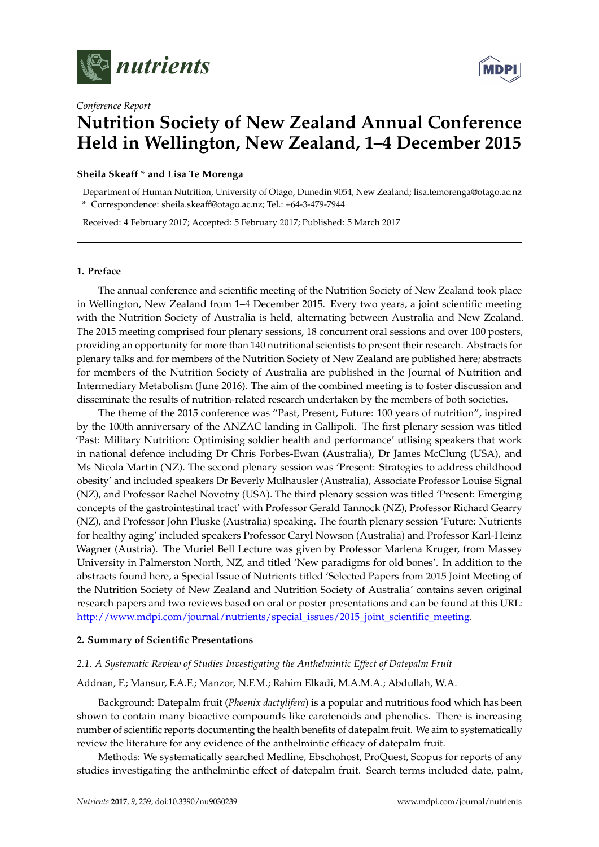



# *Conference Report* **Nutrition Society of New Zealand Annual Conference Held in Wellington, New Zealand, 1–4 December 2015**

# **Sheila Skeaff \* and Lisa Te Morenga**

Department of Human Nutrition, University of Otago, Dunedin 9054, New Zealand; lisa.temorenga@otago.ac.nz **\*** Correspondence: sheila.skeaff@otago.ac.nz; Tel.: +64-3-479-7944

Received: 4 February 2017; Accepted: 5 February 2017; Published: 5 March 2017

# **1. Preface**

The annual conference and scientific meeting of the Nutrition Society of New Zealand took place in Wellington, New Zealand from 1–4 December 2015. Every two years, a joint scientific meeting with the Nutrition Society of Australia is held, alternating between Australia and New Zealand. The 2015 meeting comprised four plenary sessions, 18 concurrent oral sessions and over 100 posters, providing an opportunity for more than 140 nutritional scientists to present their research. Abstracts for plenary talks and for members of the Nutrition Society of New Zealand are published here; abstracts for members of the Nutrition Society of Australia are published in the Journal of Nutrition and Intermediary Metabolism (June 2016). The aim of the combined meeting is to foster discussion and disseminate the results of nutrition-related research undertaken by the members of both societies.

The theme of the 2015 conference was "Past, Present, Future: 100 years of nutrition", inspired by the 100th anniversary of the ANZAC landing in Gallipoli. The first plenary session was titled 'Past: Military Nutrition: Optimising soldier health and performance' utlising speakers that work in national defence including Dr Chris Forbes-Ewan (Australia), Dr James McClung (USA), and Ms Nicola Martin (NZ). The second plenary session was 'Present: Strategies to address childhood obesity' and included speakers Dr Beverly Mulhausler (Australia), Associate Professor Louise Signal (NZ), and Professor Rachel Novotny (USA). The third plenary session was titled 'Present: Emerging concepts of the gastrointestinal tract' with Professor Gerald Tannock (NZ), Professor Richard Gearry (NZ), and Professor John Pluske (Australia) speaking. The fourth plenary session 'Future: Nutrients for healthy aging' included speakers Professor Caryl Nowson (Australia) and Professor Karl-Heinz Wagner (Austria). The Muriel Bell Lecture was given by Professor Marlena Kruger, from Massey University in Palmerston North, NZ, and titled 'New paradigms for old bones'. In addition to the abstracts found here, a Special Issue of Nutrients titled 'Selected Papers from 2015 Joint Meeting of the Nutrition Society of New Zealand and Nutrition Society of Australia' contains seven original research papers and two reviews based on oral or poster presentations and can be found at this URL: [http://www.mdpi.com/journal/nutrients/special\\_issues/2015\\_joint\\_scientific\\_meeting.](http://www.mdpi.com/journal/nutrients/special_issues/2015_joint_scientific_meeting)

# **2. Summary of Scientific Presentations**

# *2.1. A Systematic Review of Studies Investigating the Anthelmintic Effect of Datepalm Fruit*

# Addnan, F.; Mansur, F.A.F.; Manzor, N.F.M.; Rahim Elkadi, M.A.M.A.; Abdullah, W.A.

Background: Datepalm fruit (*Phoenix dactylifera*) is a popular and nutritious food which has been shown to contain many bioactive compounds like carotenoids and phenolics. There is increasing number of scientific reports documenting the health benefits of datepalm fruit. We aim to systematically review the literature for any evidence of the anthelmintic efficacy of datepalm fruit.

Methods: We systematically searched Medline, Ebschohost, ProQuest, Scopus for reports of any studies investigating the anthelmintic effect of datepalm fruit. Search terms included date, palm,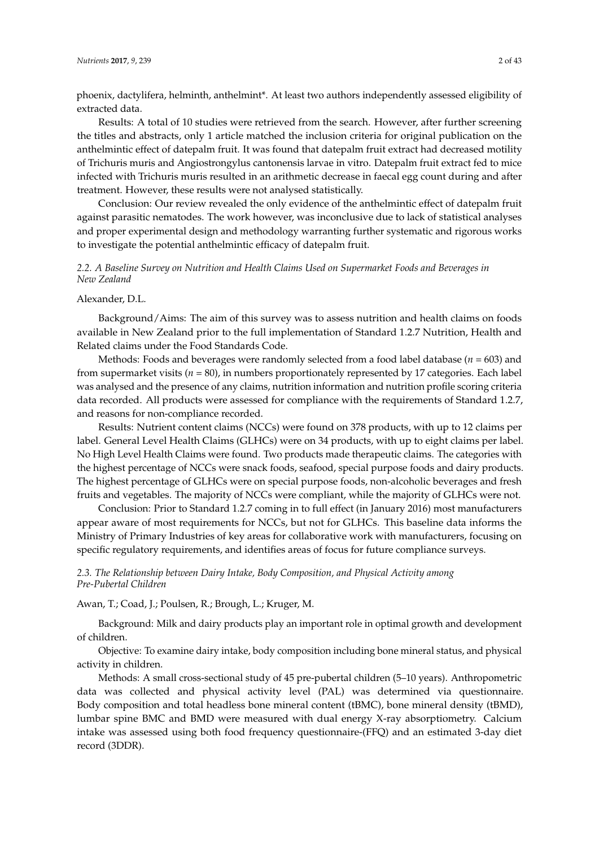phoenix, dactylifera, helminth, anthelmint\*. At least two authors independently assessed eligibility of extracted data.

Results: A total of 10 studies were retrieved from the search. However, after further screening the titles and abstracts, only 1 article matched the inclusion criteria for original publication on the anthelmintic effect of datepalm fruit. It was found that datepalm fruit extract had decreased motility of Trichuris muris and Angiostrongylus cantonensis larvae in vitro. Datepalm fruit extract fed to mice infected with Trichuris muris resulted in an arithmetic decrease in faecal egg count during and after treatment. However, these results were not analysed statistically.

Conclusion: Our review revealed the only evidence of the anthelmintic effect of datepalm fruit against parasitic nematodes. The work however, was inconclusive due to lack of statistical analyses and proper experimental design and methodology warranting further systematic and rigorous works to investigate the potential anthelmintic efficacy of datepalm fruit.

# *2.2. A Baseline Survey on Nutrition and Health Claims Used on Supermarket Foods and Beverages in New Zealand*

### Alexander, D.L.

Background/Aims: The aim of this survey was to assess nutrition and health claims on foods available in New Zealand prior to the full implementation of Standard 1.2.7 Nutrition, Health and Related claims under the Food Standards Code.

Methods: Foods and beverages were randomly selected from a food label database (*n* = 603) and from supermarket visits (*n* = 80), in numbers proportionately represented by 17 categories. Each label was analysed and the presence of any claims, nutrition information and nutrition profile scoring criteria data recorded. All products were assessed for compliance with the requirements of Standard 1.2.7, and reasons for non-compliance recorded.

Results: Nutrient content claims (NCCs) were found on 378 products, with up to 12 claims per label. General Level Health Claims (GLHCs) were on 34 products, with up to eight claims per label. No High Level Health Claims were found. Two products made therapeutic claims. The categories with the highest percentage of NCCs were snack foods, seafood, special purpose foods and dairy products. The highest percentage of GLHCs were on special purpose foods, non-alcoholic beverages and fresh fruits and vegetables. The majority of NCCs were compliant, while the majority of GLHCs were not.

Conclusion: Prior to Standard 1.2.7 coming in to full effect (in January 2016) most manufacturers appear aware of most requirements for NCCs, but not for GLHCs. This baseline data informs the Ministry of Primary Industries of key areas for collaborative work with manufacturers, focusing on specific regulatory requirements, and identifies areas of focus for future compliance surveys.

# *2.3. The Relationship between Dairy Intake, Body Composition, and Physical Activity among Pre-Pubertal Children*

Awan, T.; Coad, J.; Poulsen, R.; Brough, L.; Kruger, M.

Background: Milk and dairy products play an important role in optimal growth and development of children.

Objective: To examine dairy intake, body composition including bone mineral status, and physical activity in children.

Methods: A small cross-sectional study of 45 pre-pubertal children (5–10 years). Anthropometric data was collected and physical activity level (PAL) was determined via questionnaire. Body composition and total headless bone mineral content (tBMC), bone mineral density (tBMD), lumbar spine BMC and BMD were measured with dual energy X-ray absorptiometry. Calcium intake was assessed using both food frequency questionnaire-(FFQ) and an estimated 3-day diet record (3DDR).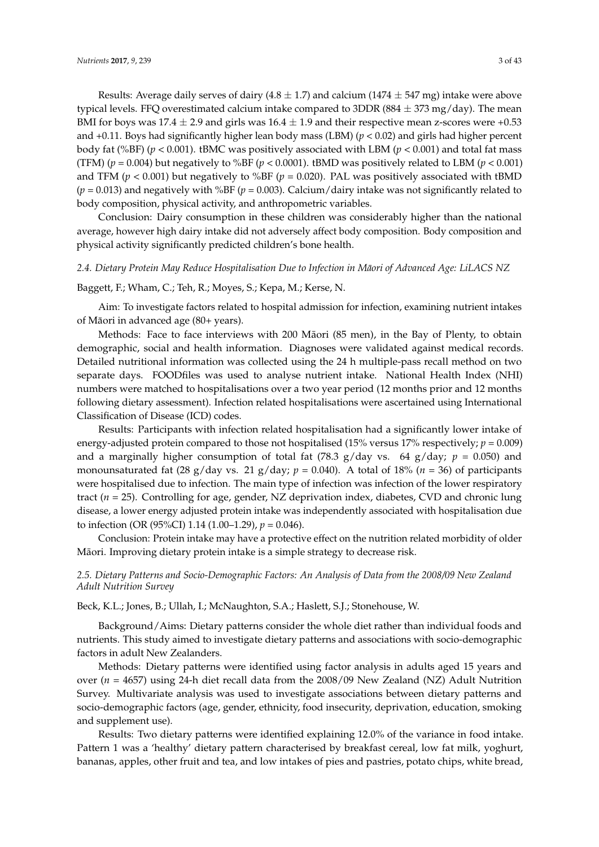Results: Average daily serves of dairy  $(4.8 \pm 1.7)$  and calcium  $(1474 \pm 547$  mg) intake were above typical levels. FFQ overestimated calcium intake compared to 3DDR ( $884 \pm 373$  mg/day). The mean BMI for boys was  $17.4 \pm 2.9$  and girls was  $16.4 \pm 1.9$  and their respective mean z-scores were +0.53 and +0.11. Boys had significantly higher lean body mass (LBM) (*p* < 0.02) and girls had higher percent body fat (%BF) ( $p < 0.001$ ). tBMC was positively associated with LBM ( $p < 0.001$ ) and total fat mass (TFM) ( $p = 0.004$ ) but negatively to %BF ( $p < 0.0001$ ). tBMD was positively related to LBM ( $p < 0.001$ ) and TFM ( $p < 0.001$ ) but negatively to %BF ( $p = 0.020$ ). PAL was positively associated with tBMD  $(p = 0.013)$  and negatively with %BF ( $p = 0.003$ ). Calcium/dairy intake was not significantly related to body composition, physical activity, and anthropometric variables.

Conclusion: Dairy consumption in these children was considerably higher than the national average, however high dairy intake did not adversely affect body composition. Body composition and physical activity significantly predicted children's bone health.

### *2.4. Dietary Protein May Reduce Hospitalisation Due to Infection in Maori of Advanced Age: LiLACS NZ ¯*

#### Baggett, F.; Wham, C.; Teh, R.; Moyes, S.; Kepa, M.; Kerse, N.

Aim: To investigate factors related to hospital admission for infection, examining nutrient intakes of Maori in advanced age (80+ years). ¯

Methods: Face to face interviews with 200 Maori (85 men), in the Bay of Plenty, to obtain ¯ demographic, social and health information. Diagnoses were validated against medical records. Detailed nutritional information was collected using the 24 h multiple-pass recall method on two separate days. FOODfiles was used to analyse nutrient intake. National Health Index (NHI) numbers were matched to hospitalisations over a two year period (12 months prior and 12 months following dietary assessment). Infection related hospitalisations were ascertained using International Classification of Disease (ICD) codes.

Results: Participants with infection related hospitalisation had a significantly lower intake of energy-adjusted protein compared to those not hospitalised (15% versus 17% respectively; *p* = 0.009) and a marginally higher consumption of total fat (78.3 g/day vs. 64 g/day;  $p = 0.050$ ) and monounsaturated fat  $(28 \text{ g/day vs. } 21 \text{ g/day}; p = 0.040)$ . A total of 18%  $(n = 36)$  of participants were hospitalised due to infection. The main type of infection was infection of the lower respiratory tract (*n* = 25). Controlling for age, gender, NZ deprivation index, diabetes, CVD and chronic lung disease, a lower energy adjusted protein intake was independently associated with hospitalisation due to infection (OR (95%CI) 1.14 (1.00–1.29), *p* = 0.046).

Conclusion: Protein intake may have a protective effect on the nutrition related morbidity of older Maori. Improving dietary protein intake is a simple strategy to decrease risk. ¯

# *2.5. Dietary Patterns and Socio-Demographic Factors: An Analysis of Data from the 2008/09 New Zealand Adult Nutrition Survey*

Beck, K.L.; Jones, B.; Ullah, I.; McNaughton, S.A.; Haslett, S.J.; Stonehouse, W.

Background/Aims: Dietary patterns consider the whole diet rather than individual foods and nutrients. This study aimed to investigate dietary patterns and associations with socio-demographic factors in adult New Zealanders.

Methods: Dietary patterns were identified using factor analysis in adults aged 15 years and over (*n* = 4657) using 24-h diet recall data from the 2008/09 New Zealand (NZ) Adult Nutrition Survey. Multivariate analysis was used to investigate associations between dietary patterns and socio-demographic factors (age, gender, ethnicity, food insecurity, deprivation, education, smoking and supplement use).

Results: Two dietary patterns were identified explaining 12.0% of the variance in food intake. Pattern 1 was a 'healthy' dietary pattern characterised by breakfast cereal, low fat milk, yoghurt, bananas, apples, other fruit and tea, and low intakes of pies and pastries, potato chips, white bread,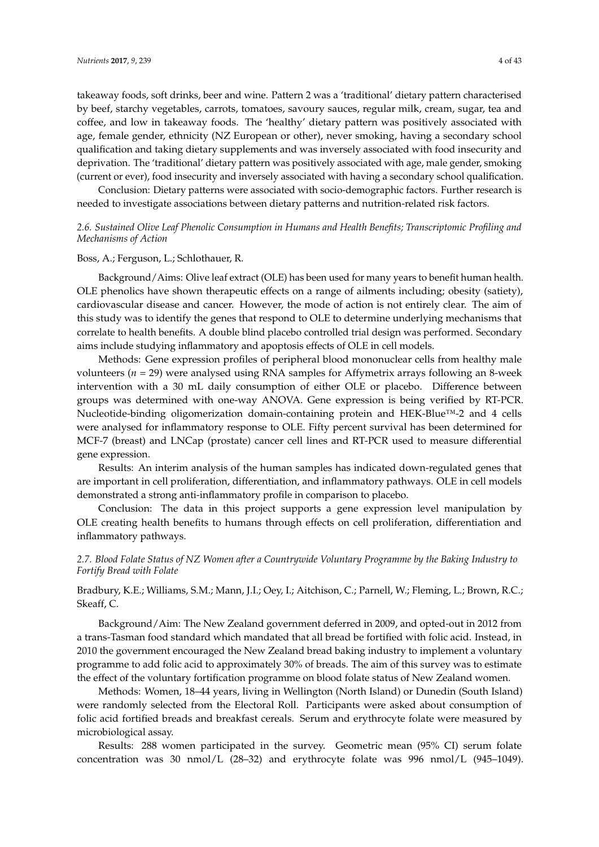takeaway foods, soft drinks, beer and wine. Pattern 2 was a 'traditional' dietary pattern characterised by beef, starchy vegetables, carrots, tomatoes, savoury sauces, regular milk, cream, sugar, tea and coffee, and low in takeaway foods. The 'healthy' dietary pattern was positively associated with age, female gender, ethnicity (NZ European or other), never smoking, having a secondary school qualification and taking dietary supplements and was inversely associated with food insecurity and deprivation. The 'traditional' dietary pattern was positively associated with age, male gender, smoking (current or ever), food insecurity and inversely associated with having a secondary school qualification.

Conclusion: Dietary patterns were associated with socio-demographic factors. Further research is needed to investigate associations between dietary patterns and nutrition-related risk factors.

# *2.6. Sustained Olive Leaf Phenolic Consumption in Humans and Health Benefits; Transcriptomic Profiling and Mechanisms of Action*

### Boss, A.; Ferguson, L.; Schlothauer, R.

Background/Aims: Olive leaf extract (OLE) has been used for many years to benefit human health. OLE phenolics have shown therapeutic effects on a range of ailments including; obesity (satiety), cardiovascular disease and cancer. However, the mode of action is not entirely clear. The aim of this study was to identify the genes that respond to OLE to determine underlying mechanisms that correlate to health benefits. A double blind placebo controlled trial design was performed. Secondary aims include studying inflammatory and apoptosis effects of OLE in cell models.

Methods: Gene expression profiles of peripheral blood mononuclear cells from healthy male volunteers (*n* = 29) were analysed using RNA samples for Affymetrix arrays following an 8-week intervention with a 30 mL daily consumption of either OLE or placebo. Difference between groups was determined with one-way ANOVA. Gene expression is being verified by RT-PCR. Nucleotide-binding oligomerization domain-containing protein and HEK-Blue™-2 and 4 cells were analysed for inflammatory response to OLE. Fifty percent survival has been determined for MCF-7 (breast) and LNCap (prostate) cancer cell lines and RT-PCR used to measure differential gene expression.

Results: An interim analysis of the human samples has indicated down-regulated genes that are important in cell proliferation, differentiation, and inflammatory pathways. OLE in cell models demonstrated a strong anti-inflammatory profile in comparison to placebo.

Conclusion: The data in this project supports a gene expression level manipulation by OLE creating health benefits to humans through effects on cell proliferation, differentiation and inflammatory pathways.

# *2.7. Blood Folate Status of NZ Women after a Countrywide Voluntary Programme by the Baking Industry to Fortify Bread with Folate*

# Bradbury, K.E.; Williams, S.M.; Mann, J.I.; Oey, I.; Aitchison, C.; Parnell, W.; Fleming, L.; Brown, R.C.; Skeaff, C.

Background/Aim: The New Zealand government deferred in 2009, and opted-out in 2012 from a trans-Tasman food standard which mandated that all bread be fortified with folic acid. Instead, in 2010 the government encouraged the New Zealand bread baking industry to implement a voluntary programme to add folic acid to approximately 30% of breads. The aim of this survey was to estimate the effect of the voluntary fortification programme on blood folate status of New Zealand women.

Methods: Women, 18–44 years, living in Wellington (North Island) or Dunedin (South Island) were randomly selected from the Electoral Roll. Participants were asked about consumption of folic acid fortified breads and breakfast cereals. Serum and erythrocyte folate were measured by microbiological assay.

Results: 288 women participated in the survey. Geometric mean (95% CI) serum folate concentration was 30 nmol/L (28–32) and erythrocyte folate was 996 nmol/L (945–1049).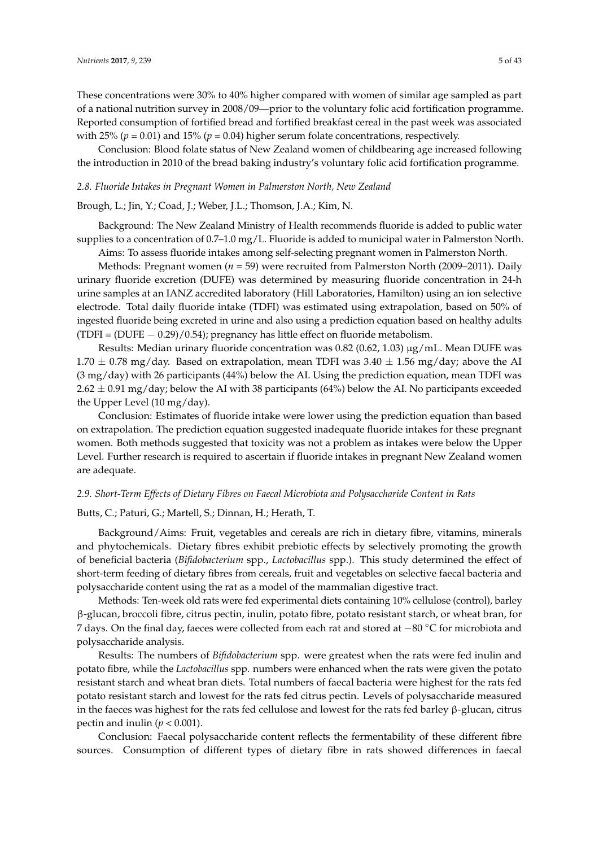These concentrations were 30% to 40% higher compared with women of similar age sampled as part of a national nutrition survey in 2008/09—prior to the voluntary folic acid fortification programme. Reported consumption of fortified bread and fortified breakfast cereal in the past week was associated with 25% ( $p = 0.01$ ) and 15% ( $p = 0.04$ ) higher serum folate concentrations, respectively.

Conclusion: Blood folate status of New Zealand women of childbearing age increased following the introduction in 2010 of the bread baking industry's voluntary folic acid fortification programme.

#### *2.8. Fluoride Intakes in Pregnant Women in Palmerston North, New Zealand*

#### Brough, L.; Jin, Y.; Coad, J.; Weber, J.L.; Thomson, J.A.; Kim, N.

Background: The New Zealand Ministry of Health recommends fluoride is added to public water supplies to a concentration of 0.7–1.0 mg/L. Fluoride is added to municipal water in Palmerston North.

Aims: To assess fluoride intakes among self-selecting pregnant women in Palmerston North.

Methods: Pregnant women (*n* = 59) were recruited from Palmerston North (2009–2011). Daily urinary fluoride excretion (DUFE) was determined by measuring fluoride concentration in 24-h urine samples at an IANZ accredited laboratory (Hill Laboratories, Hamilton) using an ion selective electrode. Total daily fluoride intake (TDFI) was estimated using extrapolation, based on 50% of ingested fluoride being excreted in urine and also using a prediction equation based on healthy adults (TDFI = (DUFE − 0.29)/0.54); pregnancy has little effect on fluoride metabolism.

Results: Median urinary fluoride concentration was  $0.82$  (0.62, 1.03)  $\mu$ g/mL. Mean DUFE was 1.70  $\pm$  0.78 mg/day. Based on extrapolation, mean TDFI was 3.40  $\pm$  1.56 mg/day; above the AI (3 mg/day) with 26 participants (44%) below the AI. Using the prediction equation, mean TDFI was  $2.62 \pm 0.91$  mg/day; below the AI with 38 participants (64%) below the AI. No participants exceeded the Upper Level (10 mg/day).

Conclusion: Estimates of fluoride intake were lower using the prediction equation than based on extrapolation. The prediction equation suggested inadequate fluoride intakes for these pregnant women. Both methods suggested that toxicity was not a problem as intakes were below the Upper Level. Further research is required to ascertain if fluoride intakes in pregnant New Zealand women are adequate.

### *2.9. Short-Term Effects of Dietary Fibres on Faecal Microbiota and Polysaccharide Content in Rats*

Butts, C.; Paturi, G.; Martell, S.; Dinnan, H.; Herath, T.

Background/Aims: Fruit, vegetables and cereals are rich in dietary fibre, vitamins, minerals and phytochemicals. Dietary fibres exhibit prebiotic effects by selectively promoting the growth of beneficial bacteria (*Bifidobacterium* spp., *Lactobacillus* spp.). This study determined the effect of short-term feeding of dietary fibres from cereals, fruit and vegetables on selective faecal bacteria and polysaccharide content using the rat as a model of the mammalian digestive tract.

Methods: Ten-week old rats were fed experimental diets containing 10% cellulose (control), barley β-glucan, broccoli fibre, citrus pectin, inulin, potato fibre, potato resistant starch, or wheat bran, for 7 days. On the final day, faeces were collected from each rat and stored at −80 ◦C for microbiota and polysaccharide analysis.

Results: The numbers of *Bifidobacterium* spp. were greatest when the rats were fed inulin and potato fibre, while the *Lactobacillus* spp. numbers were enhanced when the rats were given the potato resistant starch and wheat bran diets. Total numbers of faecal bacteria were highest for the rats fed potato resistant starch and lowest for the rats fed citrus pectin. Levels of polysaccharide measured in the faeces was highest for the rats fed cellulose and lowest for the rats fed barley  $\beta$ -glucan, citrus pectin and inulin ( $p < 0.001$ ).

Conclusion: Faecal polysaccharide content reflects the fermentability of these different fibre sources. Consumption of different types of dietary fibre in rats showed differences in faecal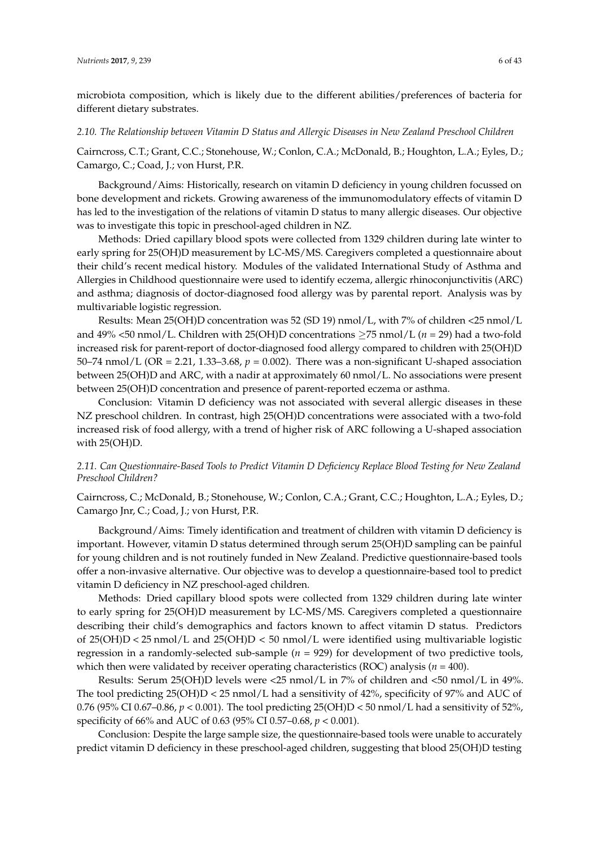microbiota composition, which is likely due to the different abilities/preferences of bacteria for different dietary substrates.

#### *2.10. The Relationship between Vitamin D Status and Allergic Diseases in New Zealand Preschool Children*

Cairncross, C.T.; Grant, C.C.; Stonehouse, W.; Conlon, C.A.; McDonald, B.; Houghton, L.A.; Eyles, D.; Camargo, C.; Coad, J.; von Hurst, P.R.

Background/Aims: Historically, research on vitamin D deficiency in young children focussed on bone development and rickets. Growing awareness of the immunomodulatory effects of vitamin D has led to the investigation of the relations of vitamin D status to many allergic diseases. Our objective was to investigate this topic in preschool-aged children in NZ.

Methods: Dried capillary blood spots were collected from 1329 children during late winter to early spring for 25(OH)D measurement by LC-MS/MS. Caregivers completed a questionnaire about their child's recent medical history. Modules of the validated International Study of Asthma and Allergies in Childhood questionnaire were used to identify eczema, allergic rhinoconjunctivitis (ARC) and asthma; diagnosis of doctor-diagnosed food allergy was by parental report. Analysis was by multivariable logistic regression.

Results: Mean 25(OH)D concentration was 52 (SD 19) nmol/L, with 7% of children <25 nmol/L and 49% <50 nmol/L. Children with 25(OH)D concentrations ≥75 nmol/L (*n* = 29) had a two-fold increased risk for parent-report of doctor-diagnosed food allergy compared to children with 25(OH)D 50–74 nmol/L (OR = 2.21, 1.33–3.68,  $p = 0.002$ ). There was a non-significant U-shaped association between 25(OH)D and ARC, with a nadir at approximately 60 nmol/L. No associations were present between 25(OH)D concentration and presence of parent-reported eczema or asthma.

Conclusion: Vitamin D deficiency was not associated with several allergic diseases in these NZ preschool children. In contrast, high 25(OH)D concentrations were associated with a two-fold increased risk of food allergy, with a trend of higher risk of ARC following a U-shaped association with 25(OH)D.

# *2.11. Can Questionnaire-Based Tools to Predict Vitamin D Deficiency Replace Blood Testing for New Zealand Preschool Children?*

Cairncross, C.; McDonald, B.; Stonehouse, W.; Conlon, C.A.; Grant, C.C.; Houghton, L.A.; Eyles, D.; Camargo Jnr, C.; Coad, J.; von Hurst, P.R.

Background/Aims: Timely identification and treatment of children with vitamin D deficiency is important. However, vitamin D status determined through serum 25(OH)D sampling can be painful for young children and is not routinely funded in New Zealand. Predictive questionnaire-based tools offer a non-invasive alternative. Our objective was to develop a questionnaire-based tool to predict vitamin D deficiency in NZ preschool-aged children.

Methods: Dried capillary blood spots were collected from 1329 children during late winter to early spring for 25(OH)D measurement by LC-MS/MS. Caregivers completed a questionnaire describing their child's demographics and factors known to affect vitamin D status. Predictors of  $25(OH)D < 25$  nmol/L and  $25(OH)D < 50$  nmol/L were identified using multivariable logistic regression in a randomly-selected sub-sample (*n* = 929) for development of two predictive tools, which then were validated by receiver operating characteristics (ROC) analysis (*n* = 400).

Results: Serum 25(OH)D levels were <25 nmol/L in 7% of children and <50 nmol/L in 49%. The tool predicting 25(OH)D < 25 nmol/L had a sensitivity of 42%, specificity of 97% and AUC of 0.76 (95% CI 0.67–0.86, *p* < 0.001). The tool predicting 25(OH)D < 50 nmol/L had a sensitivity of 52%, specificity of 66% and AUC of 0.63 (95% CI 0.57–0.68, *p* < 0.001).

Conclusion: Despite the large sample size, the questionnaire-based tools were unable to accurately predict vitamin D deficiency in these preschool-aged children, suggesting that blood 25(OH)D testing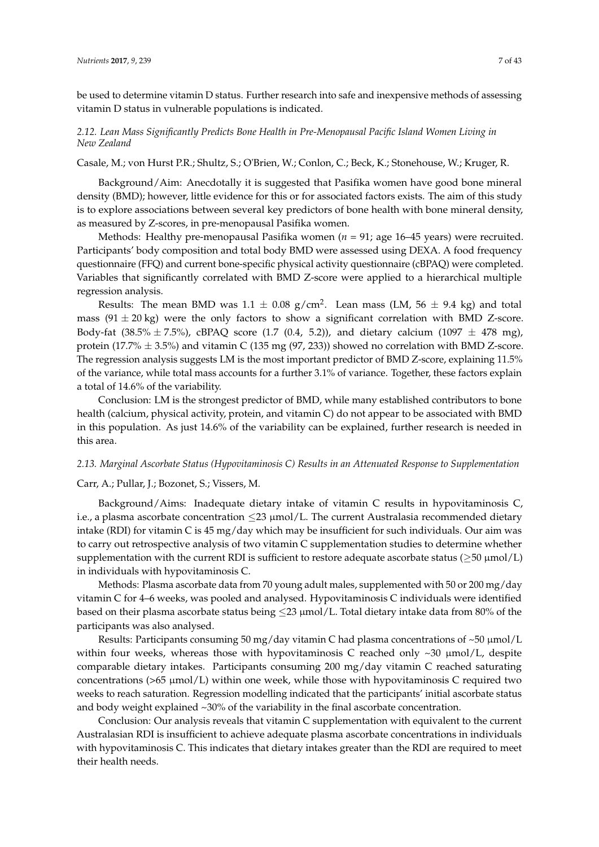be used to determine vitamin D status. Further research into safe and inexpensive methods of assessing vitamin D status in vulnerable populations is indicated.

# *2.12. Lean Mass Significantly Predicts Bone Health in Pre-Menopausal Pacific Island Women Living in New Zealand*

Casale, M.; von Hurst P.R.; Shultz, S.; O'Brien, W.; Conlon, C.; Beck, K.; Stonehouse, W.; Kruger, R.

Background/Aim: Anecdotally it is suggested that Pasifika women have good bone mineral density (BMD); however, little evidence for this or for associated factors exists. The aim of this study is to explore associations between several key predictors of bone health with bone mineral density, as measured by Z-scores, in pre-menopausal Pasifika women.

Methods: Healthy pre-menopausal Pasifika women (*n* = 91; age 16–45 years) were recruited. Participants' body composition and total body BMD were assessed using DEXA. A food frequency questionnaire (FFQ) and current bone-specific physical activity questionnaire (cBPAQ) were completed. Variables that significantly correlated with BMD Z-score were applied to a hierarchical multiple regression analysis.

Results: The mean BMD was 1.1  $\pm$  0.08 g/cm<sup>2</sup>. Lean mass (LM, 56  $\pm$  9.4 kg) and total mass  $(91 \pm 20 \text{ kg})$  were the only factors to show a significant correlation with BMD Z-score. Body-fat (38.5%  $\pm$  7.5%), cBPAQ score (1.7 (0.4, 5.2)), and dietary calcium (1097  $\pm$  478 mg), protein (17.7%  $\pm$  3.5%) and vitamin C (135 mg (97, 233)) showed no correlation with BMD Z-score. The regression analysis suggests LM is the most important predictor of BMD Z-score, explaining 11.5% of the variance, while total mass accounts for a further 3.1% of variance. Together, these factors explain a total of 14.6% of the variability.

Conclusion: LM is the strongest predictor of BMD, while many established contributors to bone health (calcium, physical activity, protein, and vitamin C) do not appear to be associated with BMD in this population. As just 14.6% of the variability can be explained, further research is needed in this area.

### *2.13. Marginal Ascorbate Status (Hypovitaminosis C) Results in an Attenuated Response to Supplementation*

# Carr, A.; Pullar, J.; Bozonet, S.; Vissers, M.

Background/Aims: Inadequate dietary intake of vitamin C results in hypovitaminosis C, i.e., a plasma ascorbate concentration  $\leq$ 23  $\mu$ mol/L. The current Australasia recommended dietary intake (RDI) for vitamin C is 45 mg/day which may be insufficient for such individuals. Our aim was to carry out retrospective analysis of two vitamin C supplementation studies to determine whether supplementation with the current RDI is sufficient to restore adequate ascorbate status ( $\geq 50 \mu \text{mol/L}$ ) in individuals with hypovitaminosis C.

Methods: Plasma ascorbate data from 70 young adult males, supplemented with 50 or 200 mg/day vitamin C for 4–6 weeks, was pooled and analysed. Hypovitaminosis C individuals were identified based on their plasma ascorbate status being  $\leq$ 23 µmol/L. Total dietary intake data from 80% of the participants was also analysed.

Results: Participants consuming 50 mg/day vitamin C had plasma concentrations of  $\sim$ 50 µmol/L within four weeks, whereas those with hypovitaminosis C reached only  $\sim$ 30  $\mu$ mol/L, despite comparable dietary intakes. Participants consuming 200 mg/day vitamin C reached saturating concentrations ( $>65 \mu$ mol/L) within one week, while those with hypovitaminosis C required two weeks to reach saturation. Regression modelling indicated that the participants' initial ascorbate status and body weight explained ~30% of the variability in the final ascorbate concentration.

Conclusion: Our analysis reveals that vitamin C supplementation with equivalent to the current Australasian RDI is insufficient to achieve adequate plasma ascorbate concentrations in individuals with hypovitaminosis C. This indicates that dietary intakes greater than the RDI are required to meet their health needs.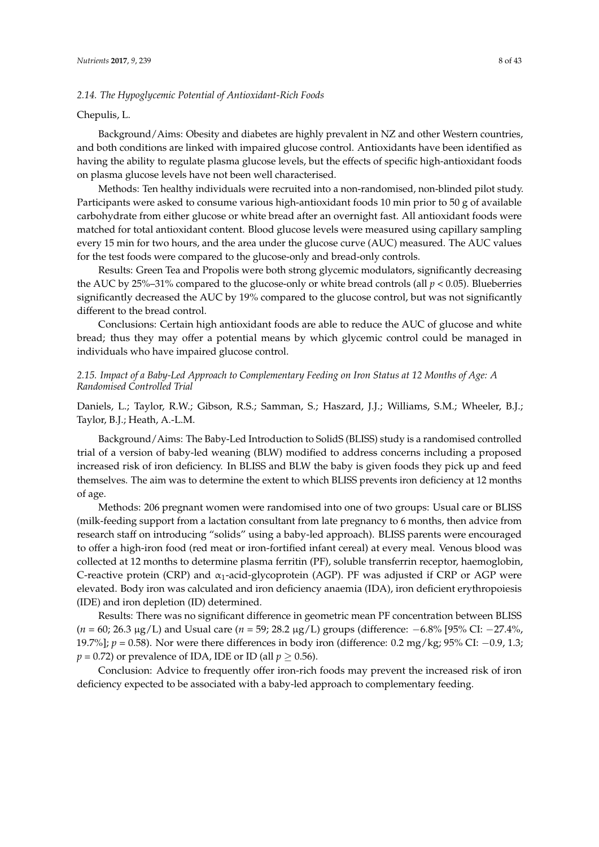### *2.14. The Hypoglycemic Potential of Antioxidant-Rich Foods*

### Chepulis, L.

Background/Aims: Obesity and diabetes are highly prevalent in NZ and other Western countries, and both conditions are linked with impaired glucose control. Antioxidants have been identified as having the ability to regulate plasma glucose levels, but the effects of specific high-antioxidant foods on plasma glucose levels have not been well characterised.

Methods: Ten healthy individuals were recruited into a non-randomised, non-blinded pilot study. Participants were asked to consume various high-antioxidant foods 10 min prior to 50 g of available carbohydrate from either glucose or white bread after an overnight fast. All antioxidant foods were matched for total antioxidant content. Blood glucose levels were measured using capillary sampling every 15 min for two hours, and the area under the glucose curve (AUC) measured. The AUC values for the test foods were compared to the glucose-only and bread-only controls.

Results: Green Tea and Propolis were both strong glycemic modulators, significantly decreasing the AUC by 25%–31% compared to the glucose-only or white bread controls (all  $p < 0.05$ ). Blueberries significantly decreased the AUC by 19% compared to the glucose control, but was not significantly different to the bread control.

Conclusions: Certain high antioxidant foods are able to reduce the AUC of glucose and white bread; thus they may offer a potential means by which glycemic control could be managed in individuals who have impaired glucose control.

# *2.15. Impact of a Baby-Led Approach to Complementary Feeding on Iron Status at 12 Months of Age: A Randomised Controlled Trial*

Daniels, L.; Taylor, R.W.; Gibson, R.S.; Samman, S.; Haszard, J.J.; Williams, S.M.; Wheeler, B.J.; Taylor, B.J.; Heath, A.-L.M.

Background/Aims: The Baby-Led Introduction to SolidS (BLISS) study is a randomised controlled trial of a version of baby-led weaning (BLW) modified to address concerns including a proposed increased risk of iron deficiency. In BLISS and BLW the baby is given foods they pick up and feed themselves. The aim was to determine the extent to which BLISS prevents iron deficiency at 12 months of age.

Methods: 206 pregnant women were randomised into one of two groups: Usual care or BLISS (milk-feeding support from a lactation consultant from late pregnancy to 6 months, then advice from research staff on introducing "solids" using a baby-led approach). BLISS parents were encouraged to offer a high-iron food (red meat or iron-fortified infant cereal) at every meal. Venous blood was collected at 12 months to determine plasma ferritin (PF), soluble transferrin receptor, haemoglobin, C-reactive protein (CRP) and  $\alpha_1$ -acid-glycoprotein (AGP). PF was adjusted if CRP or AGP were elevated. Body iron was calculated and iron deficiency anaemia (IDA), iron deficient erythropoiesis (IDE) and iron depletion (ID) determined.

Results: There was no significant difference in geometric mean PF concentration between BLISS (*n* = 60; 26.3 µg/L) and Usual care (*n* = 59; 28.2 µg/L) groups (difference: −6.8% [95% CI: −27.4%, 19.7%]; *p =* 0.58). Nor were there differences in body iron (difference: 0.2 mg/kg; 95% CI: −0.9, 1.3;  $p = 0.72$ ) or prevalence of IDA, IDE or ID (all  $p \ge 0.56$ ).

Conclusion: Advice to frequently offer iron-rich foods may prevent the increased risk of iron deficiency expected to be associated with a baby-led approach to complementary feeding.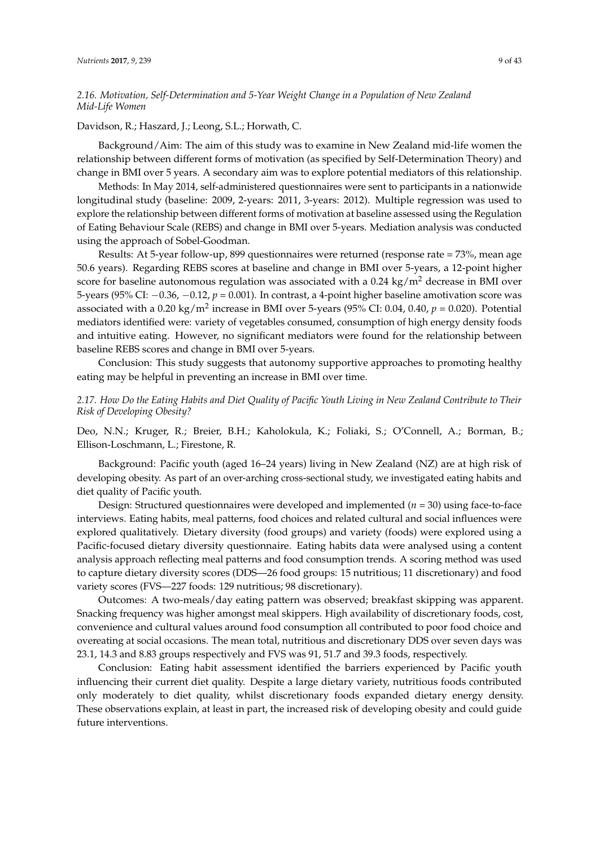# *2.16. Motivation, Self-Determination and 5-Year Weight Change in a Population of New Zealand Mid-Life Women*

Davidson, R.; Haszard, J.; Leong, S.L.; Horwath, C.

Background/Aim: The aim of this study was to examine in New Zealand mid-life women the relationship between different forms of motivation (as specified by Self-Determination Theory) and change in BMI over 5 years. A secondary aim was to explore potential mediators of this relationship.

Methods: In May 2014, self-administered questionnaires were sent to participants in a nationwide longitudinal study (baseline: 2009, 2-years: 2011, 3-years: 2012). Multiple regression was used to explore the relationship between different forms of motivation at baseline assessed using the Regulation of Eating Behaviour Scale (REBS) and change in BMI over 5-years. Mediation analysis was conducted using the approach of Sobel-Goodman.

Results: At 5-year follow-up, 899 questionnaires were returned (response rate = 73%, mean age 50.6 years). Regarding REBS scores at baseline and change in BMI over 5-years, a 12-point higher score for baseline autonomous regulation was associated with a  $0.24 \text{ kg/m}^2$  decrease in BMI over 5-years (95% CI: −0.36, −0.12, *p* = 0.001). In contrast, a 4-point higher baseline amotivation score was associated with a 0.20 kg/m<sup>2</sup> increase in BMI over 5-years (95% CI: 0.04, 0.40,  $p = 0.020$ ). Potential mediators identified were: variety of vegetables consumed, consumption of high energy density foods and intuitive eating. However, no significant mediators were found for the relationship between baseline REBS scores and change in BMI over 5-years.

Conclusion: This study suggests that autonomy supportive approaches to promoting healthy eating may be helpful in preventing an increase in BMI over time.

# *2.17. How Do the Eating Habits and Diet Quality of Pacific Youth Living in New Zealand Contribute to Their Risk of Developing Obesity?*

Deo, N.N.; Kruger, R.; Breier, B.H.; Kaholokula, K.; Foliaki, S.; O'Connell, A.; Borman, B.; Ellison-Loschmann, L.; Firestone, R.

Background: Pacific youth (aged 16–24 years) living in New Zealand (NZ) are at high risk of developing obesity. As part of an over-arching cross-sectional study, we investigated eating habits and diet quality of Pacific youth.

Design: Structured questionnaires were developed and implemented (*n* = 30) using face-to-face interviews. Eating habits, meal patterns, food choices and related cultural and social influences were explored qualitatively. Dietary diversity (food groups) and variety (foods) were explored using a Pacific-focused dietary diversity questionnaire. Eating habits data were analysed using a content analysis approach reflecting meal patterns and food consumption trends. A scoring method was used to capture dietary diversity scores (DDS—26 food groups: 15 nutritious; 11 discretionary) and food variety scores (FVS—227 foods: 129 nutritious; 98 discretionary).

Outcomes: A two-meals/day eating pattern was observed; breakfast skipping was apparent. Snacking frequency was higher amongst meal skippers. High availability of discretionary foods, cost, convenience and cultural values around food consumption all contributed to poor food choice and overeating at social occasions. The mean total, nutritious and discretionary DDS over seven days was 23.1, 14.3 and 8.83 groups respectively and FVS was 91, 51.7 and 39.3 foods, respectively.

Conclusion: Eating habit assessment identified the barriers experienced by Pacific youth influencing their current diet quality. Despite a large dietary variety, nutritious foods contributed only moderately to diet quality, whilst discretionary foods expanded dietary energy density. These observations explain, at least in part, the increased risk of developing obesity and could guide future interventions.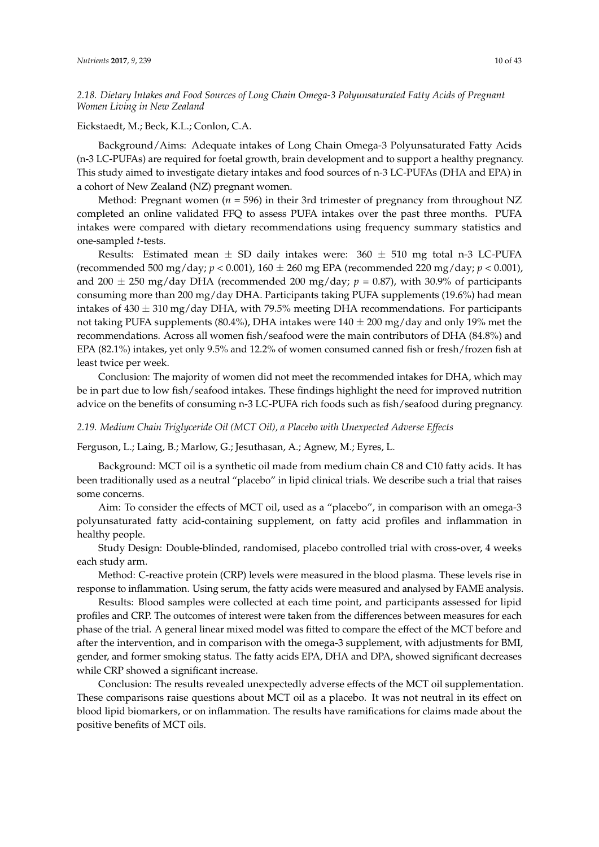*2.18. Dietary Intakes and Food Sources of Long Chain Omega-3 Polyunsaturated Fatty Acids of Pregnant Women Living in New Zealand*

# Eickstaedt, M.; Beck, K.L.; Conlon, C.A.

Background/Aims: Adequate intakes of Long Chain Omega-3 Polyunsaturated Fatty Acids (n-3 LC-PUFAs) are required for foetal growth, brain development and to support a healthy pregnancy. This study aimed to investigate dietary intakes and food sources of n-3 LC-PUFAs (DHA and EPA) in a cohort of New Zealand (NZ) pregnant women.

Method: Pregnant women (*n* = 596) in their 3rd trimester of pregnancy from throughout NZ completed an online validated FFQ to assess PUFA intakes over the past three months. PUFA intakes were compared with dietary recommendations using frequency summary statistics and one-sampled *t*-tests.

Results: Estimated mean  $\pm$  SD daily intakes were: 360  $\pm$  510 mg total n-3 LC-PUFA (recommended 500 mg/day; *p* < 0.001), 160 ± 260 mg EPA (recommended 220 mg/day; *p* < 0.001), and 200  $\pm$  250 mg/day DHA (recommended 200 mg/day;  $p = 0.87$ ), with 30.9% of participants consuming more than 200 mg/day DHA. Participants taking PUFA supplements (19.6%) had mean intakes of  $430 \pm 310$  mg/day DHA, with 79.5% meeting DHA recommendations. For participants not taking PUFA supplements (80.4%), DHA intakes were  $140 \pm 200$  mg/day and only 19% met the recommendations. Across all women fish/seafood were the main contributors of DHA (84.8%) and EPA (82.1%) intakes, yet only 9.5% and 12.2% of women consumed canned fish or fresh/frozen fish at least twice per week.

Conclusion: The majority of women did not meet the recommended intakes for DHA, which may be in part due to low fish/seafood intakes. These findings highlight the need for improved nutrition advice on the benefits of consuming n-3 LC-PUFA rich foods such as fish/seafood during pregnancy.

### *2.19. Medium Chain Triglyceride Oil (MCT Oil), a Placebo with Unexpected Adverse Effects*

Ferguson, L.; Laing, B.; Marlow, G.; Jesuthasan, A.; Agnew, M.; Eyres, L.

Background: MCT oil is a synthetic oil made from medium chain C8 and C10 fatty acids. It has been traditionally used as a neutral "placebo" in lipid clinical trials. We describe such a trial that raises some concerns.

Aim: To consider the effects of MCT oil, used as a "placebo", in comparison with an omega-3 polyunsaturated fatty acid-containing supplement, on fatty acid profiles and inflammation in healthy people.

Study Design: Double-blinded, randomised, placebo controlled trial with cross-over, 4 weeks each study arm.

Method: C-reactive protein (CRP) levels were measured in the blood plasma. These levels rise in response to inflammation. Using serum, the fatty acids were measured and analysed by FAME analysis.

Results: Blood samples were collected at each time point, and participants assessed for lipid profiles and CRP. The outcomes of interest were taken from the differences between measures for each phase of the trial. A general linear mixed model was fitted to compare the effect of the MCT before and after the intervention, and in comparison with the omega-3 supplement, with adjustments for BMI, gender, and former smoking status. The fatty acids EPA, DHA and DPA, showed significant decreases while CRP showed a significant increase.

Conclusion: The results revealed unexpectedly adverse effects of the MCT oil supplementation. These comparisons raise questions about MCT oil as a placebo. It was not neutral in its effect on blood lipid biomarkers, or on inflammation. The results have ramifications for claims made about the positive benefits of MCT oils.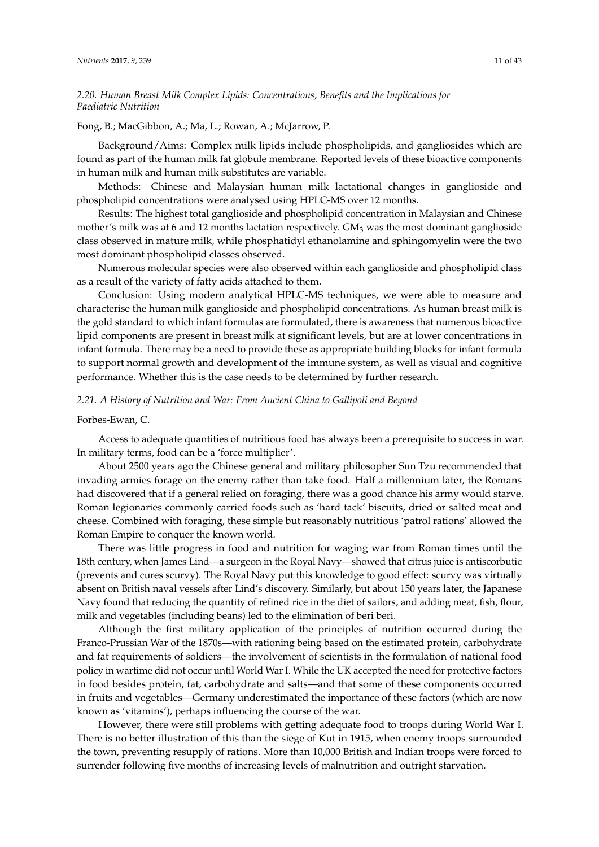# *2.20. Human Breast Milk Complex Lipids: Concentrations, Benefits and the Implications for Paediatric Nutrition*

Fong, B.; MacGibbon, A.; Ma, L.; Rowan, A.; McJarrow, P.

Background/Aims: Complex milk lipids include phospholipids, and gangliosides which are found as part of the human milk fat globule membrane. Reported levels of these bioactive components in human milk and human milk substitutes are variable.

Methods: Chinese and Malaysian human milk lactational changes in ganglioside and phospholipid concentrations were analysed using HPLC-MS over 12 months.

Results: The highest total ganglioside and phospholipid concentration in Malaysian and Chinese mother's milk was at 6 and 12 months lactation respectively.  $GM<sub>3</sub>$  was the most dominant ganglioside class observed in mature milk, while phosphatidyl ethanolamine and sphingomyelin were the two most dominant phospholipid classes observed.

Numerous molecular species were also observed within each ganglioside and phospholipid class as a result of the variety of fatty acids attached to them.

Conclusion: Using modern analytical HPLC-MS techniques, we were able to measure and characterise the human milk ganglioside and phospholipid concentrations. As human breast milk is the gold standard to which infant formulas are formulated, there is awareness that numerous bioactive lipid components are present in breast milk at significant levels, but are at lower concentrations in infant formula. There may be a need to provide these as appropriate building blocks for infant formula to support normal growth and development of the immune system, as well as visual and cognitive performance. Whether this is the case needs to be determined by further research.

# *2.21. A History of Nutrition and War: From Ancient China to Gallipoli and Beyond*

# Forbes-Ewan, C.

Access to adequate quantities of nutritious food has always been a prerequisite to success in war. In military terms, food can be a 'force multiplier'.

About 2500 years ago the Chinese general and military philosopher Sun Tzu recommended that invading armies forage on the enemy rather than take food. Half a millennium later, the Romans had discovered that if a general relied on foraging, there was a good chance his army would starve. Roman legionaries commonly carried foods such as 'hard tack' biscuits, dried or salted meat and cheese. Combined with foraging, these simple but reasonably nutritious 'patrol rations' allowed the Roman Empire to conquer the known world.

There was little progress in food and nutrition for waging war from Roman times until the 18th century, when James Lind—a surgeon in the Royal Navy—showed that citrus juice is antiscorbutic (prevents and cures scurvy). The Royal Navy put this knowledge to good effect: scurvy was virtually absent on British naval vessels after Lind's discovery. Similarly, but about 150 years later, the Japanese Navy found that reducing the quantity of refined rice in the diet of sailors, and adding meat, fish, flour, milk and vegetables (including beans) led to the elimination of beri beri.

Although the first military application of the principles of nutrition occurred during the Franco-Prussian War of the 1870s—with rationing being based on the estimated protein, carbohydrate and fat requirements of soldiers—the involvement of scientists in the formulation of national food policy in wartime did not occur until World War I. While the UK accepted the need for protective factors in food besides protein, fat, carbohydrate and salts—and that some of these components occurred in fruits and vegetables—Germany underestimated the importance of these factors (which are now known as 'vitamins'), perhaps influencing the course of the war.

However, there were still problems with getting adequate food to troops during World War I. There is no better illustration of this than the siege of Kut in 1915, when enemy troops surrounded the town, preventing resupply of rations. More than 10,000 British and Indian troops were forced to surrender following five months of increasing levels of malnutrition and outright starvation.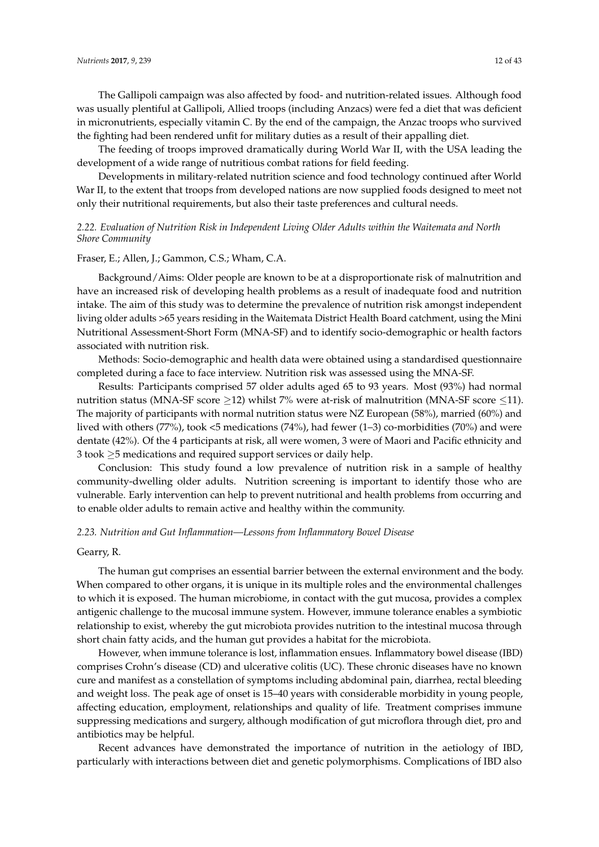The Gallipoli campaign was also affected by food- and nutrition-related issues. Although food was usually plentiful at Gallipoli, Allied troops (including Anzacs) were fed a diet that was deficient in micronutrients, especially vitamin C. By the end of the campaign, the Anzac troops who survived the fighting had been rendered unfit for military duties as a result of their appalling diet.

The feeding of troops improved dramatically during World War II, with the USA leading the development of a wide range of nutritious combat rations for field feeding.

Developments in military-related nutrition science and food technology continued after World War II, to the extent that troops from developed nations are now supplied foods designed to meet not only their nutritional requirements, but also their taste preferences and cultural needs.

# *2.22. Evaluation of Nutrition Risk in Independent Living Older Adults within the Waitemata and North Shore Community*

### Fraser, E.; Allen, J.; Gammon, C.S.; Wham, C.A.

Background/Aims: Older people are known to be at a disproportionate risk of malnutrition and have an increased risk of developing health problems as a result of inadequate food and nutrition intake. The aim of this study was to determine the prevalence of nutrition risk amongst independent living older adults >65 years residing in the Waitemata District Health Board catchment, using the Mini Nutritional Assessment-Short Form (MNA-SF) and to identify socio-demographic or health factors associated with nutrition risk.

Methods: Socio-demographic and health data were obtained using a standardised questionnaire completed during a face to face interview. Nutrition risk was assessed using the MNA-SF.

Results: Participants comprised 57 older adults aged 65 to 93 years. Most (93%) had normal nutrition status (MNA-SF score  $\geq$ 12) whilst 7% were at-risk of malnutrition (MNA-SF score  $\leq$ 11). The majority of participants with normal nutrition status were NZ European (58%), married (60%) and lived with others (77%), took <5 medications (74%), had fewer (1–3) co-morbidities (70%) and were dentate (42%). Of the 4 participants at risk, all were women, 3 were of Maori and Pacific ethnicity and 3 took  $\geq$ 5 medications and required support services or daily help.

Conclusion: This study found a low prevalence of nutrition risk in a sample of healthy community-dwelling older adults. Nutrition screening is important to identify those who are vulnerable. Early intervention can help to prevent nutritional and health problems from occurring and to enable older adults to remain active and healthy within the community.

# *2.23. Nutrition and Gut Inflammation—Lessons from Inflammatory Bowel Disease*

#### Gearry, R.

The human gut comprises an essential barrier between the external environment and the body. When compared to other organs, it is unique in its multiple roles and the environmental challenges to which it is exposed. The human microbiome, in contact with the gut mucosa, provides a complex antigenic challenge to the mucosal immune system. However, immune tolerance enables a symbiotic relationship to exist, whereby the gut microbiota provides nutrition to the intestinal mucosa through short chain fatty acids, and the human gut provides a habitat for the microbiota.

However, when immune tolerance is lost, inflammation ensues. Inflammatory bowel disease (IBD) comprises Crohn's disease (CD) and ulcerative colitis (UC). These chronic diseases have no known cure and manifest as a constellation of symptoms including abdominal pain, diarrhea, rectal bleeding and weight loss. The peak age of onset is 15–40 years with considerable morbidity in young people, affecting education, employment, relationships and quality of life. Treatment comprises immune suppressing medications and surgery, although modification of gut microflora through diet, pro and antibiotics may be helpful.

Recent advances have demonstrated the importance of nutrition in the aetiology of IBD, particularly with interactions between diet and genetic polymorphisms. Complications of IBD also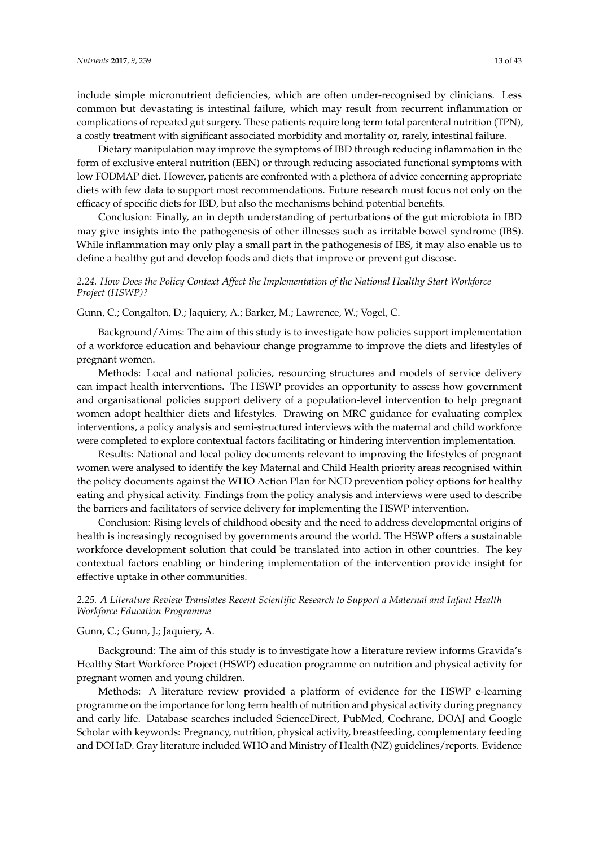include simple micronutrient deficiencies, which are often under-recognised by clinicians. Less common but devastating is intestinal failure, which may result from recurrent inflammation or complications of repeated gut surgery. These patients require long term total parenteral nutrition (TPN), a costly treatment with significant associated morbidity and mortality or, rarely, intestinal failure.

Dietary manipulation may improve the symptoms of IBD through reducing inflammation in the form of exclusive enteral nutrition (EEN) or through reducing associated functional symptoms with low FODMAP diet. However, patients are confronted with a plethora of advice concerning appropriate diets with few data to support most recommendations. Future research must focus not only on the efficacy of specific diets for IBD, but also the mechanisms behind potential benefits.

Conclusion: Finally, an in depth understanding of perturbations of the gut microbiota in IBD may give insights into the pathogenesis of other illnesses such as irritable bowel syndrome (IBS). While inflammation may only play a small part in the pathogenesis of IBS, it may also enable us to define a healthy gut and develop foods and diets that improve or prevent gut disease.

# *2.24. How Does the Policy Context Affect the Implementation of the National Healthy Start Workforce Project (HSWP)?*

# Gunn, C.; Congalton, D.; Jaquiery, A.; Barker, M.; Lawrence, W.; Vogel, C.

Background/Aims: The aim of this study is to investigate how policies support implementation of a workforce education and behaviour change programme to improve the diets and lifestyles of pregnant women.

Methods: Local and national policies, resourcing structures and models of service delivery can impact health interventions. The HSWP provides an opportunity to assess how government and organisational policies support delivery of a population-level intervention to help pregnant women adopt healthier diets and lifestyles. Drawing on MRC guidance for evaluating complex interventions, a policy analysis and semi-structured interviews with the maternal and child workforce were completed to explore contextual factors facilitating or hindering intervention implementation.

Results: National and local policy documents relevant to improving the lifestyles of pregnant women were analysed to identify the key Maternal and Child Health priority areas recognised within the policy documents against the WHO Action Plan for NCD prevention policy options for healthy eating and physical activity. Findings from the policy analysis and interviews were used to describe the barriers and facilitators of service delivery for implementing the HSWP intervention.

Conclusion: Rising levels of childhood obesity and the need to address developmental origins of health is increasingly recognised by governments around the world. The HSWP offers a sustainable workforce development solution that could be translated into action in other countries. The key contextual factors enabling or hindering implementation of the intervention provide insight for effective uptake in other communities.

# *2.25. A Literature Review Translates Recent Scientific Research to Support a Maternal and Infant Health Workforce Education Programme*

#### Gunn, C.; Gunn, J.; Jaquiery, A.

Background: The aim of this study is to investigate how a literature review informs Gravida's Healthy Start Workforce Project (HSWP) education programme on nutrition and physical activity for pregnant women and young children.

Methods: A literature review provided a platform of evidence for the HSWP e-learning programme on the importance for long term health of nutrition and physical activity during pregnancy and early life. Database searches included ScienceDirect, PubMed, Cochrane, DOAJ and Google Scholar with keywords: Pregnancy, nutrition, physical activity, breastfeeding, complementary feeding and DOHaD. Gray literature included WHO and Ministry of Health (NZ) guidelines/reports. Evidence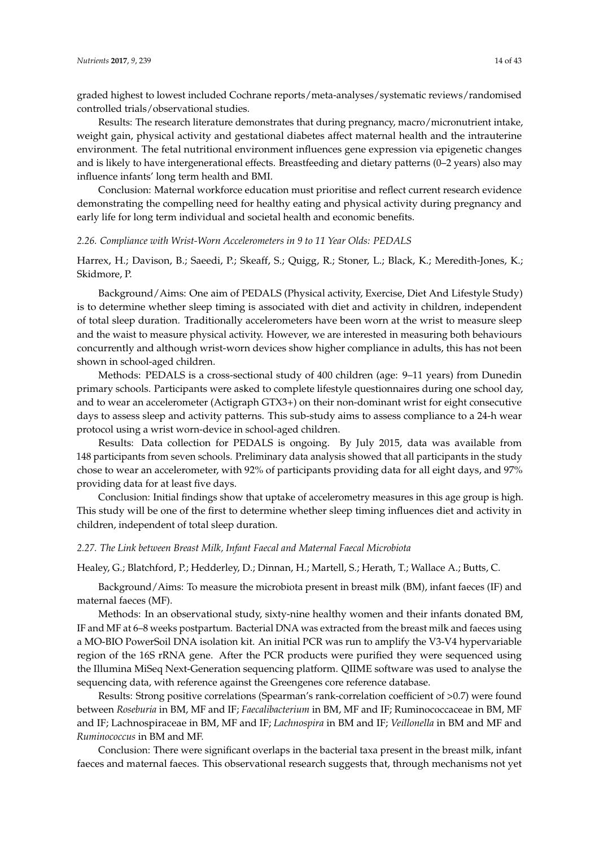graded highest to lowest included Cochrane reports/meta-analyses/systematic reviews/randomised controlled trials/observational studies.

Results: The research literature demonstrates that during pregnancy, macro/micronutrient intake, weight gain, physical activity and gestational diabetes affect maternal health and the intrauterine environment. The fetal nutritional environment influences gene expression via epigenetic changes and is likely to have intergenerational effects. Breastfeeding and dietary patterns (0–2 years) also may influence infants' long term health and BMI.

Conclusion: Maternal workforce education must prioritise and reflect current research evidence demonstrating the compelling need for healthy eating and physical activity during pregnancy and early life for long term individual and societal health and economic benefits.

### *2.26. Compliance with Wrist-Worn Accelerometers in 9 to 11 Year Olds: PEDALS*

Harrex, H.; Davison, B.; Saeedi, P.; Skeaff, S.; Quigg, R.; Stoner, L.; Black, K.; Meredith-Jones, K.; Skidmore, P.

Background/Aims: One aim of PEDALS (Physical activity, Exercise, Diet And Lifestyle Study) is to determine whether sleep timing is associated with diet and activity in children, independent of total sleep duration. Traditionally accelerometers have been worn at the wrist to measure sleep and the waist to measure physical activity. However, we are interested in measuring both behaviours concurrently and although wrist-worn devices show higher compliance in adults, this has not been shown in school-aged children.

Methods: PEDALS is a cross-sectional study of 400 children (age: 9–11 years) from Dunedin primary schools. Participants were asked to complete lifestyle questionnaires during one school day, and to wear an accelerometer (Actigraph GTX3+) on their non-dominant wrist for eight consecutive days to assess sleep and activity patterns. This sub-study aims to assess compliance to a 24-h wear protocol using a wrist worn-device in school-aged children.

Results: Data collection for PEDALS is ongoing. By July 2015, data was available from 148 participants from seven schools. Preliminary data analysis showed that all participants in the study chose to wear an accelerometer, with 92% of participants providing data for all eight days, and 97% providing data for at least five days.

Conclusion: Initial findings show that uptake of accelerometry measures in this age group is high. This study will be one of the first to determine whether sleep timing influences diet and activity in children, independent of total sleep duration.

#### *2.27. The Link between Breast Milk, Infant Faecal and Maternal Faecal Microbiota*

Healey, G.; Blatchford, P.; Hedderley, D.; Dinnan, H.; Martell, S.; Herath, T.; Wallace A.; Butts, C.

Background/Aims: To measure the microbiota present in breast milk (BM), infant faeces (IF) and maternal faeces (MF).

Methods: In an observational study, sixty-nine healthy women and their infants donated BM, IF and MF at 6–8 weeks postpartum. Bacterial DNA was extracted from the breast milk and faeces using a MO-BIO PowerSoil DNA isolation kit. An initial PCR was run to amplify the V3-V4 hypervariable region of the 16S rRNA gene. After the PCR products were purified they were sequenced using the Illumina MiSeq Next-Generation sequencing platform. QIIME software was used to analyse the sequencing data, with reference against the Greengenes core reference database.

Results: Strong positive correlations (Spearman's rank-correlation coefficient of >0.7) were found between *Roseburia* in BM, MF and IF; *Faecalibacterium* in BM, MF and IF; Ruminococcaceae in BM, MF and IF; Lachnospiraceae in BM, MF and IF; *Lachnospira* in BM and IF; *Veillonella* in BM and MF and *Ruminococcus* in BM and MF.

Conclusion: There were significant overlaps in the bacterial taxa present in the breast milk, infant faeces and maternal faeces. This observational research suggests that, through mechanisms not yet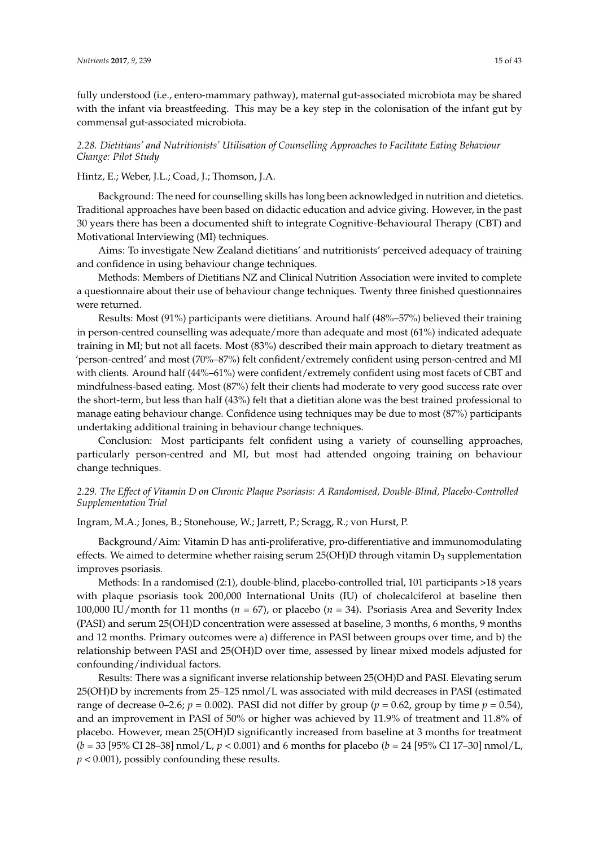fully understood (i.e., entero-mammary pathway), maternal gut-associated microbiota may be shared with the infant via breastfeeding. This may be a key step in the colonisation of the infant gut by commensal gut-associated microbiota.

*2.28. Dietitians' and Nutritionists' Utilisation of Counselling Approaches to Facilitate Eating Behaviour Change: Pilot Study*

Hintz, E.; Weber, J.L.; Coad, J.; Thomson, J.A.

Background: The need for counselling skills has long been acknowledged in nutrition and dietetics. Traditional approaches have been based on didactic education and advice giving. However, in the past 30 years there has been a documented shift to integrate Cognitive-Behavioural Therapy (CBT) and Motivational Interviewing (MI) techniques.

Aims: To investigate New Zealand dietitians' and nutritionists' perceived adequacy of training and confidence in using behaviour change techniques.

Methods: Members of Dietitians NZ and Clinical Nutrition Association were invited to complete a questionnaire about their use of behaviour change techniques. Twenty three finished questionnaires were returned.

Results: Most (91%) participants were dietitians. Around half (48%–57%) believed their training in person-centred counselling was adequate/more than adequate and most (61%) indicated adequate training in MI; but not all facets. Most (83%) described their main approach to dietary treatment as 'person-centred' and most (70%–87%) felt confident/extremely confident using person-centred and MI with clients. Around half (44%–61%) were confident/extremely confident using most facets of CBT and mindfulness-based eating. Most (87%) felt their clients had moderate to very good success rate over the short-term, but less than half (43%) felt that a dietitian alone was the best trained professional to manage eating behaviour change. Confidence using techniques may be due to most (87%) participants undertaking additional training in behaviour change techniques.

Conclusion: Most participants felt confident using a variety of counselling approaches, particularly person-centred and MI, but most had attended ongoing training on behaviour change techniques.

# *2.29. The Effect of Vitamin D on Chronic Plaque Psoriasis: A Randomised, Double-Blind, Placebo-Controlled Supplementation Trial*

Ingram, M.A.; Jones, B.; Stonehouse, W.; Jarrett, P.; Scragg, R.; von Hurst, P.

Background/Aim: Vitamin D has anti-proliferative, pro-differentiative and immunomodulating effects. We aimed to determine whether raising serum  $25(OH)D$  through vitamin  $D_3$  supplementation improves psoriasis.

Methods: In a randomised (2:1), double-blind, placebo-controlled trial, 101 participants >18 years with plaque psoriasis took 200,000 International Units (IU) of cholecalciferol at baseline then 100,000 IU/month for 11 months (*n* = 67), or placebo (*n* = 34). Psoriasis Area and Severity Index (PASI) and serum 25(OH)D concentration were assessed at baseline, 3 months, 6 months, 9 months and 12 months. Primary outcomes were a) difference in PASI between groups over time, and b) the relationship between PASI and 25(OH)D over time, assessed by linear mixed models adjusted for confounding/individual factors.

Results: There was a significant inverse relationship between 25(OH)D and PASI. Elevating serum 25(OH)D by increments from 25–125 nmol/L was associated with mild decreases in PASI (estimated range of decrease 0–2.6;  $p = 0.002$ ). PASI did not differ by group ( $p = 0.62$ , group by time  $p = 0.54$ ), and an improvement in PASI of 50% or higher was achieved by 11.9% of treatment and 11.8% of placebo. However, mean 25(OH)D significantly increased from baseline at 3 months for treatment (*b* = 33 [95% CI 28–38] nmol/L, *p* < 0.001) and 6 months for placebo (*b* = 24 [95% CI 17–30] nmol/L, *p* < 0.001), possibly confounding these results.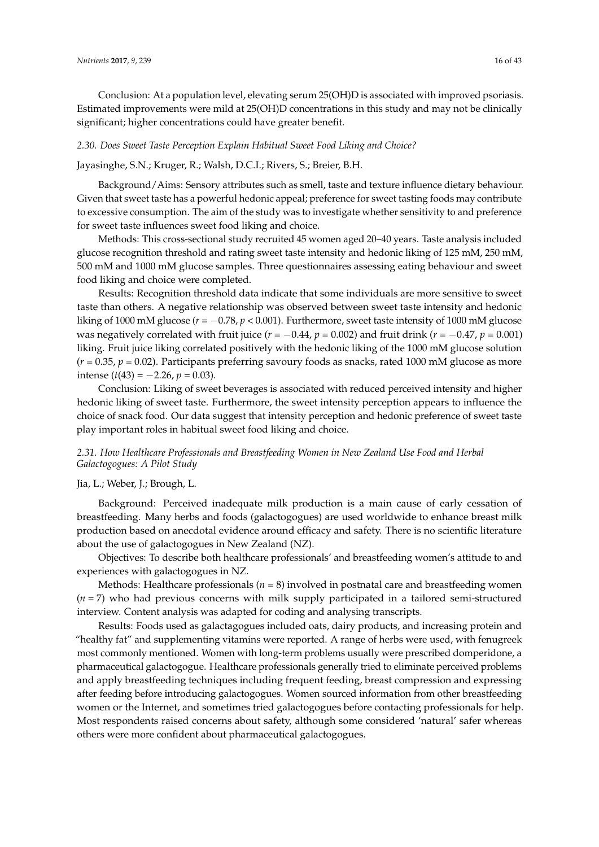Conclusion: At a population level, elevating serum 25(OH)D is associated with improved psoriasis. Estimated improvements were mild at 25(OH)D concentrations in this study and may not be clinically significant; higher concentrations could have greater benefit.

### *2.30. Does Sweet Taste Perception Explain Habitual Sweet Food Liking and Choice?*

#### Jayasinghe, S.N.; Kruger, R.; Walsh, D.C.I.; Rivers, S.; Breier, B.H.

Background/Aims: Sensory attributes such as smell, taste and texture influence dietary behaviour. Given that sweet taste has a powerful hedonic appeal; preference for sweet tasting foods may contribute to excessive consumption. The aim of the study was to investigate whether sensitivity to and preference for sweet taste influences sweet food liking and choice.

Methods: This cross-sectional study recruited 45 women aged 20–40 years. Taste analysis included glucose recognition threshold and rating sweet taste intensity and hedonic liking of 125 mM, 250 mM, 500 mM and 1000 mM glucose samples. Three questionnaires assessing eating behaviour and sweet food liking and choice were completed.

Results: Recognition threshold data indicate that some individuals are more sensitive to sweet taste than others. A negative relationship was observed between sweet taste intensity and hedonic liking of 1000 mM glucose ( $r = -0.78$ ,  $p < 0.001$ ). Furthermore, sweet taste intensity of 1000 mM glucose was negatively correlated with fruit juice (*r* = −0.44, *p* = 0.002) and fruit drink (*r* = −0.47, *p* = 0.001) liking. Fruit juice liking correlated positively with the hedonic liking of the 1000 mM glucose solution  $(r = 0.35, p = 0.02)$ . Participants preferring savoury foods as snacks, rated 1000 mM glucose as more intense  $(t(43) = -2.26, p = 0.03)$ .

Conclusion: Liking of sweet beverages is associated with reduced perceived intensity and higher hedonic liking of sweet taste. Furthermore, the sweet intensity perception appears to influence the choice of snack food. Our data suggest that intensity perception and hedonic preference of sweet taste play important roles in habitual sweet food liking and choice.

# *2.31. How Healthcare Professionals and Breastfeeding Women in New Zealand Use Food and Herbal Galactogogues: A Pilot Study*

#### Jia, L.; Weber, J.; Brough, L.

Background: Perceived inadequate milk production is a main cause of early cessation of breastfeeding. Many herbs and foods (galactogogues) are used worldwide to enhance breast milk production based on anecdotal evidence around efficacy and safety. There is no scientific literature about the use of galactogogues in New Zealand (NZ).

Objectives: To describe both healthcare professionals' and breastfeeding women's attitude to and experiences with galactogogues in NZ.

Methods: Healthcare professionals (*n* = 8) involved in postnatal care and breastfeeding women (*n* = 7) who had previous concerns with milk supply participated in a tailored semi-structured interview. Content analysis was adapted for coding and analysing transcripts.

Results: Foods used as galactagogues included oats, dairy products, and increasing protein and "healthy fat" and supplementing vitamins were reported. A range of herbs were used, with fenugreek most commonly mentioned. Women with long-term problems usually were prescribed domperidone, a pharmaceutical galactogogue. Healthcare professionals generally tried to eliminate perceived problems and apply breastfeeding techniques including frequent feeding, breast compression and expressing after feeding before introducing galactogogues. Women sourced information from other breastfeeding women or the Internet, and sometimes tried galactogogues before contacting professionals for help. Most respondents raised concerns about safety, although some considered 'natural' safer whereas others were more confident about pharmaceutical galactogogues.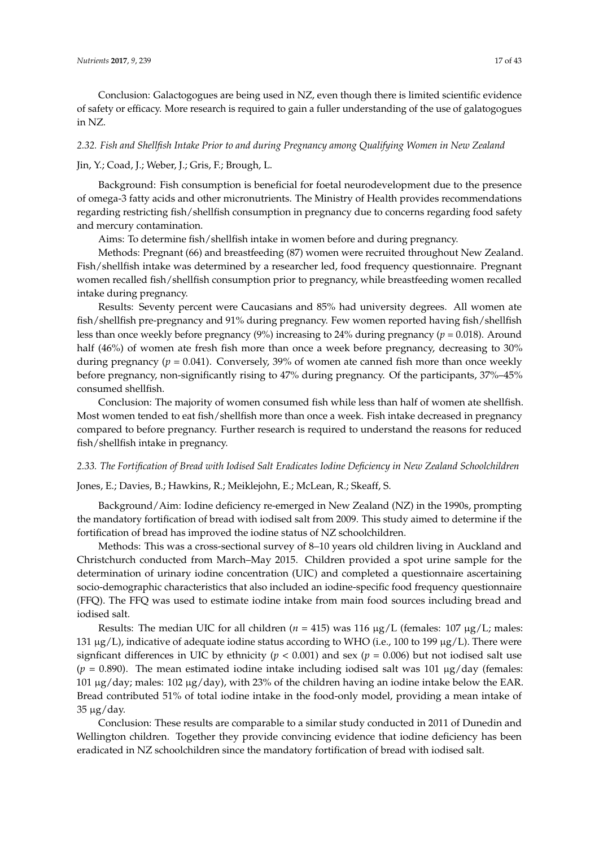Conclusion: Galactogogues are being used in NZ, even though there is limited scientific evidence of safety or efficacy. More research is required to gain a fuller understanding of the use of galatogogues in NZ.

# *2.32. Fish and Shellfish Intake Prior to and during Pregnancy among Qualifying Women in New Zealand*

# Jin, Y.; Coad, J.; Weber, J.; Gris, F.; Brough, L.

Background: Fish consumption is beneficial for foetal neurodevelopment due to the presence of omega-3 fatty acids and other micronutrients. The Ministry of Health provides recommendations regarding restricting fish/shellfish consumption in pregnancy due to concerns regarding food safety and mercury contamination.

Aims: To determine fish/shellfish intake in women before and during pregnancy.

Methods: Pregnant (66) and breastfeeding (87) women were recruited throughout New Zealand. Fish/shellfish intake was determined by a researcher led, food frequency questionnaire. Pregnant women recalled fish/shellfish consumption prior to pregnancy, while breastfeeding women recalled intake during pregnancy.

Results: Seventy percent were Caucasians and 85% had university degrees. All women ate fish/shellfish pre-pregnancy and 91% during pregnancy. Few women reported having fish/shellfish less than once weekly before pregnancy (9%) increasing to 24% during pregnancy (*p* = 0.018). Around half (46%) of women ate fresh fish more than once a week before pregnancy, decreasing to 30% during pregnancy (*p* = 0.041). Conversely, 39% of women ate canned fish more than once weekly before pregnancy, non-significantly rising to 47% during pregnancy. Of the participants, 37%–45% consumed shellfish.

Conclusion: The majority of women consumed fish while less than half of women ate shellfish. Most women tended to eat fish/shellfish more than once a week. Fish intake decreased in pregnancy compared to before pregnancy. Further research is required to understand the reasons for reduced fish/shellfish intake in pregnancy.

### *2.33. The Fortification of Bread with Iodised Salt Eradicates Iodine Deficiency in New Zealand Schoolchildren*

Jones, E.; Davies, B.; Hawkins, R.; Meiklejohn, E.; McLean, R.; Skeaff, S.

Background/Aim: Iodine deficiency re-emerged in New Zealand (NZ) in the 1990s, prompting the mandatory fortification of bread with iodised salt from 2009. This study aimed to determine if the fortification of bread has improved the iodine status of NZ schoolchildren.

Methods: This was a cross-sectional survey of 8–10 years old children living in Auckland and Christchurch conducted from March–May 2015. Children provided a spot urine sample for the determination of urinary iodine concentration (UIC) and completed a questionnaire ascertaining socio-demographic characteristics that also included an iodine-specific food frequency questionnaire (FFQ). The FFQ was used to estimate iodine intake from main food sources including bread and iodised salt.

Results: The median UIC for all children ( $n = 415$ ) was 116  $\mu$ g/L (females: 107  $\mu$ g/L; males: 131  $\mu$ g/L), indicative of adequate iodine status according to WHO (i.e., 100 to 199  $\mu$ g/L). There were signficant differences in UIC by ethnicity ( $p < 0.001$ ) and sex ( $p = 0.006$ ) but not iodised salt use  $(p = 0.890)$ . The mean estimated iodine intake including iodised salt was 101  $\mu$ g/day (females: 101 µg/day; males: 102 µg/day), with 23% of the children having an iodine intake below the EAR. Bread contributed 51% of total iodine intake in the food-only model, providing a mean intake of  $35 \mu g/day$ .

Conclusion: These results are comparable to a similar study conducted in 2011 of Dunedin and Wellington children. Together they provide convincing evidence that iodine deficiency has been eradicated in NZ schoolchildren since the mandatory fortification of bread with iodised salt.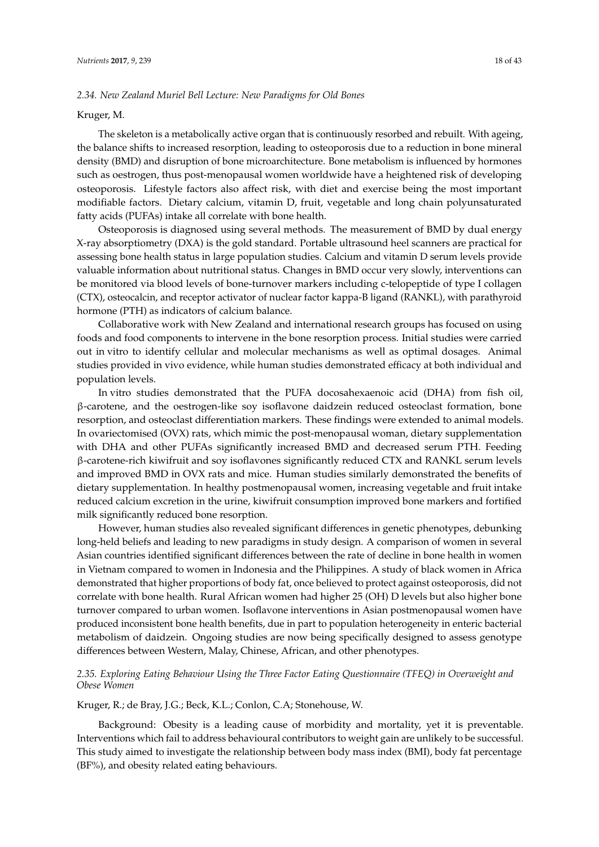# *2.34. New Zealand Muriel Bell Lecture: New Paradigms for Old Bones*

#### Kruger, M.

The skeleton is a metabolically active organ that is continuously resorbed and rebuilt. With ageing, the balance shifts to increased resorption, leading to osteoporosis due to a reduction in bone mineral density (BMD) and disruption of bone microarchitecture. Bone metabolism is influenced by hormones such as oestrogen, thus post-menopausal women worldwide have a heightened risk of developing osteoporosis. Lifestyle factors also affect risk, with diet and exercise being the most important modifiable factors. Dietary calcium, vitamin D, fruit, vegetable and long chain polyunsaturated fatty acids (PUFAs) intake all correlate with bone health.

Osteoporosis is diagnosed using several methods. The measurement of BMD by dual energy X-ray absorptiometry (DXA) is the gold standard. Portable ultrasound heel scanners are practical for assessing bone health status in large population studies. Calcium and vitamin D serum levels provide valuable information about nutritional status. Changes in BMD occur very slowly, interventions can be monitored via blood levels of bone-turnover markers including c-telopeptide of type I collagen (CTX), osteocalcin, and receptor activator of nuclear factor kappa-B ligand (RANKL), with parathyroid hormone (PTH) as indicators of calcium balance.

Collaborative work with New Zealand and international research groups has focused on using foods and food components to intervene in the bone resorption process. Initial studies were carried out in vitro to identify cellular and molecular mechanisms as well as optimal dosages. Animal studies provided in vivo evidence, while human studies demonstrated efficacy at both individual and population levels.

In vitro studies demonstrated that the PUFA docosahexaenoic acid (DHA) from fish oil, β-carotene, and the oestrogen-like soy isoflavone daidzein reduced osteoclast formation, bone resorption, and osteoclast differentiation markers. These findings were extended to animal models. In ovariectomised (OVX) rats, which mimic the post-menopausal woman, dietary supplementation with DHA and other PUFAs significantly increased BMD and decreased serum PTH. Feeding β-carotene-rich kiwifruit and soy isoflavones significantly reduced CTX and RANKL serum levels and improved BMD in OVX rats and mice. Human studies similarly demonstrated the benefits of dietary supplementation. In healthy postmenopausal women, increasing vegetable and fruit intake reduced calcium excretion in the urine, kiwifruit consumption improved bone markers and fortified milk significantly reduced bone resorption.

However, human studies also revealed significant differences in genetic phenotypes, debunking long-held beliefs and leading to new paradigms in study design. A comparison of women in several Asian countries identified significant differences between the rate of decline in bone health in women in Vietnam compared to women in Indonesia and the Philippines. A study of black women in Africa demonstrated that higher proportions of body fat, once believed to protect against osteoporosis, did not correlate with bone health. Rural African women had higher 25 (OH) D levels but also higher bone turnover compared to urban women. Isoflavone interventions in Asian postmenopausal women have produced inconsistent bone health benefits, due in part to population heterogeneity in enteric bacterial metabolism of daidzein. Ongoing studies are now being specifically designed to assess genotype differences between Western, Malay, Chinese, African, and other phenotypes.

# *2.35. Exploring Eating Behaviour Using the Three Factor Eating Questionnaire (TFEQ) in Overweight and Obese Women*

#### Kruger, R.; de Bray, J.G.; Beck, K.L.; Conlon, C.A; Stonehouse, W.

Background: Obesity is a leading cause of morbidity and mortality, yet it is preventable. Interventions which fail to address behavioural contributors to weight gain are unlikely to be successful. This study aimed to investigate the relationship between body mass index (BMI), body fat percentage (BF%), and obesity related eating behaviours.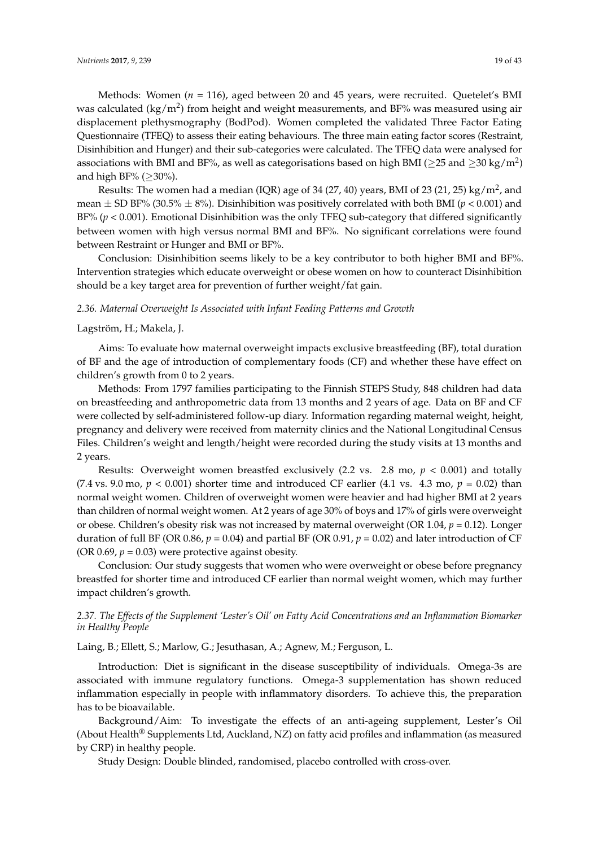Methods: Women (*n* = 116), aged between 20 and 45 years, were recruited. Quetelet's BMI was calculated (kg/m<sup>2</sup>) from height and weight measurements, and BF% was measured using air displacement plethysmography (BodPod). Women completed the validated Three Factor Eating Questionnaire (TFEQ) to assess their eating behaviours. The three main eating factor scores (Restraint, Disinhibition and Hunger) and their sub-categories were calculated. The TFEQ data were analysed for associations with BMI and BF%, as well as categorisations based on high BMI ( $\geq$ 25 and  $\geq$ 30 kg/m<sup>2</sup>) and high BF% ( $\geq$ 30%).

Results: The women had a median (IQR) age of 34 (27, 40) years, BMI of 23 (21, 25) kg/m<sup>2</sup>, and mean  $\pm$  SD BF% (30.5%  $\pm$  8%). Disinhibition was positively correlated with both BMI ( $p$  < 0.001) and BF% (*p* < 0.001). Emotional Disinhibition was the only TFEQ sub-category that differed significantly between women with high versus normal BMI and BF%. No significant correlations were found between Restraint or Hunger and BMI or BF%.

Conclusion: Disinhibition seems likely to be a key contributor to both higher BMI and BF%. Intervention strategies which educate overweight or obese women on how to counteract Disinhibition should be a key target area for prevention of further weight/fat gain.

# *2.36. Maternal Overweight Is Associated with Infant Feeding Patterns and Growth*

#### Lagström, H.; Makela, J.

Aims: To evaluate how maternal overweight impacts exclusive breastfeeding (BF), total duration of BF and the age of introduction of complementary foods (CF) and whether these have effect on children's growth from 0 to 2 years.

Methods: From 1797 families participating to the Finnish STEPS Study, 848 children had data on breastfeeding and anthropometric data from 13 months and 2 years of age. Data on BF and CF were collected by self-administered follow-up diary. Information regarding maternal weight, height, pregnancy and delivery were received from maternity clinics and the National Longitudinal Census Files. Children's weight and length/height were recorded during the study visits at 13 months and 2 years.

Results: Overweight women breastfed exclusively (2.2 vs. 2.8 mo, *p* < 0.001) and totally (7.4 vs. 9.0 mo,  $p < 0.001$ ) shorter time and introduced CF earlier (4.1 vs. 4.3 mo,  $p = 0.02$ ) than normal weight women. Children of overweight women were heavier and had higher BMI at 2 years than children of normal weight women. At 2 years of age 30% of boys and 17% of girls were overweight or obese. Children's obesity risk was not increased by maternal overweight (OR 1.04, *p* = 0.12). Longer duration of full BF (OR 0.86,  $p = 0.04$ ) and partial BF (OR 0.91,  $p = 0.02$ ) and later introduction of CF (OR 0.69,  $p = 0.03$ ) were protective against obesity.

Conclusion: Our study suggests that women who were overweight or obese before pregnancy breastfed for shorter time and introduced CF earlier than normal weight women, which may further impact children's growth.

# *2.37. The Effects of the Supplement 'Lester's Oil' on Fatty Acid Concentrations and an Inflammation Biomarker in Healthy People*

Laing, B.; Ellett, S.; Marlow, G.; Jesuthasan, A.; Agnew, M.; Ferguson, L.

Introduction: Diet is significant in the disease susceptibility of individuals. Omega-3s are associated with immune regulatory functions. Omega-3 supplementation has shown reduced inflammation especially in people with inflammatory disorders. To achieve this, the preparation has to be bioavailable.

Background/Aim: To investigate the effects of an anti-ageing supplement, Lester's Oil (About Health® Supplements Ltd, Auckland, NZ) on fatty acid profiles and inflammation (as measured by CRP) in healthy people.

Study Design: Double blinded, randomised, placebo controlled with cross-over.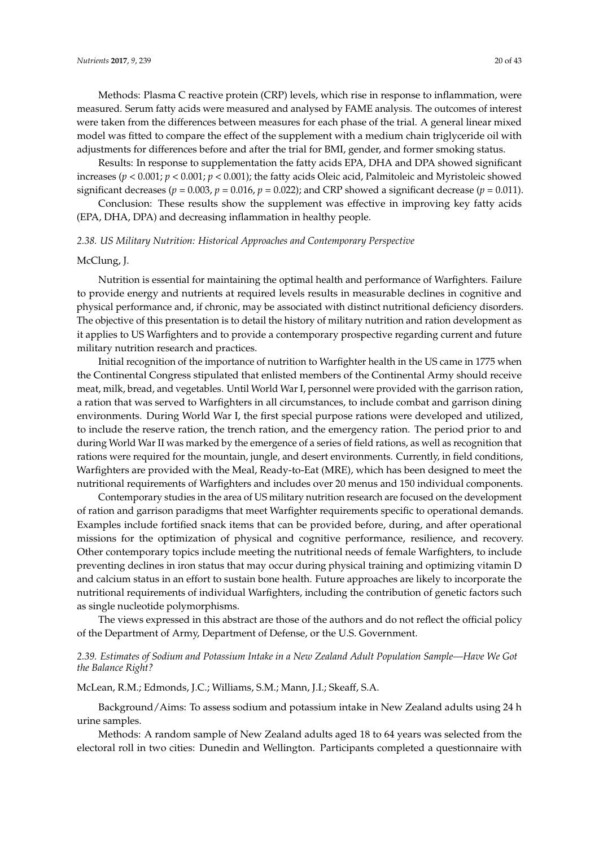Methods: Plasma C reactive protein (CRP) levels, which rise in response to inflammation, were measured. Serum fatty acids were measured and analysed by FAME analysis. The outcomes of interest were taken from the differences between measures for each phase of the trial. A general linear mixed model was fitted to compare the effect of the supplement with a medium chain triglyceride oil with adjustments for differences before and after the trial for BMI, gender, and former smoking status.

Results: In response to supplementation the fatty acids EPA, DHA and DPA showed significant increases ( $p < 0.001$ ;  $p < 0.001$ ;  $p < 0.001$ ); the fatty acids Oleic acid, Palmitoleic and Myristoleic showed significant decreases ( $p = 0.003$ ,  $p = 0.016$ ,  $p = 0.022$ ); and CRP showed a significant decrease ( $p = 0.011$ ).

Conclusion: These results show the supplement was effective in improving key fatty acids (EPA, DHA, DPA) and decreasing inflammation in healthy people.

#### *2.38. US Military Nutrition: Historical Approaches and Contemporary Perspective*

## McClung, J.

Nutrition is essential for maintaining the optimal health and performance of Warfighters. Failure to provide energy and nutrients at required levels results in measurable declines in cognitive and physical performance and, if chronic, may be associated with distinct nutritional deficiency disorders. The objective of this presentation is to detail the history of military nutrition and ration development as it applies to US Warfighters and to provide a contemporary prospective regarding current and future military nutrition research and practices.

Initial recognition of the importance of nutrition to Warfighter health in the US came in 1775 when the Continental Congress stipulated that enlisted members of the Continental Army should receive meat, milk, bread, and vegetables. Until World War I, personnel were provided with the garrison ration, a ration that was served to Warfighters in all circumstances, to include combat and garrison dining environments. During World War I, the first special purpose rations were developed and utilized, to include the reserve ration, the trench ration, and the emergency ration. The period prior to and during World War II was marked by the emergence of a series of field rations, as well as recognition that rations were required for the mountain, jungle, and desert environments. Currently, in field conditions, Warfighters are provided with the Meal, Ready-to-Eat (MRE), which has been designed to meet the nutritional requirements of Warfighters and includes over 20 menus and 150 individual components.

Contemporary studies in the area of US military nutrition research are focused on the development of ration and garrison paradigms that meet Warfighter requirements specific to operational demands. Examples include fortified snack items that can be provided before, during, and after operational missions for the optimization of physical and cognitive performance, resilience, and recovery. Other contemporary topics include meeting the nutritional needs of female Warfighters, to include preventing declines in iron status that may occur during physical training and optimizing vitamin D and calcium status in an effort to sustain bone health. Future approaches are likely to incorporate the nutritional requirements of individual Warfighters, including the contribution of genetic factors such as single nucleotide polymorphisms.

The views expressed in this abstract are those of the authors and do not reflect the official policy of the Department of Army, Department of Defense, or the U.S. Government.

# *2.39. Estimates of Sodium and Potassium Intake in a New Zealand Adult Population Sample—Have We Got the Balance Right?*

McLean, R.M.; Edmonds, J.C.; Williams, S.M.; Mann, J.I.; Skeaff, S.A.

Background/Aims: To assess sodium and potassium intake in New Zealand adults using 24 h urine samples.

Methods: A random sample of New Zealand adults aged 18 to 64 years was selected from the electoral roll in two cities: Dunedin and Wellington. Participants completed a questionnaire with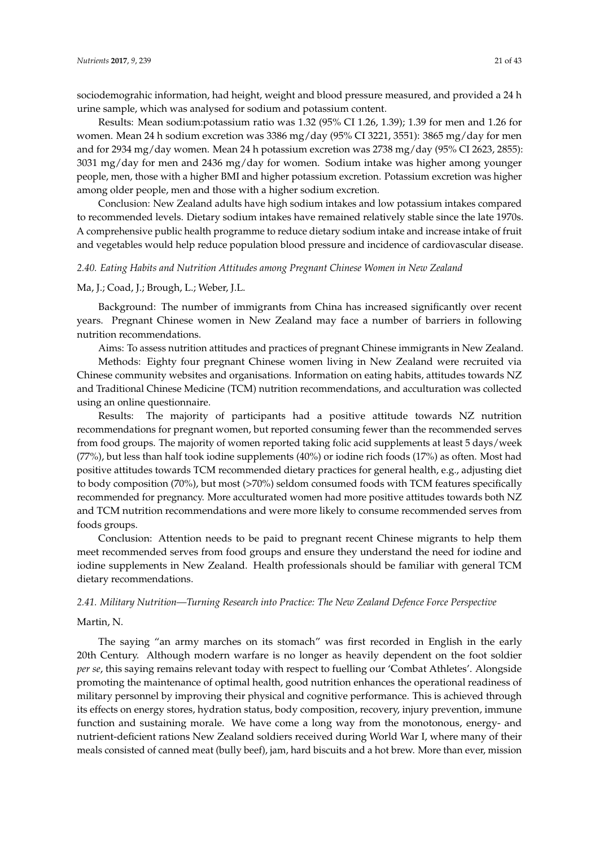sociodemograhic information, had height, weight and blood pressure measured, and provided a 24 h urine sample, which was analysed for sodium and potassium content.

Results: Mean sodium:potassium ratio was 1.32 (95% CI 1.26, 1.39); 1.39 for men and 1.26 for women. Mean 24 h sodium excretion was 3386 mg/day (95% CI 3221, 3551): 3865 mg/day for men and for 2934 mg/day women. Mean 24 h potassium excretion was 2738 mg/day (95% CI 2623, 2855): 3031 mg/day for men and 2436 mg/day for women. Sodium intake was higher among younger people, men, those with a higher BMI and higher potassium excretion. Potassium excretion was higher among older people, men and those with a higher sodium excretion.

Conclusion: New Zealand adults have high sodium intakes and low potassium intakes compared to recommended levels. Dietary sodium intakes have remained relatively stable since the late 1970s. A comprehensive public health programme to reduce dietary sodium intake and increase intake of fruit and vegetables would help reduce population blood pressure and incidence of cardiovascular disease.

### *2.40. Eating Habits and Nutrition Attitudes among Pregnant Chinese Women in New Zealand*

#### Ma, J.; Coad, J.; Brough, L.; Weber, J.L.

Background: The number of immigrants from China has increased significantly over recent years. Pregnant Chinese women in New Zealand may face a number of barriers in following nutrition recommendations.

Aims: To assess nutrition attitudes and practices of pregnant Chinese immigrants in New Zealand.

Methods: Eighty four pregnant Chinese women living in New Zealand were recruited via Chinese community websites and organisations. Information on eating habits, attitudes towards NZ and Traditional Chinese Medicine (TCM) nutrition recommendations, and acculturation was collected using an online questionnaire.

Results: The majority of participants had a positive attitude towards NZ nutrition recommendations for pregnant women, but reported consuming fewer than the recommended serves from food groups. The majority of women reported taking folic acid supplements at least 5 days/week (77%), but less than half took iodine supplements (40%) or iodine rich foods (17%) as often. Most had positive attitudes towards TCM recommended dietary practices for general health, e.g., adjusting diet to body composition (70%), but most (>70%) seldom consumed foods with TCM features specifically recommended for pregnancy. More acculturated women had more positive attitudes towards both NZ and TCM nutrition recommendations and were more likely to consume recommended serves from foods groups.

Conclusion: Attention needs to be paid to pregnant recent Chinese migrants to help them meet recommended serves from food groups and ensure they understand the need for iodine and iodine supplements in New Zealand. Health professionals should be familiar with general TCM dietary recommendations.

### *2.41. Military Nutrition—Turning Research into Practice: The New Zealand Defence Force Perspective*

# Martin, N.

The saying "an army marches on its stomach" was first recorded in English in the early 20th Century. Although modern warfare is no longer as heavily dependent on the foot soldier *per se*, this saying remains relevant today with respect to fuelling our 'Combat Athletes'. Alongside promoting the maintenance of optimal health, good nutrition enhances the operational readiness of military personnel by improving their physical and cognitive performance. This is achieved through its effects on energy stores, hydration status, body composition, recovery, injury prevention, immune function and sustaining morale. We have come a long way from the monotonous, energy- and nutrient-deficient rations New Zealand soldiers received during World War I, where many of their meals consisted of canned meat (bully beef), jam, hard biscuits and a hot brew. More than ever, mission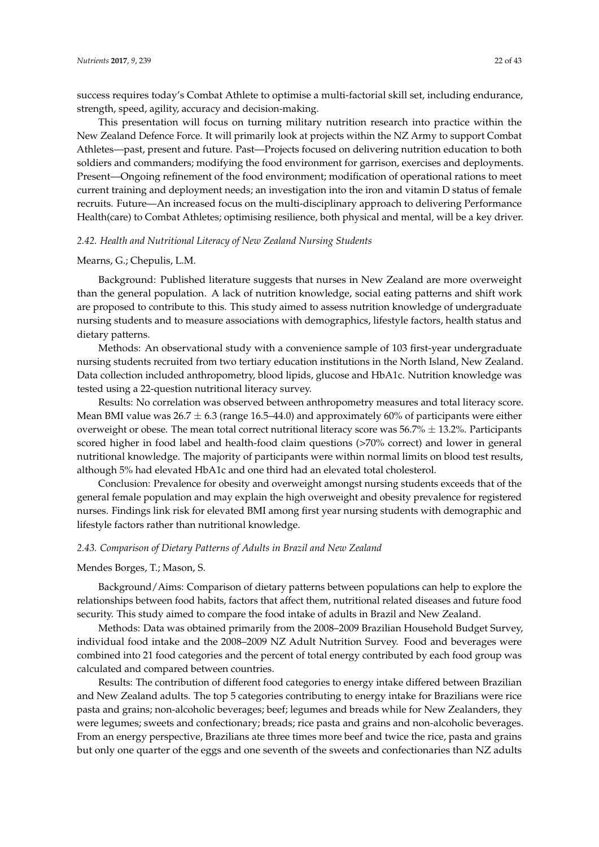success requires today's Combat Athlete to optimise a multi-factorial skill set, including endurance, strength, speed, agility, accuracy and decision-making.

This presentation will focus on turning military nutrition research into practice within the New Zealand Defence Force. It will primarily look at projects within the NZ Army to support Combat Athletes—past, present and future. Past—Projects focused on delivering nutrition education to both soldiers and commanders; modifying the food environment for garrison, exercises and deployments. Present—Ongoing refinement of the food environment; modification of operational rations to meet current training and deployment needs; an investigation into the iron and vitamin D status of female recruits. Future—An increased focus on the multi-disciplinary approach to delivering Performance Health(care) to Combat Athletes; optimising resilience, both physical and mental, will be a key driver.

### *2.42. Health and Nutritional Literacy of New Zealand Nursing Students*

#### Mearns, G.; Chepulis, L.M.

Background: Published literature suggests that nurses in New Zealand are more overweight than the general population. A lack of nutrition knowledge, social eating patterns and shift work are proposed to contribute to this. This study aimed to assess nutrition knowledge of undergraduate nursing students and to measure associations with demographics, lifestyle factors, health status and dietary patterns.

Methods: An observational study with a convenience sample of 103 first-year undergraduate nursing students recruited from two tertiary education institutions in the North Island, New Zealand. Data collection included anthropometry, blood lipids, glucose and HbA1c. Nutrition knowledge was tested using a 22-question nutritional literacy survey.

Results: No correlation was observed between anthropometry measures and total literacy score. Mean BMI value was  $26.7 \pm 6.3$  (range 16.5–44.0) and approximately 60% of participants were either overweight or obese. The mean total correct nutritional literacy score was  $56.7\% \pm 13.2\%$ . Participants scored higher in food label and health-food claim questions (>70% correct) and lower in general nutritional knowledge. The majority of participants were within normal limits on blood test results, although 5% had elevated HbA1c and one third had an elevated total cholesterol.

Conclusion: Prevalence for obesity and overweight amongst nursing students exceeds that of the general female population and may explain the high overweight and obesity prevalence for registered nurses. Findings link risk for elevated BMI among first year nursing students with demographic and lifestyle factors rather than nutritional knowledge.

#### *2.43. Comparison of Dietary Patterns of Adults in Brazil and New Zealand*

### Mendes Borges, T.; Mason, S.

Background/Aims: Comparison of dietary patterns between populations can help to explore the relationships between food habits, factors that affect them, nutritional related diseases and future food security. This study aimed to compare the food intake of adults in Brazil and New Zealand.

Methods: Data was obtained primarily from the 2008–2009 Brazilian Household Budget Survey, individual food intake and the 2008–2009 NZ Adult Nutrition Survey. Food and beverages were combined into 21 food categories and the percent of total energy contributed by each food group was calculated and compared between countries.

Results: The contribution of different food categories to energy intake differed between Brazilian and New Zealand adults. The top 5 categories contributing to energy intake for Brazilians were rice pasta and grains; non-alcoholic beverages; beef; legumes and breads while for New Zealanders, they were legumes; sweets and confectionary; breads; rice pasta and grains and non-alcoholic beverages. From an energy perspective, Brazilians ate three times more beef and twice the rice, pasta and grains but only one quarter of the eggs and one seventh of the sweets and confectionaries than NZ adults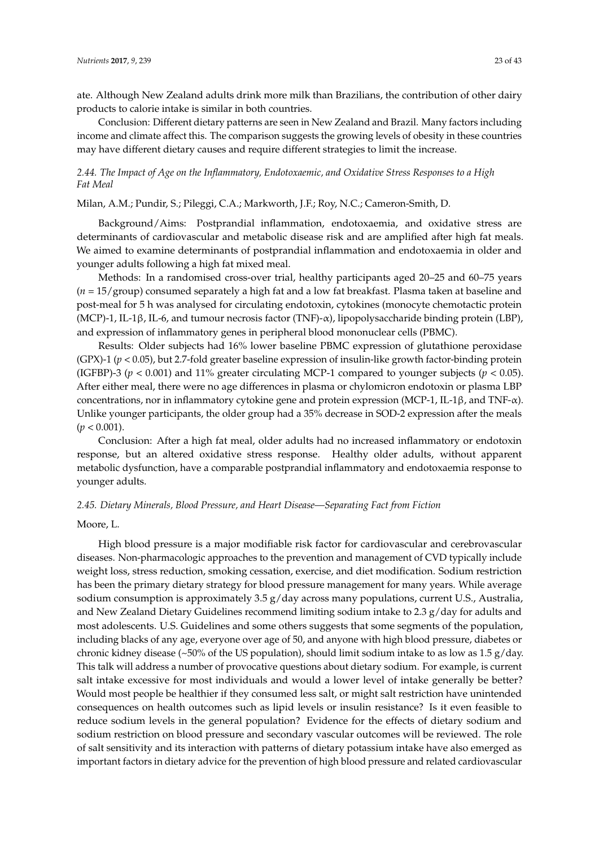ate. Although New Zealand adults drink more milk than Brazilians, the contribution of other dairy products to calorie intake is similar in both countries.

Conclusion: Different dietary patterns are seen in New Zealand and Brazil. Many factors including income and climate affect this. The comparison suggests the growing levels of obesity in these countries may have different dietary causes and require different strategies to limit the increase.

# *2.44. The Impact of Age on the Inflammatory, Endotoxaemic, and Oxidative Stress Responses to a High Fat Meal*

Milan, A.M.; Pundir, S.; Pileggi, C.A.; Markworth, J.F.; Roy, N.C.; Cameron-Smith, D.

Background/Aims: Postprandial inflammation, endotoxaemia, and oxidative stress are determinants of cardiovascular and metabolic disease risk and are amplified after high fat meals. We aimed to examine determinants of postprandial inflammation and endotoxaemia in older and younger adults following a high fat mixed meal.

Methods: In a randomised cross-over trial, healthy participants aged 20–25 and 60–75 years (*n* = 15/group) consumed separately a high fat and a low fat breakfast. Plasma taken at baseline and post-meal for 5 h was analysed for circulating endotoxin, cytokines (monocyte chemotactic protein (MCP)-1, IL-1β, IL-6, and tumour necrosis factor (TNF)-α), lipopolysaccharide binding protein (LBP), and expression of inflammatory genes in peripheral blood mononuclear cells (PBMC).

Results: Older subjects had 16% lower baseline PBMC expression of glutathione peroxidase (GPX)-1 (*p* < 0.05), but 2.7-fold greater baseline expression of insulin-like growth factor-binding protein (IGFBP)-3 ( $p < 0.001$ ) and 11% greater circulating MCP-1 compared to younger subjects ( $p < 0.05$ ). After either meal, there were no age differences in plasma or chylomicron endotoxin or plasma LBP concentrations, nor in inflammatory cytokine gene and protein expression (MCP-1, IL-1β, and TNF-α). Unlike younger participants, the older group had a 35% decrease in SOD-2 expression after the meals  $(p < 0.001)$ .

Conclusion: After a high fat meal, older adults had no increased inflammatory or endotoxin response, but an altered oxidative stress response. Healthy older adults, without apparent metabolic dysfunction, have a comparable postprandial inflammatory and endotoxaemia response to younger adults.

#### *2.45. Dietary Minerals, Blood Pressure, and Heart Disease—Separating Fact from Fiction*

### Moore, L.

High blood pressure is a major modifiable risk factor for cardiovascular and cerebrovascular diseases. Non-pharmacologic approaches to the prevention and management of CVD typically include weight loss, stress reduction, smoking cessation, exercise, and diet modification. Sodium restriction has been the primary dietary strategy for blood pressure management for many years. While average sodium consumption is approximately 3.5 g/day across many populations, current U.S., Australia, and New Zealand Dietary Guidelines recommend limiting sodium intake to 2.3  $g$ /day for adults and most adolescents. U.S. Guidelines and some others suggests that some segments of the population, including blacks of any age, everyone over age of 50, and anyone with high blood pressure, diabetes or chronic kidney disease (~50% of the US population), should limit sodium intake to as low as 1.5  $g$ /day. This talk will address a number of provocative questions about dietary sodium. For example, is current salt intake excessive for most individuals and would a lower level of intake generally be better? Would most people be healthier if they consumed less salt, or might salt restriction have unintended consequences on health outcomes such as lipid levels or insulin resistance? Is it even feasible to reduce sodium levels in the general population? Evidence for the effects of dietary sodium and sodium restriction on blood pressure and secondary vascular outcomes will be reviewed. The role of salt sensitivity and its interaction with patterns of dietary potassium intake have also emerged as important factors in dietary advice for the prevention of high blood pressure and related cardiovascular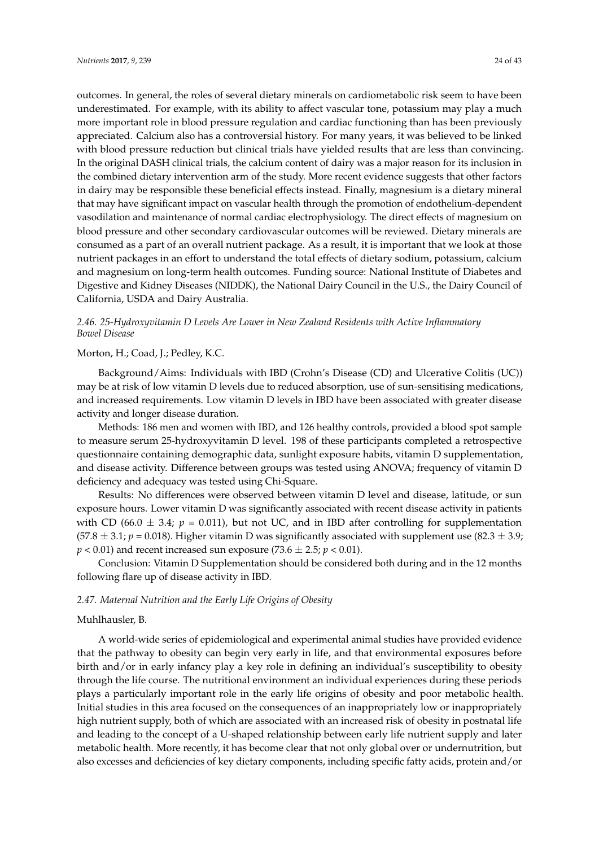outcomes. In general, the roles of several dietary minerals on cardiometabolic risk seem to have been underestimated. For example, with its ability to affect vascular tone, potassium may play a much more important role in blood pressure regulation and cardiac functioning than has been previously appreciated. Calcium also has a controversial history. For many years, it was believed to be linked with blood pressure reduction but clinical trials have yielded results that are less than convincing. In the original DASH clinical trials, the calcium content of dairy was a major reason for its inclusion in the combined dietary intervention arm of the study. More recent evidence suggests that other factors in dairy may be responsible these beneficial effects instead. Finally, magnesium is a dietary mineral that may have significant impact on vascular health through the promotion of endothelium-dependent vasodilation and maintenance of normal cardiac electrophysiology. The direct effects of magnesium on blood pressure and other secondary cardiovascular outcomes will be reviewed. Dietary minerals are consumed as a part of an overall nutrient package. As a result, it is important that we look at those nutrient packages in an effort to understand the total effects of dietary sodium, potassium, calcium and magnesium on long-term health outcomes. Funding source: National Institute of Diabetes and Digestive and Kidney Diseases (NIDDK), the National Dairy Council in the U.S., the Dairy Council of California, USDA and Dairy Australia.

# *2.46. 25-Hydroxyvitamin D Levels Are Lower in New Zealand Residents with Active Inflammatory Bowel Disease*

# Morton, H.; Coad, J.; Pedley, K.C.

Background/Aims: Individuals with IBD (Crohn's Disease (CD) and Ulcerative Colitis (UC)) may be at risk of low vitamin D levels due to reduced absorption, use of sun-sensitising medications, and increased requirements. Low vitamin D levels in IBD have been associated with greater disease activity and longer disease duration.

Methods: 186 men and women with IBD, and 126 healthy controls, provided a blood spot sample to measure serum 25-hydroxyvitamin D level. 198 of these participants completed a retrospective questionnaire containing demographic data, sunlight exposure habits, vitamin D supplementation, and disease activity. Difference between groups was tested using ANOVA; frequency of vitamin D deficiency and adequacy was tested using Chi-Square.

Results: No differences were observed between vitamin D level and disease, latitude, or sun exposure hours. Lower vitamin D was significantly associated with recent disease activity in patients with CD (66.0  $\pm$  3.4;  $p = 0.011$ ), but not UC, and in IBD after controlling for supplementation (57.8  $\pm$  3.1; *p* = 0.018). Higher vitamin D was significantly associated with supplement use (82.3  $\pm$  3.9;  $p < 0.01$ ) and recent increased sun exposure (73.6  $\pm$  2.5;  $p < 0.01$ ).

Conclusion: Vitamin D Supplementation should be considered both during and in the 12 months following flare up of disease activity in IBD.

#### *2.47. Maternal Nutrition and the Early Life Origins of Obesity*

### Muhlhausler, B.

A world-wide series of epidemiological and experimental animal studies have provided evidence that the pathway to obesity can begin very early in life, and that environmental exposures before birth and/or in early infancy play a key role in defining an individual's susceptibility to obesity through the life course. The nutritional environment an individual experiences during these periods plays a particularly important role in the early life origins of obesity and poor metabolic health. Initial studies in this area focused on the consequences of an inappropriately low or inappropriately high nutrient supply, both of which are associated with an increased risk of obesity in postnatal life and leading to the concept of a U-shaped relationship between early life nutrient supply and later metabolic health. More recently, it has become clear that not only global over or undernutrition, but also excesses and deficiencies of key dietary components, including specific fatty acids, protein and/or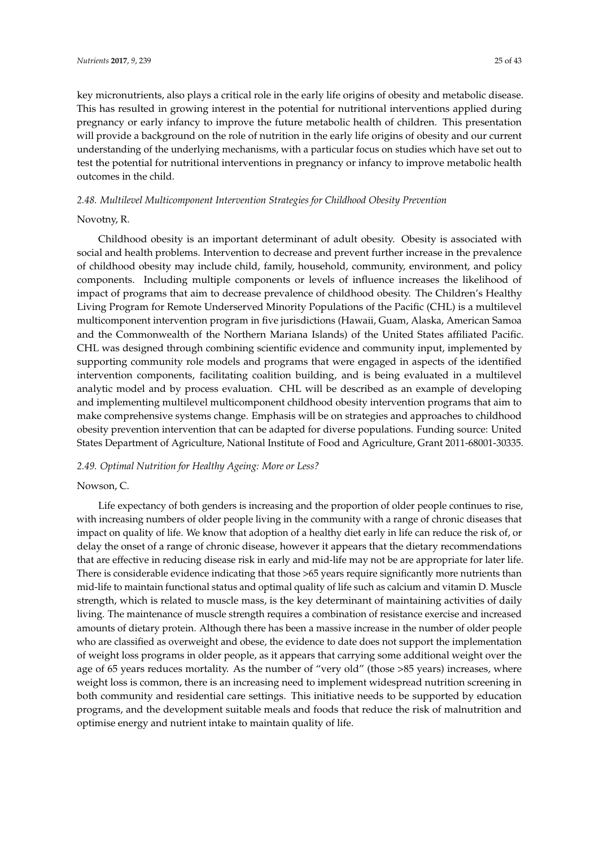key micronutrients, also plays a critical role in the early life origins of obesity and metabolic disease. This has resulted in growing interest in the potential for nutritional interventions applied during pregnancy or early infancy to improve the future metabolic health of children. This presentation will provide a background on the role of nutrition in the early life origins of obesity and our current understanding of the underlying mechanisms, with a particular focus on studies which have set out to test the potential for nutritional interventions in pregnancy or infancy to improve metabolic health outcomes in the child.

#### *2.48. Multilevel Multicomponent Intervention Strategies for Childhood Obesity Prevention*

#### Novotny, R.

Childhood obesity is an important determinant of adult obesity. Obesity is associated with social and health problems. Intervention to decrease and prevent further increase in the prevalence of childhood obesity may include child, family, household, community, environment, and policy components. Including multiple components or levels of influence increases the likelihood of impact of programs that aim to decrease prevalence of childhood obesity. The Children's Healthy Living Program for Remote Underserved Minority Populations of the Pacific (CHL) is a multilevel multicomponent intervention program in five jurisdictions (Hawaii, Guam, Alaska, American Samoa and the Commonwealth of the Northern Mariana Islands) of the United States affiliated Pacific. CHL was designed through combining scientific evidence and community input, implemented by supporting community role models and programs that were engaged in aspects of the identified intervention components, facilitating coalition building, and is being evaluated in a multilevel analytic model and by process evaluation. CHL will be described as an example of developing and implementing multilevel multicomponent childhood obesity intervention programs that aim to make comprehensive systems change. Emphasis will be on strategies and approaches to childhood obesity prevention intervention that can be adapted for diverse populations. Funding source: United States Department of Agriculture, National Institute of Food and Agriculture, Grant 2011-68001-30335.

# *2.49. Optimal Nutrition for Healthy Ageing: More or Less?*

### Nowson, C.

Life expectancy of both genders is increasing and the proportion of older people continues to rise, with increasing numbers of older people living in the community with a range of chronic diseases that impact on quality of life. We know that adoption of a healthy diet early in life can reduce the risk of, or delay the onset of a range of chronic disease, however it appears that the dietary recommendations that are effective in reducing disease risk in early and mid-life may not be are appropriate for later life. There is considerable evidence indicating that those >65 years require significantly more nutrients than mid-life to maintain functional status and optimal quality of life such as calcium and vitamin D. Muscle strength, which is related to muscle mass, is the key determinant of maintaining activities of daily living. The maintenance of muscle strength requires a combination of resistance exercise and increased amounts of dietary protein. Although there has been a massive increase in the number of older people who are classified as overweight and obese, the evidence to date does not support the implementation of weight loss programs in older people, as it appears that carrying some additional weight over the age of 65 years reduces mortality. As the number of "very old" (those >85 years) increases, where weight loss is common, there is an increasing need to implement widespread nutrition screening in both community and residential care settings. This initiative needs to be supported by education programs, and the development suitable meals and foods that reduce the risk of malnutrition and optimise energy and nutrient intake to maintain quality of life.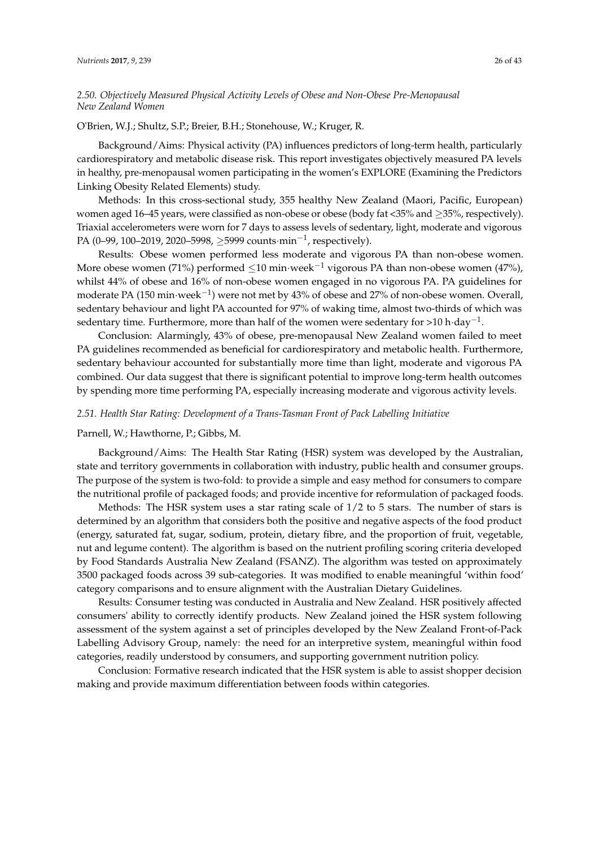# *2.50. Objectively Measured Physical Activity Levels of Obese and Non-Obese Pre-Menopausal New Zealand Women*

### O'Brien, W.J.; Shultz, S.P.; Breier, B.H.; Stonehouse, W.; Kruger, R.

Background/Aims: Physical activity (PA) influences predictors of long-term health, particularly cardiorespiratory and metabolic disease risk. This report investigates objectively measured PA levels in healthy, pre-menopausal women participating in the women's EXPLORE (Examining the Predictors Linking Obesity Related Elements) study.

Methods: In this cross-sectional study, 355 healthy New Zealand (Maori, Pacific, European) women aged 16–45 years, were classified as non-obese or obese (body fat <35% and ≥35%, respectively). Triaxial accelerometers were worn for 7 days to assess levels of sedentary, light, moderate and vigorous PA (0–99, 100–2019, 2020–5998, ≥5999 counts·min<sup>-1</sup>, respectively).

Results: Obese women performed less moderate and vigorous PA than non-obese women. More obese women (71%) performed  $\leq 10$  min·week<sup>-1</sup> vigorous PA than non-obese women (47%), whilst 44% of obese and 16% of non-obese women engaged in no vigorous PA. PA guidelines for moderate PA (150 min·week $^{-1}$ ) were not met by 43% of obese and 27% of non-obese women. Overall, sedentary behaviour and light PA accounted for 97% of waking time, almost two-thirds of which was sedentary time. Furthermore, more than half of the women were sedentary for >10 h·day<sup>-1</sup>.

Conclusion: Alarmingly, 43% of obese, pre-menopausal New Zealand women failed to meet PA guidelines recommended as beneficial for cardiorespiratory and metabolic health. Furthermore, sedentary behaviour accounted for substantially more time than light, moderate and vigorous PA combined. Our data suggest that there is significant potential to improve long-term health outcomes by spending more time performing PA, especially increasing moderate and vigorous activity levels.

#### *2.51. Health Star Rating: Development of a Trans-Tasman Front of Pack Labelling Initiative*

### Parnell, W.; Hawthorne, P.; Gibbs, M.

Background/Aims: The Health Star Rating (HSR) system was developed by the Australian, state and territory governments in collaboration with industry, public health and consumer groups. The purpose of the system is two-fold: to provide a simple and easy method for consumers to compare the nutritional profile of packaged foods; and provide incentive for reformulation of packaged foods.

Methods: The HSR system uses a star rating scale of 1/2 to 5 stars. The number of stars is determined by an algorithm that considers both the positive and negative aspects of the food product (energy, saturated fat, sugar, sodium, protein, dietary fibre, and the proportion of fruit, vegetable, nut and legume content). The algorithm is based on the nutrient profiling scoring criteria developed by Food Standards Australia New Zealand (FSANZ). The algorithm was tested on approximately 3500 packaged foods across 39 sub-categories. It was modified to enable meaningful 'within food' category comparisons and to ensure alignment with the Australian Dietary Guidelines.

Results: Consumer testing was conducted in Australia and New Zealand. HSR positively affected consumers' ability to correctly identify products. New Zealand joined the HSR system following assessment of the system against a set of principles developed by the New Zealand Front-of-Pack Labelling Advisory Group, namely: the need for an interpretive system, meaningful within food categories, readily understood by consumers, and supporting government nutrition policy.

Conclusion: Formative research indicated that the HSR system is able to assist shopper decision making and provide maximum differentiation between foods within categories.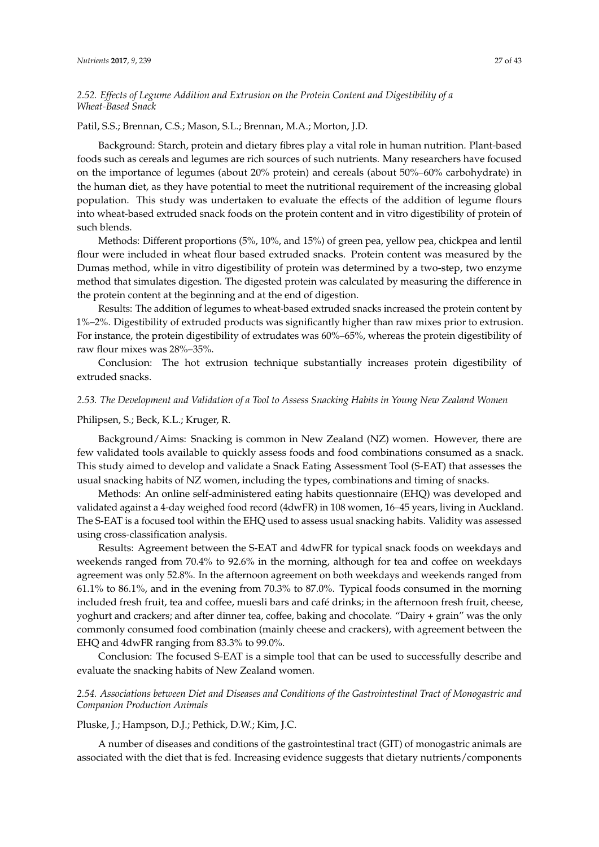# *2.52. Effects of Legume Addition and Extrusion on the Protein Content and Digestibility of a Wheat-Based Snack*

### Patil, S.S.; Brennan, C.S.; Mason, S.L.; Brennan, M.A.; Morton, J.D.

Background: Starch, protein and dietary fibres play a vital role in human nutrition. Plant-based foods such as cereals and legumes are rich sources of such nutrients. Many researchers have focused on the importance of legumes (about 20% protein) and cereals (about 50%–60% carbohydrate) in the human diet, as they have potential to meet the nutritional requirement of the increasing global population. This study was undertaken to evaluate the effects of the addition of legume flours into wheat-based extruded snack foods on the protein content and in vitro digestibility of protein of such blends.

Methods: Different proportions (5%, 10%, and 15%) of green pea, yellow pea, chickpea and lentil flour were included in wheat flour based extruded snacks. Protein content was measured by the Dumas method, while in vitro digestibility of protein was determined by a two-step, two enzyme method that simulates digestion. The digested protein was calculated by measuring the difference in the protein content at the beginning and at the end of digestion.

Results: The addition of legumes to wheat-based extruded snacks increased the protein content by 1%–2%. Digestibility of extruded products was significantly higher than raw mixes prior to extrusion. For instance, the protein digestibility of extrudates was 60%–65%, whereas the protein digestibility of raw flour mixes was 28%–35%.

Conclusion: The hot extrusion technique substantially increases protein digestibility of extruded snacks.

## *2.53. The Development and Validation of a Tool to Assess Snacking Habits in Young New Zealand Women*

#### Philipsen, S.; Beck, K.L.; Kruger, R.

Background/Aims: Snacking is common in New Zealand (NZ) women. However, there are few validated tools available to quickly assess foods and food combinations consumed as a snack. This study aimed to develop and validate a Snack Eating Assessment Tool (S-EAT) that assesses the usual snacking habits of NZ women, including the types, combinations and timing of snacks.

Methods: An online self-administered eating habits questionnaire (EHQ) was developed and validated against a 4-day weighed food record (4dwFR) in 108 women, 16–45 years, living in Auckland. The S-EAT is a focused tool within the EHQ used to assess usual snacking habits. Validity was assessed using cross-classification analysis.

Results: Agreement between the S-EAT and 4dwFR for typical snack foods on weekdays and weekends ranged from 70.4% to 92.6% in the morning, although for tea and coffee on weekdays agreement was only 52.8%. In the afternoon agreement on both weekdays and weekends ranged from 61.1% to 86.1%, and in the evening from 70.3% to 87.0%. Typical foods consumed in the morning included fresh fruit, tea and coffee, muesli bars and café drinks; in the afternoon fresh fruit, cheese, yoghurt and crackers; and after dinner tea, coffee, baking and chocolate. "Dairy + grain" was the only commonly consumed food combination (mainly cheese and crackers), with agreement between the EHQ and 4dwFR ranging from 83.3% to 99.0%.

Conclusion: The focused S-EAT is a simple tool that can be used to successfully describe and evaluate the snacking habits of New Zealand women.

# *2.54. Associations between Diet and Diseases and Conditions of the Gastrointestinal Tract of Monogastric and Companion Production Animals*

#### Pluske, J.; Hampson, D.J.; Pethick, D.W.; Kim, J.C.

A number of diseases and conditions of the gastrointestinal tract (GIT) of monogastric animals are associated with the diet that is fed. Increasing evidence suggests that dietary nutrients/components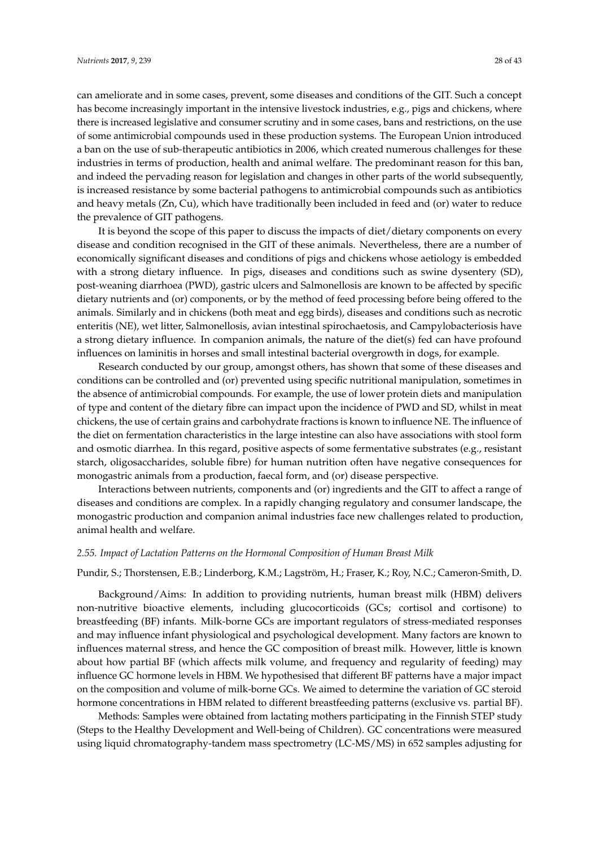can ameliorate and in some cases, prevent, some diseases and conditions of the GIT. Such a concept has become increasingly important in the intensive livestock industries, e.g., pigs and chickens, where there is increased legislative and consumer scrutiny and in some cases, bans and restrictions, on the use of some antimicrobial compounds used in these production systems. The European Union introduced a ban on the use of sub-therapeutic antibiotics in 2006, which created numerous challenges for these industries in terms of production, health and animal welfare. The predominant reason for this ban, and indeed the pervading reason for legislation and changes in other parts of the world subsequently, is increased resistance by some bacterial pathogens to antimicrobial compounds such as antibiotics and heavy metals (Zn, Cu), which have traditionally been included in feed and (or) water to reduce the prevalence of GIT pathogens.

It is beyond the scope of this paper to discuss the impacts of diet/dietary components on every disease and condition recognised in the GIT of these animals. Nevertheless, there are a number of economically significant diseases and conditions of pigs and chickens whose aetiology is embedded with a strong dietary influence. In pigs, diseases and conditions such as swine dysentery (SD), post-weaning diarrhoea (PWD), gastric ulcers and Salmonellosis are known to be affected by specific dietary nutrients and (or) components, or by the method of feed processing before being offered to the animals. Similarly and in chickens (both meat and egg birds), diseases and conditions such as necrotic enteritis (NE), wet litter, Salmonellosis, avian intestinal spirochaetosis, and Campylobacteriosis have a strong dietary influence. In companion animals, the nature of the diet(s) fed can have profound influences on laminitis in horses and small intestinal bacterial overgrowth in dogs, for example.

Research conducted by our group, amongst others, has shown that some of these diseases and conditions can be controlled and (or) prevented using specific nutritional manipulation, sometimes in the absence of antimicrobial compounds. For example, the use of lower protein diets and manipulation of type and content of the dietary fibre can impact upon the incidence of PWD and SD, whilst in meat chickens, the use of certain grains and carbohydrate fractions is known to influence NE. The influence of the diet on fermentation characteristics in the large intestine can also have associations with stool form and osmotic diarrhea. In this regard, positive aspects of some fermentative substrates (e.g., resistant starch, oligosaccharides, soluble fibre) for human nutrition often have negative consequences for monogastric animals from a production, faecal form, and (or) disease perspective.

Interactions between nutrients, components and (or) ingredients and the GIT to affect a range of diseases and conditions are complex. In a rapidly changing regulatory and consumer landscape, the monogastric production and companion animal industries face new challenges related to production, animal health and welfare.

# *2.55. Impact of Lactation Patterns on the Hormonal Composition of Human Breast Milk*

# Pundir, S.; Thorstensen, E.B.; Linderborg, K.M.; Lagström, H.; Fraser, K.; Roy, N.C.; Cameron-Smith, D.

Background/Aims: In addition to providing nutrients, human breast milk (HBM) delivers non-nutritive bioactive elements, including glucocorticoids (GCs; cortisol and cortisone) to breastfeeding (BF) infants. Milk-borne GCs are important regulators of stress-mediated responses and may influence infant physiological and psychological development. Many factors are known to influences maternal stress, and hence the GC composition of breast milk. However, little is known about how partial BF (which affects milk volume, and frequency and regularity of feeding) may influence GC hormone levels in HBM. We hypothesised that different BF patterns have a major impact on the composition and volume of milk-borne GCs. We aimed to determine the variation of GC steroid hormone concentrations in HBM related to different breastfeeding patterns (exclusive vs. partial BF).

Methods: Samples were obtained from lactating mothers participating in the Finnish STEP study (Steps to the Healthy Development and Well-being of Children). GC concentrations were measured using liquid chromatography-tandem mass spectrometry (LC-MS/MS) in 652 samples adjusting for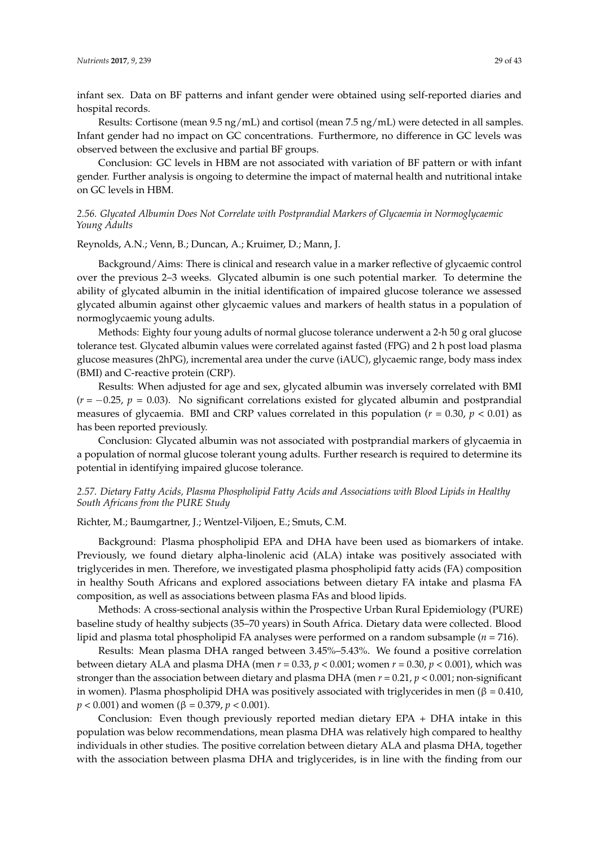infant sex. Data on BF patterns and infant gender were obtained using self-reported diaries and hospital records.

Results: Cortisone (mean 9.5 ng/mL) and cortisol (mean 7.5 ng/mL) were detected in all samples. Infant gender had no impact on GC concentrations. Furthermore, no difference in GC levels was observed between the exclusive and partial BF groups.

Conclusion: GC levels in HBM are not associated with variation of BF pattern or with infant gender. Further analysis is ongoing to determine the impact of maternal health and nutritional intake on GC levels in HBM.

# *2.56. Glycated Albumin Does Not Correlate with Postprandial Markers of Glycaemia in Normoglycaemic Young Adults*

Reynolds, A.N.; Venn, B.; Duncan, A.; Kruimer, D.; Mann, J.

Background/Aims: There is clinical and research value in a marker reflective of glycaemic control over the previous 2–3 weeks. Glycated albumin is one such potential marker. To determine the ability of glycated albumin in the initial identification of impaired glucose tolerance we assessed glycated albumin against other glycaemic values and markers of health status in a population of normoglycaemic young adults.

Methods: Eighty four young adults of normal glucose tolerance underwent a 2-h 50 g oral glucose tolerance test. Glycated albumin values were correlated against fasted (FPG) and 2 h post load plasma glucose measures (2hPG), incremental area under the curve (iAUC), glycaemic range, body mass index (BMI) and C-reactive protein (CRP).

Results: When adjusted for age and sex, glycated albumin was inversely correlated with BMI  $(r = -0.25, p = 0.03)$ . No significant correlations existed for glycated albumin and postprandial measures of glycaemia. BMI and CRP values correlated in this population  $(r = 0.30, p < 0.01)$  as has been reported previously.

Conclusion: Glycated albumin was not associated with postprandial markers of glycaemia in a population of normal glucose tolerant young adults. Further research is required to determine its potential in identifying impaired glucose tolerance.

# *2.57. Dietary Fatty Acids, Plasma Phospholipid Fatty Acids and Associations with Blood Lipids in Healthy South Africans from the PURE Study*

Richter, M.; Baumgartner, J.; Wentzel-Viljoen, E.; Smuts, C.M.

Background: Plasma phospholipid EPA and DHA have been used as biomarkers of intake. Previously, we found dietary alpha-linolenic acid (ALA) intake was positively associated with triglycerides in men. Therefore, we investigated plasma phospholipid fatty acids (FA) composition in healthy South Africans and explored associations between dietary FA intake and plasma FA composition, as well as associations between plasma FAs and blood lipids.

Methods: A cross-sectional analysis within the Prospective Urban Rural Epidemiology (PURE) baseline study of healthy subjects (35–70 years) in South Africa. Dietary data were collected. Blood lipid and plasma total phospholipid FA analyses were performed on a random subsample (*n* = 716).

Results: Mean plasma DHA ranged between 3.45%–5.43%. We found a positive correlation between dietary ALA and plasma DHA (men *r* = 0.33, *p* < 0.001; women *r* = 0.30, *p* < 0.001), which was stronger than the association between dietary and plasma DHA (men *r* = 0.21, *p* < 0.001; non-significant in women). Plasma phospholipid DHA was positively associated with triglycerides in men (β = 0.410, *p* < 0.001) and women (β = 0.379, *p* < 0.001).

Conclusion: Even though previously reported median dietary EPA + DHA intake in this population was below recommendations, mean plasma DHA was relatively high compared to healthy individuals in other studies. The positive correlation between dietary ALA and plasma DHA, together with the association between plasma DHA and triglycerides, is in line with the finding from our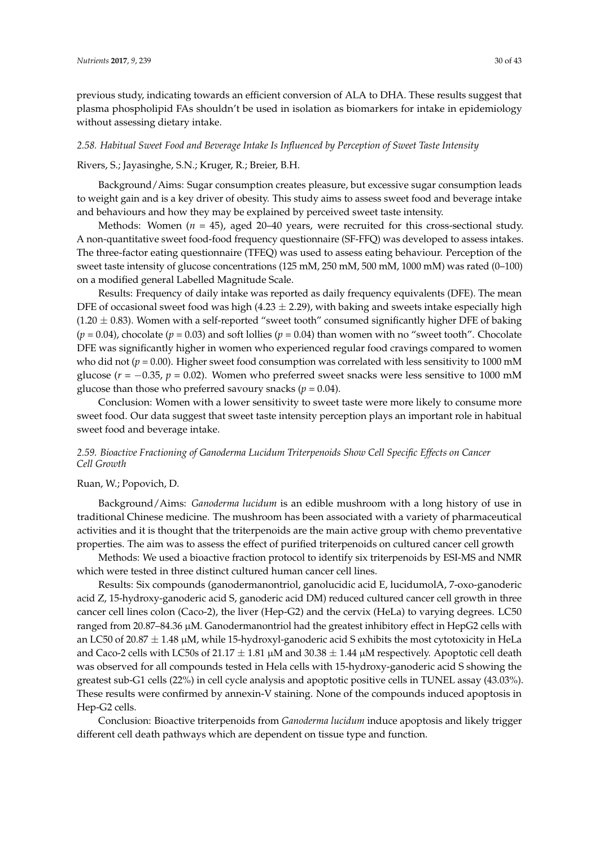previous study, indicating towards an efficient conversion of ALA to DHA. These results suggest that plasma phospholipid FAs shouldn't be used in isolation as biomarkers for intake in epidemiology without assessing dietary intake.

#### *2.58. Habitual Sweet Food and Beverage Intake Is Influenced by Perception of Sweet Taste Intensity*

#### Rivers, S.; Jayasinghe, S.N.; Kruger, R.; Breier, B.H.

Background/Aims: Sugar consumption creates pleasure, but excessive sugar consumption leads to weight gain and is a key driver of obesity. This study aims to assess sweet food and beverage intake and behaviours and how they may be explained by perceived sweet taste intensity.

Methods: Women  $(n = 45)$ , aged 20–40 years, were recruited for this cross-sectional study. A non-quantitative sweet food-food frequency questionnaire (SF-FFQ) was developed to assess intakes. The three-factor eating questionnaire (TFEQ) was used to assess eating behaviour. Perception of the sweet taste intensity of glucose concentrations (125 mM, 250 mM, 500 mM, 1000 mM) was rated (0–100) on a modified general Labelled Magnitude Scale.

Results: Frequency of daily intake was reported as daily frequency equivalents (DFE). The mean DFE of occasional sweet food was high (4.23  $\pm$  2.29), with baking and sweets intake especially high  $(1.20 \pm 0.83)$ . Women with a self-reported "sweet tooth" consumed significantly higher DFE of baking  $(p = 0.04)$ , chocolate  $(p = 0.03)$  and soft lollies  $(p = 0.04)$  than women with no "sweet tooth". Chocolate DFE was significantly higher in women who experienced regular food cravings compared to women who did not ( $p = 0.00$ ). Higher sweet food consumption was correlated with less sensitivity to 1000 mM glucose ( $r = -0.35$ ,  $p = 0.02$ ). Women who preferred sweet snacks were less sensitive to 1000 mM glucose than those who preferred savoury snacks ( $p = 0.04$ ).

Conclusion: Women with a lower sensitivity to sweet taste were more likely to consume more sweet food. Our data suggest that sweet taste intensity perception plays an important role in habitual sweet food and beverage intake.

# *2.59. Bioactive Fractioning of Ganoderma Lucidum Triterpenoids Show Cell Specific Effects on Cancer Cell Growth*

### Ruan, W.; Popovich, D.

Background/Aims: *Ganoderma lucidum* is an edible mushroom with a long history of use in traditional Chinese medicine. The mushroom has been associated with a variety of pharmaceutical activities and it is thought that the triterpenoids are the main active group with chemo preventative properties. The aim was to assess the effect of purified triterpenoids on cultured cancer cell growth

Methods: We used a bioactive fraction protocol to identify six triterpenoids by ESI-MS and NMR which were tested in three distinct cultured human cancer cell lines.

Results: Six compounds (ganodermanontriol, ganolucidic acid E, lucidumolA, 7-oxo-ganoderic acid Z, 15-hydroxy-ganoderic acid S, ganoderic acid DM) reduced cultured cancer cell growth in three cancer cell lines colon (Caco-2), the liver (Hep-G2) and the cervix (HeLa) to varying degrees. LC50 ranged from 20.87–84.36 µM. Ganodermanontriol had the greatest inhibitory effect in HepG2 cells with an LC50 of 20.87  $\pm$  1.48 µM, while 15-hydroxyl-ganoderic acid S exhibits the most cytotoxicity in HeLa and Caco-2 cells with LC50s of  $21.17 \pm 1.81 \,\mu M$  and  $30.38 \pm 1.44 \,\mu M$  respectively. Apoptotic cell death was observed for all compounds tested in Hela cells with 15-hydroxy-ganoderic acid S showing the greatest sub-G1 cells (22%) in cell cycle analysis and apoptotic positive cells in TUNEL assay (43.03%). These results were confirmed by annexin-V staining. None of the compounds induced apoptosis in Hep-G2 cells.

Conclusion: Bioactive triterpenoids from *Ganoderma lucidum* induce apoptosis and likely trigger different cell death pathways which are dependent on tissue type and function.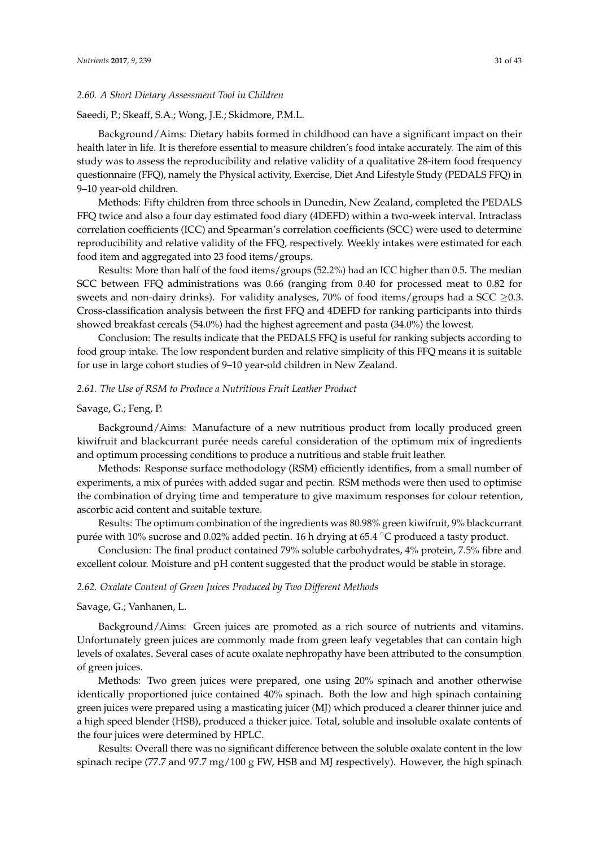### *2.60. A Short Dietary Assessment Tool in Children*

### Saeedi, P.; Skeaff, S.A.; Wong, J.E.; Skidmore, P.M.L.

Background/Aims: Dietary habits formed in childhood can have a significant impact on their health later in life. It is therefore essential to measure children's food intake accurately. The aim of this study was to assess the reproducibility and relative validity of a qualitative 28-item food frequency questionnaire (FFQ), namely the Physical activity, Exercise, Diet And Lifestyle Study (PEDALS FFQ) in 9–10 year-old children.

Methods: Fifty children from three schools in Dunedin, New Zealand, completed the PEDALS FFQ twice and also a four day estimated food diary (4DEFD) within a two-week interval. Intraclass correlation coefficients (ICC) and Spearman's correlation coefficients (SCC) were used to determine reproducibility and relative validity of the FFQ, respectively. Weekly intakes were estimated for each food item and aggregated into 23 food items/groups.

Results: More than half of the food items/groups (52.2%) had an ICC higher than 0.5. The median SCC between FFQ administrations was 0.66 (ranging from 0.40 for processed meat to 0.82 for sweets and non-dairy drinks). For validity analyses, 70% of food items/groups had a SCC  $\geq$ 0.3. Cross-classification analysis between the first FFQ and 4DEFD for ranking participants into thirds showed breakfast cereals (54.0%) had the highest agreement and pasta (34.0%) the lowest.

Conclusion: The results indicate that the PEDALS FFQ is useful for ranking subjects according to food group intake. The low respondent burden and relative simplicity of this FFQ means it is suitable for use in large cohort studies of 9–10 year-old children in New Zealand.

## *2.61. The Use of RSM to Produce a Nutritious Fruit Leather Product*

#### Savage, G.; Feng, P.

Background/Aims: Manufacture of a new nutritious product from locally produced green kiwifruit and blackcurrant purée needs careful consideration of the optimum mix of ingredients and optimum processing conditions to produce a nutritious and stable fruit leather.

Methods: Response surface methodology (RSM) efficiently identifies, from a small number of experiments, a mix of purées with added sugar and pectin. RSM methods were then used to optimise the combination of drying time and temperature to give maximum responses for colour retention, ascorbic acid content and suitable texture.

Results: The optimum combination of the ingredients was 80.98% green kiwifruit, 9% blackcurrant purée with 10% sucrose and 0.02% added pectin. 16 h drying at 65.4 ◦C produced a tasty product.

Conclusion: The final product contained 79% soluble carbohydrates, 4% protein, 7.5% fibre and excellent colour. Moisture and pH content suggested that the product would be stable in storage.

# *2.62. Oxalate Content of Green Juices Produced by Two Different Methods*

Savage, G.; Vanhanen, L.

Background/Aims: Green juices are promoted as a rich source of nutrients and vitamins. Unfortunately green juices are commonly made from green leafy vegetables that can contain high levels of oxalates. Several cases of acute oxalate nephropathy have been attributed to the consumption of green juices.

Methods: Two green juices were prepared, one using 20% spinach and another otherwise identically proportioned juice contained 40% spinach. Both the low and high spinach containing green juices were prepared using a masticating juicer (MJ) which produced a clearer thinner juice and a high speed blender (HSB), produced a thicker juice. Total, soluble and insoluble oxalate contents of the four juices were determined by HPLC.

Results: Overall there was no significant difference between the soluble oxalate content in the low spinach recipe (77.7 and 97.7 mg/100 g FW, HSB and MJ respectively). However, the high spinach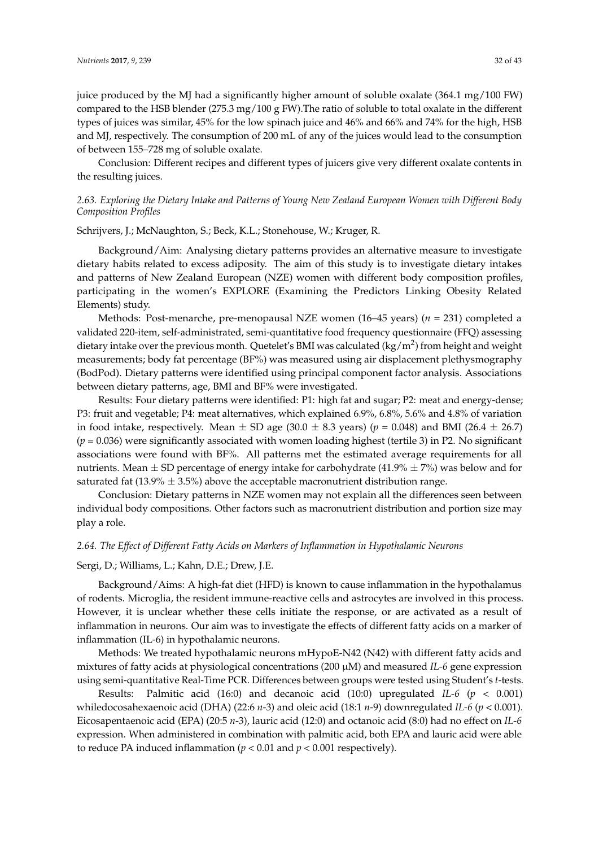juice produced by the MJ had a significantly higher amount of soluble oxalate (364.1 mg/100 FW) compared to the HSB blender (275.3 mg/100 g FW).The ratio of soluble to total oxalate in the different types of juices was similar, 45% for the low spinach juice and 46% and 66% and 74% for the high, HSB and MJ, respectively. The consumption of 200 mL of any of the juices would lead to the consumption of between 155–728 mg of soluble oxalate.

Conclusion: Different recipes and different types of juicers give very different oxalate contents in the resulting juices.

# *2.63. Exploring the Dietary Intake and Patterns of Young New Zealand European Women with Different Body Composition Profiles*

Schrijvers, J.; McNaughton, S.; Beck, K.L.; Stonehouse, W.; Kruger, R.

Background/Aim: Analysing dietary patterns provides an alternative measure to investigate dietary habits related to excess adiposity. The aim of this study is to investigate dietary intakes and patterns of New Zealand European (NZE) women with different body composition profiles, participating in the women's EXPLORE (Examining the Predictors Linking Obesity Related Elements) study.

Methods: Post-menarche, pre-menopausal NZE women (16–45 years) (*n* = 231) completed a validated 220-item, self-administrated, semi-quantitative food frequency questionnaire (FFQ) assessing dietary intake over the previous month. Quetelet's BMI was calculated (kg/m<sup>2</sup>) from height and weight measurements; body fat percentage (BF%) was measured using air displacement plethysmography (BodPod). Dietary patterns were identified using principal component factor analysis. Associations between dietary patterns, age, BMI and BF% were investigated.

Results: Four dietary patterns were identified: P1: high fat and sugar; P2: meat and energy-dense; P3: fruit and vegetable; P4: meat alternatives, which explained 6.9%, 6.8%, 5.6% and 4.8% of variation in food intake, respectively. Mean  $\pm$  SD age (30.0  $\pm$  8.3 years) ( $p = 0.048$ ) and BMI (26.4  $\pm$  26.7) (*p* = 0.036) were significantly associated with women loading highest (tertile 3) in P2. No significant associations were found with BF%. All patterns met the estimated average requirements for all nutrients. Mean  $\pm$  SD percentage of energy intake for carbohydrate (41.9%  $\pm$  7%) was below and for saturated fat (13.9%  $\pm$  3.5%) above the acceptable macronutrient distribution range.

Conclusion: Dietary patterns in NZE women may not explain all the differences seen between individual body compositions. Other factors such as macronutrient distribution and portion size may play a role.

# *2.64. The Effect of Different Fatty Acids on Markers of Inflammation in Hypothalamic Neurons*

# Sergi, D.; Williams, L.; Kahn, D.E.; Drew, J.E.

Background/Aims: A high-fat diet (HFD) is known to cause inflammation in the hypothalamus of rodents. Microglia, the resident immune-reactive cells and astrocytes are involved in this process. However, it is unclear whether these cells initiate the response, or are activated as a result of inflammation in neurons. Our aim was to investigate the effects of different fatty acids on a marker of inflammation (IL-6) in hypothalamic neurons.

Methods: We treated hypothalamic neurons mHypoE-N42 (N42) with different fatty acids and mixtures of fatty acids at physiological concentrations (200 µM) and measured *IL-6* gene expression using semi-quantitative Real-Time PCR. Differences between groups were tested using Student's *t*-tests.

Results: Palmitic acid (16:0) and decanoic acid (10:0) upregulated *IL-6* (*p* < 0.001) whiledocosahexaenoic acid (DHA) (22:6 *n*-3) and oleic acid (18:1 *n*-9) downregulated *IL-6* (*p* < 0.001)*.* Eicosapentaenoic acid (EPA) (20:5 *n*-3), lauric acid (12:0) and octanoic acid (8:0) had no effect on *IL-6* expression. When administered in combination with palmitic acid, both EPA and lauric acid were able to reduce PA induced inflammation ( $p < 0.01$  and  $p < 0.001$  respectively).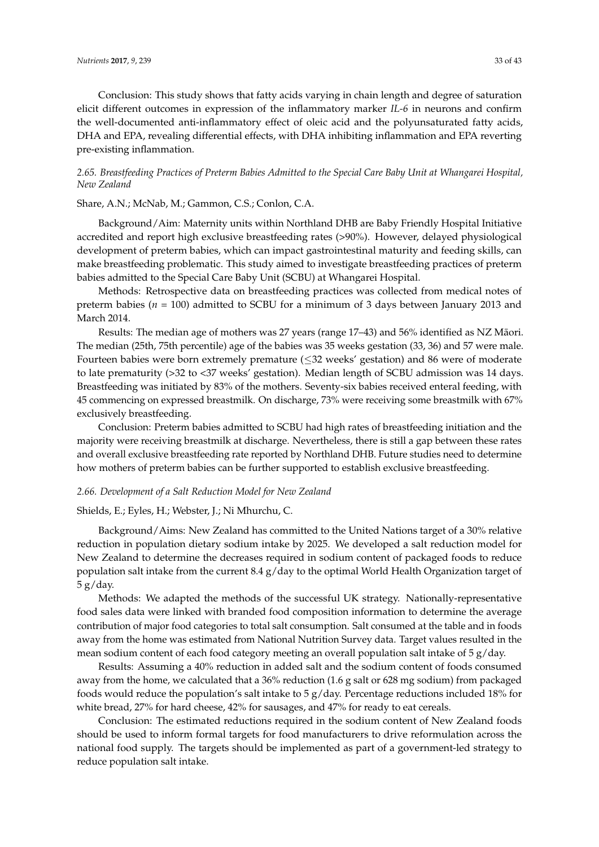Conclusion: This study shows that fatty acids varying in chain length and degree of saturation elicit different outcomes in expression of the inflammatory marker *IL-6* in neurons and confirm the well-documented anti-inflammatory effect of oleic acid and the polyunsaturated fatty acids, DHA and EPA, revealing differential effects, with DHA inhibiting inflammation and EPA reverting pre-existing inflammation.

# *2.65. Breastfeeding Practices of Preterm Babies Admitted to the Special Care Baby Unit at Whangarei Hospital, New Zealand*

# Share, A.N.; McNab, M.; Gammon, C.S.; Conlon, C.A.

Background/Aim: Maternity units within Northland DHB are Baby Friendly Hospital Initiative accredited and report high exclusive breastfeeding rates (>90%). However, delayed physiological development of preterm babies, which can impact gastrointestinal maturity and feeding skills, can make breastfeeding problematic. This study aimed to investigate breastfeeding practices of preterm babies admitted to the Special Care Baby Unit (SCBU) at Whangarei Hospital.

Methods: Retrospective data on breastfeeding practices was collected from medical notes of preterm babies (*n* = 100) admitted to SCBU for a minimum of 3 days between January 2013 and March 2014.

Results: The median age of mothers was 27 years (range 17–43) and 56% identified as NZ Maori. ¯ The median (25th, 75th percentile) age of the babies was 35 weeks gestation (33, 36) and 57 were male. Fourteen babies were born extremely premature (≤32 weeks' gestation) and 86 were of moderate to late prematurity (>32 to <37 weeks' gestation). Median length of SCBU admission was 14 days. Breastfeeding was initiated by 83% of the mothers. Seventy-six babies received enteral feeding, with 45 commencing on expressed breastmilk. On discharge, 73% were receiving some breastmilk with 67% exclusively breastfeeding.

Conclusion: Preterm babies admitted to SCBU had high rates of breastfeeding initiation and the majority were receiving breastmilk at discharge. Nevertheless, there is still a gap between these rates and overall exclusive breastfeeding rate reported by Northland DHB. Future studies need to determine how mothers of preterm babies can be further supported to establish exclusive breastfeeding.

# *2.66. Development of a Salt Reduction Model for New Zealand*

# Shields, E.; Eyles, H.; Webster, J.; Ni Mhurchu, C.

Background/Aims: New Zealand has committed to the United Nations target of a 30% relative reduction in population dietary sodium intake by 2025. We developed a salt reduction model for New Zealand to determine the decreases required in sodium content of packaged foods to reduce population salt intake from the current 8.4 g/day to the optimal World Health Organization target of 5 g/day.

Methods: We adapted the methods of the successful UK strategy. Nationally-representative food sales data were linked with branded food composition information to determine the average contribution of major food categories to total salt consumption. Salt consumed at the table and in foods away from the home was estimated from National Nutrition Survey data. Target values resulted in the mean sodium content of each food category meeting an overall population salt intake of 5 g/day.

Results: Assuming a 40% reduction in added salt and the sodium content of foods consumed away from the home, we calculated that a 36% reduction (1.6 g salt or 628 mg sodium) from packaged foods would reduce the population's salt intake to  $5 g/day$ . Percentage reductions included 18% for white bread, 27% for hard cheese, 42% for sausages, and 47% for ready to eat cereals.

Conclusion: The estimated reductions required in the sodium content of New Zealand foods should be used to inform formal targets for food manufacturers to drive reformulation across the national food supply. The targets should be implemented as part of a government-led strategy to reduce population salt intake.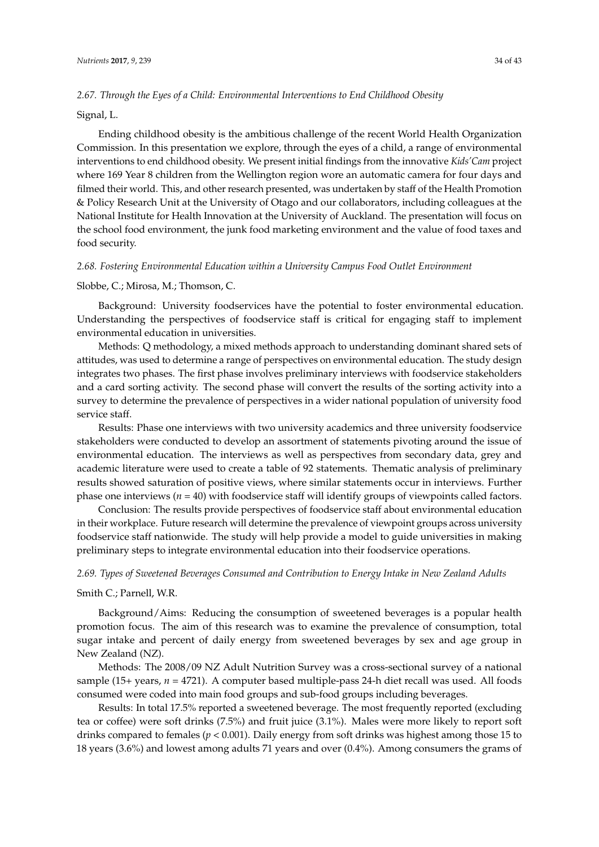# *2.67. Through the Eyes of a Child: Environmental Interventions to End Childhood Obesity*

### Signal, L.

Ending childhood obesity is the ambitious challenge of the recent World Health Organization Commission. In this presentation we explore, through the eyes of a child, a range of environmental interventions to end childhood obesity. We present initial findings from the innovative *Kids'Cam* project where 169 Year 8 children from the Wellington region wore an automatic camera for four days and filmed their world. This, and other research presented, was undertaken by staff of the Health Promotion & Policy Research Unit at the University of Otago and our collaborators, including colleagues at the National Institute for Health Innovation at the University of Auckland. The presentation will focus on the school food environment, the junk food marketing environment and the value of food taxes and food security.

#### *2.68. Fostering Environmental Education within a University Campus Food Outlet Environment*

#### Slobbe, C.; Mirosa, M.; Thomson, C.

Background: University foodservices have the potential to foster environmental education. Understanding the perspectives of foodservice staff is critical for engaging staff to implement environmental education in universities.

Methods: Q methodology, a mixed methods approach to understanding dominant shared sets of attitudes, was used to determine a range of perspectives on environmental education. The study design integrates two phases. The first phase involves preliminary interviews with foodservice stakeholders and a card sorting activity. The second phase will convert the results of the sorting activity into a survey to determine the prevalence of perspectives in a wider national population of university food service staff.

Results: Phase one interviews with two university academics and three university foodservice stakeholders were conducted to develop an assortment of statements pivoting around the issue of environmental education. The interviews as well as perspectives from secondary data, grey and academic literature were used to create a table of 92 statements. Thematic analysis of preliminary results showed saturation of positive views, where similar statements occur in interviews. Further phase one interviews (*n* = 40) with foodservice staff will identify groups of viewpoints called factors.

Conclusion: The results provide perspectives of foodservice staff about environmental education in their workplace. Future research will determine the prevalence of viewpoint groups across university foodservice staff nationwide. The study will help provide a model to guide universities in making preliminary steps to integrate environmental education into their foodservice operations.

#### *2.69. Types of Sweetened Beverages Consumed and Contribution to Energy Intake in New Zealand Adults*

#### Smith C.; Parnell, W.R.

Background/Aims: Reducing the consumption of sweetened beverages is a popular health promotion focus. The aim of this research was to examine the prevalence of consumption, total sugar intake and percent of daily energy from sweetened beverages by sex and age group in New Zealand (NZ).

Methods: The 2008/09 NZ Adult Nutrition Survey was a cross-sectional survey of a national sample (15+ years, *n* = 4721). A computer based multiple-pass 24-h diet recall was used. All foods consumed were coded into main food groups and sub-food groups including beverages.

Results: In total 17.5% reported a sweetened beverage. The most frequently reported (excluding tea or coffee) were soft drinks (7.5%) and fruit juice (3.1%). Males were more likely to report soft drinks compared to females (*p* < 0.001). Daily energy from soft drinks was highest among those 15 to 18 years (3.6%) and lowest among adults 71 years and over (0.4%). Among consumers the grams of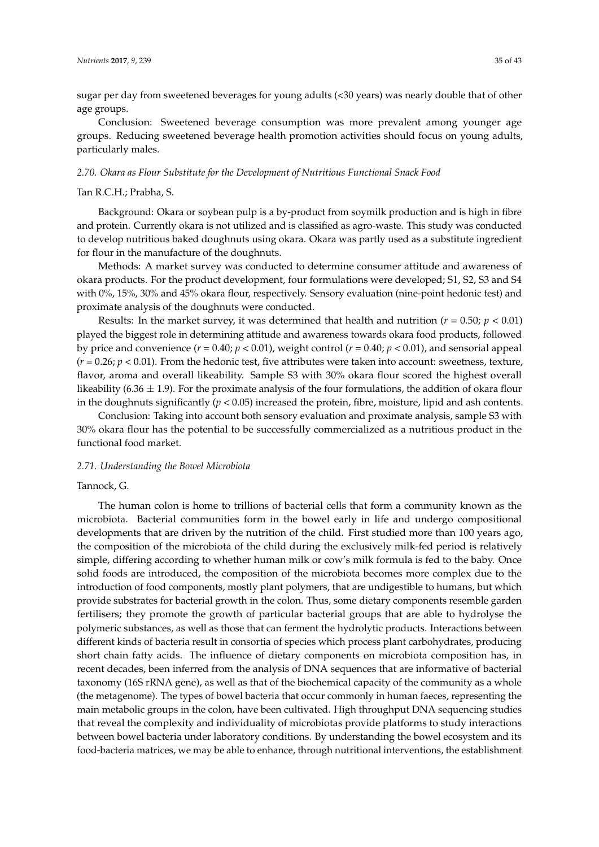sugar per day from sweetened beverages for young adults (<30 years) was nearly double that of other age groups.

Conclusion: Sweetened beverage consumption was more prevalent among younger age groups. Reducing sweetened beverage health promotion activities should focus on young adults, particularly males.

#### *2.70. Okara as Flour Substitute for the Development of Nutritious Functional Snack Food*

# Tan R.C.H.; Prabha, S.

Background: Okara or soybean pulp is a by-product from soymilk production and is high in fibre and protein. Currently okara is not utilized and is classified as agro-waste. This study was conducted to develop nutritious baked doughnuts using okara. Okara was partly used as a substitute ingredient for flour in the manufacture of the doughnuts.

Methods: A market survey was conducted to determine consumer attitude and awareness of okara products. For the product development, four formulations were developed; S1, S2, S3 and S4 with 0%, 15%, 30% and 45% okara flour, respectively. Sensory evaluation (nine-point hedonic test) and proximate analysis of the doughnuts were conducted.

Results: In the market survey, it was determined that health and nutrition ( $r = 0.50$ ;  $p < 0.01$ ) played the biggest role in determining attitude and awareness towards okara food products, followed by price and convenience  $(r = 0.40; p < 0.01)$ , weight control  $(r = 0.40; p < 0.01)$ , and sensorial appeal  $(r = 0.26; p < 0.01)$ . From the hedonic test, five attributes were taken into account: sweetness, texture, flavor, aroma and overall likeability. Sample S3 with 30% okara flour scored the highest overall likeability (6.36  $\pm$  1.9). For the proximate analysis of the four formulations, the addition of okara flour in the doughnuts significantly  $(p < 0.05)$  increased the protein, fibre, moisture, lipid and ash contents.

Conclusion: Taking into account both sensory evaluation and proximate analysis, sample S3 with 30% okara flour has the potential to be successfully commercialized as a nutritious product in the functional food market.

# *2.71. Understanding the Bowel Microbiota*

### Tannock, G.

The human colon is home to trillions of bacterial cells that form a community known as the microbiota. Bacterial communities form in the bowel early in life and undergo compositional developments that are driven by the nutrition of the child. First studied more than 100 years ago, the composition of the microbiota of the child during the exclusively milk-fed period is relatively simple, differing according to whether human milk or cow's milk formula is fed to the baby. Once solid foods are introduced, the composition of the microbiota becomes more complex due to the introduction of food components, mostly plant polymers, that are undigestible to humans, but which provide substrates for bacterial growth in the colon. Thus, some dietary components resemble garden fertilisers; they promote the growth of particular bacterial groups that are able to hydrolyse the polymeric substances, as well as those that can ferment the hydrolytic products. Interactions between different kinds of bacteria result in consortia of species which process plant carbohydrates, producing short chain fatty acids. The influence of dietary components on microbiota composition has, in recent decades, been inferred from the analysis of DNA sequences that are informative of bacterial taxonomy (16S rRNA gene), as well as that of the biochemical capacity of the community as a whole (the metagenome). The types of bowel bacteria that occur commonly in human faeces, representing the main metabolic groups in the colon, have been cultivated. High throughput DNA sequencing studies that reveal the complexity and individuality of microbiotas provide platforms to study interactions between bowel bacteria under laboratory conditions. By understanding the bowel ecosystem and its food-bacteria matrices, we may be able to enhance, through nutritional interventions, the establishment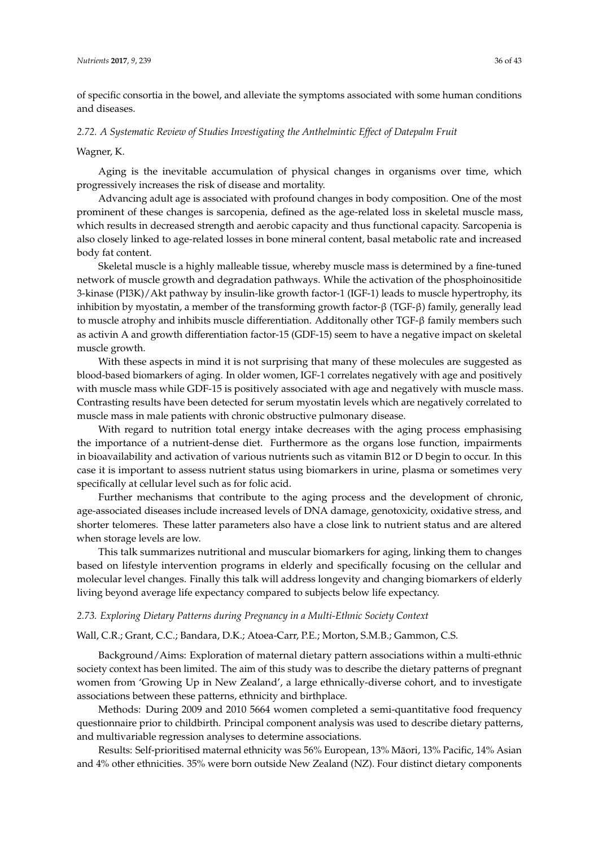of specific consortia in the bowel, and alleviate the symptoms associated with some human conditions and diseases.

## *2.72. A Systematic Review of Studies Investigating the Anthelmintic Effect of Datepalm Fruit*

#### Wagner, K.

Aging is the inevitable accumulation of physical changes in organisms over time, which progressively increases the risk of disease and mortality.

Advancing adult age is associated with profound changes in body composition. One of the most prominent of these changes is sarcopenia, defined as the age-related loss in skeletal muscle mass, which results in decreased strength and aerobic capacity and thus functional capacity. Sarcopenia is also closely linked to age-related losses in bone mineral content, basal metabolic rate and increased body fat content.

Skeletal muscle is a highly malleable tissue, whereby muscle mass is determined by a fine-tuned network of muscle growth and degradation pathways. While the activation of the phosphoinositide 3-kinase (PI3K)/Akt pathway by insulin-like growth factor-1 (IGF-1) leads to muscle hypertrophy, its inhibition by myostatin, a member of the transforming growth factor-β (TGF-β) family, generally lead to muscle atrophy and inhibits muscle differentiation. Additonally other TGF-β family members such as activin A and growth differentiation factor-15 (GDF-15) seem to have a negative impact on skeletal muscle growth.

With these aspects in mind it is not surprising that many of these molecules are suggested as blood-based biomarkers of aging. In older women, IGF-1 correlates negatively with age and positively with muscle mass while GDF-15 is positively associated with age and negatively with muscle mass. Contrasting results have been detected for serum myostatin levels which are negatively correlated to muscle mass in male patients with chronic obstructive pulmonary disease.

With regard to nutrition total energy intake decreases with the aging process emphasising the importance of a nutrient-dense diet. Furthermore as the organs lose function, impairments in bioavailability and activation of various nutrients such as vitamin B12 or D begin to occur. In this case it is important to assess nutrient status using biomarkers in urine, plasma or sometimes very specifically at cellular level such as for folic acid.

Further mechanisms that contribute to the aging process and the development of chronic, age-associated diseases include increased levels of DNA damage, genotoxicity, oxidative stress, and shorter telomeres. These latter parameters also have a close link to nutrient status and are altered when storage levels are low.

This talk summarizes nutritional and muscular biomarkers for aging, linking them to changes based on lifestyle intervention programs in elderly and specifically focusing on the cellular and molecular level changes. Finally this talk will address longevity and changing biomarkers of elderly living beyond average life expectancy compared to subjects below life expectancy.

### *2.73. Exploring Dietary Patterns during Pregnancy in a Multi-Ethnic Society Context*

### Wall, C.R.; Grant, C.C.; Bandara, D.K.; Atoea-Carr, P.E.; Morton, S.M.B.; Gammon, C.S.

Background/Aims: Exploration of maternal dietary pattern associations within a multi-ethnic society context has been limited. The aim of this study was to describe the dietary patterns of pregnant women from 'Growing Up in New Zealand', a large ethnically-diverse cohort, and to investigate associations between these patterns, ethnicity and birthplace.

Methods: During 2009 and 2010 5664 women completed a semi-quantitative food frequency questionnaire prior to childbirth. Principal component analysis was used to describe dietary patterns, and multivariable regression analyses to determine associations.

Results: Self-prioritised maternal ethnicity was 56% European, 13% Maori, 13% Pacific, 14% Asian ¯ and 4% other ethnicities. 35% were born outside New Zealand (NZ). Four distinct dietary components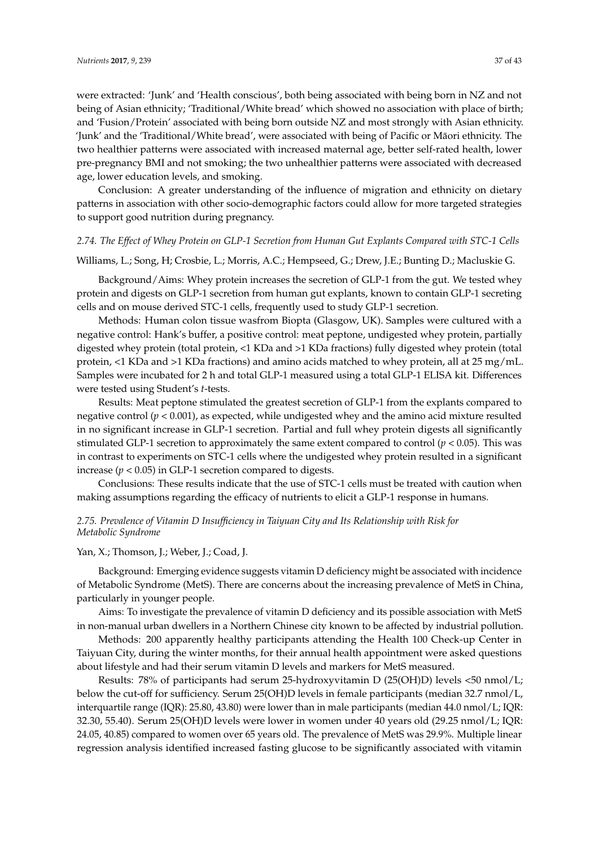were extracted: 'Junk' and 'Health conscious', both being associated with being born in NZ and not being of Asian ethnicity; 'Traditional/White bread' which showed no association with place of birth; and 'Fusion/Protein' associated with being born outside NZ and most strongly with Asian ethnicity. 'Junk' and the 'Traditional/White bread', were associated with being of Pacific or Maori ethnicity. The ¯ two healthier patterns were associated with increased maternal age, better self-rated health, lower pre-pregnancy BMI and not smoking; the two unhealthier patterns were associated with decreased age, lower education levels, and smoking.

Conclusion: A greater understanding of the influence of migration and ethnicity on dietary patterns in association with other socio-demographic factors could allow for more targeted strategies to support good nutrition during pregnancy.

# *2.74. The Effect of Whey Protein on GLP-1 Secretion from Human Gut Explants Compared with STC-1 Cells*

# Williams, L.; Song, H; Crosbie, L.; Morris, A.C.; Hempseed, G.; Drew, J.E.; Bunting D.; Macluskie G.

Background/Aims: Whey protein increases the secretion of GLP-1 from the gut. We tested whey protein and digests on GLP-1 secretion from human gut explants, known to contain GLP-1 secreting cells and on mouse derived STC-1 cells, frequently used to study GLP-1 secretion.

Methods: Human colon tissue wasfrom Biopta (Glasgow, UK). Samples were cultured with a negative control: Hank's buffer, a positive control: meat peptone, undigested whey protein, partially digested whey protein (total protein, <1 KDa and >1 KDa fractions) fully digested whey protein (total protein, <1 KDa and >1 KDa fractions) and amino acids matched to whey protein, all at 25 mg/mL. Samples were incubated for 2 h and total GLP-1 measured using a total GLP-1 ELISA kit. Differences were tested using Student's *t*-tests.

Results: Meat peptone stimulated the greatest secretion of GLP-1 from the explants compared to negative control (*p* < 0.001), as expected, while undigested whey and the amino acid mixture resulted in no significant increase in GLP-1 secretion. Partial and full whey protein digests all significantly stimulated GLP-1 secretion to approximately the same extent compared to control ( $p < 0.05$ ). This was in contrast to experiments on STC-1 cells where the undigested whey protein resulted in a significant increase ( $p < 0.05$ ) in GLP-1 secretion compared to digests.

Conclusions: These results indicate that the use of STC-1 cells must be treated with caution when making assumptions regarding the efficacy of nutrients to elicit a GLP-1 response in humans.

# *2.75. Prevalence of Vitamin D Insufficiency in Taiyuan City and Its Relationship with Risk for Metabolic Syndrome*

# Yan, X.; Thomson, J.; Weber, J.; Coad, J.

Background: Emerging evidence suggests vitamin D deficiency might be associated with incidence of Metabolic Syndrome (MetS). There are concerns about the increasing prevalence of MetS in China, particularly in younger people.

Aims: To investigate the prevalence of vitamin D deficiency and its possible association with MetS in non-manual urban dwellers in a Northern Chinese city known to be affected by industrial pollution.

Methods: 200 apparently healthy participants attending the Health 100 Check-up Center in Taiyuan City, during the winter months, for their annual health appointment were asked questions about lifestyle and had their serum vitamin D levels and markers for MetS measured.

Results: 78% of participants had serum 25-hydroxyvitamin D (25(OH)D) levels <50 nmol/L; below the cut-off for sufficiency. Serum 25(OH)D levels in female participants (median 32.7 nmol/L, interquartile range (IQR): 25.80, 43.80) were lower than in male participants (median 44.0 nmol/L; IQR: 32.30, 55.40). Serum 25(OH)D levels were lower in women under 40 years old (29.25 nmol/L; IQR: 24.05, 40.85) compared to women over 65 years old. The prevalence of MetS was 29.9%. Multiple linear regression analysis identified increased fasting glucose to be significantly associated with vitamin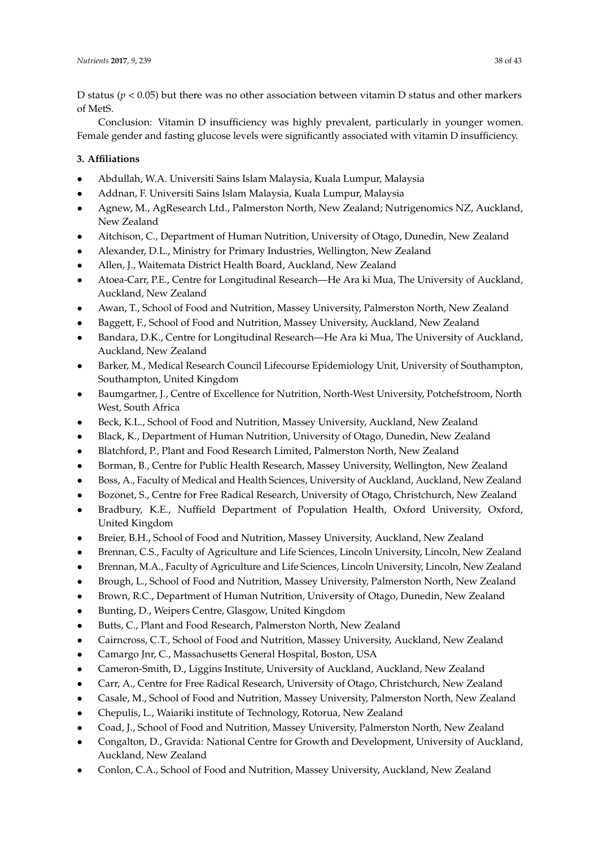D status (*p* < 0.05) but there was no other association between vitamin D status and other markers of MetS.

Conclusion: Vitamin D insufficiency was highly prevalent, particularly in younger women. Female gender and fasting glucose levels were significantly associated with vitamin D insufficiency.

# **3. Affiliations**

- Abdullah, W.A. Universiti Sains Islam Malaysia, Kuala Lumpur, Malaysia
- Addnan, F. Universiti Sains Islam Malaysia, Kuala Lumpur, Malaysia
- Agnew, M., AgResearch Ltd., Palmerston North, New Zealand; Nutrigenomics NZ, Auckland, New Zealand
- Aitchison, C., Department of Human Nutrition, University of Otago, Dunedin, New Zealand
- Alexander, D.L., Ministry for Primary Industries, Wellington, New Zealand
- Allen, J., Waitemata District Health Board, Auckland, New Zealand
- Atoea-Carr, P.E., Centre for Longitudinal Research—He Ara ki Mua, The University of Auckland, Auckland, New Zealand
- Awan, T., School of Food and Nutrition, Massey University, Palmerston North, New Zealand
- Baggett, F., School of Food and Nutrition, Massey University, Auckland, New Zealand
- Bandara, D.K., Centre for Longitudinal Research—He Ara ki Mua, The University of Auckland, Auckland, New Zealand
- Barker, M., Medical Research Council Lifecourse Epidemiology Unit, University of Southampton, Southampton, United Kingdom
- Baumgartner, J., Centre of Excellence for Nutrition, North-West University, Potchefstroom, North West, South Africa
- Beck, K.L., School of Food and Nutrition, Massey University, Auckland, New Zealand
- Black, K., Department of Human Nutrition, University of Otago, Dunedin, New Zealand
- Blatchford, P., Plant and Food Research Limited, Palmerston North, New Zealand
- Borman, B., Centre for Public Health Research, Massey University, Wellington, New Zealand
- Boss, A., Faculty of Medical and Health Sciences, University of Auckland, Auckland, New Zealand
- Bozonet, S., Centre for Free Radical Research, University of Otago, Christchurch, New Zealand
- Bradbury, K.E., Nuffield Department of Population Health, Oxford University, Oxford, United Kingdom
- Breier, B.H., School of Food and Nutrition, Massey University, Auckland, New Zealand
- Brennan, C.S., Faculty of Agriculture and Life Sciences, Lincoln University, Lincoln, New Zealand
- Brennan, M.A., Faculty of Agriculture and Life Sciences, Lincoln University, Lincoln, New Zealand
- Brough, L., School of Food and Nutrition, Massey University, Palmerston North, New Zealand
- Brown, R.C., Department of Human Nutrition, University of Otago, Dunedin, New Zealand
- Bunting, D., Weipers Centre, Glasgow, United Kingdom
- Butts, C., Plant and Food Research, Palmerston North, New Zealand
- Cairncross, C.T., School of Food and Nutrition, Massey University, Auckland, New Zealand
- Camargo Jnr, C., Massachusetts General Hospital, Boston, USA
- Cameron-Smith, D., Liggins Institute, University of Auckland, Auckland, New Zealand
- Carr, A., Centre for Free Radical Research, University of Otago, Christchurch, New Zealand
- Casale, M., School of Food and Nutrition, Massey University, Palmerston North, New Zealand
- Chepulis, L., Waiariki institute of Technology, Rotorua, New Zealand
- Coad, J., School of Food and Nutrition, Massey University, Palmerston North, New Zealand
- Congalton, D., Gravida: National Centre for Growth and Development, University of Auckland, Auckland, New Zealand
- Conlon, C.A., School of Food and Nutrition, Massey University, Auckland, New Zealand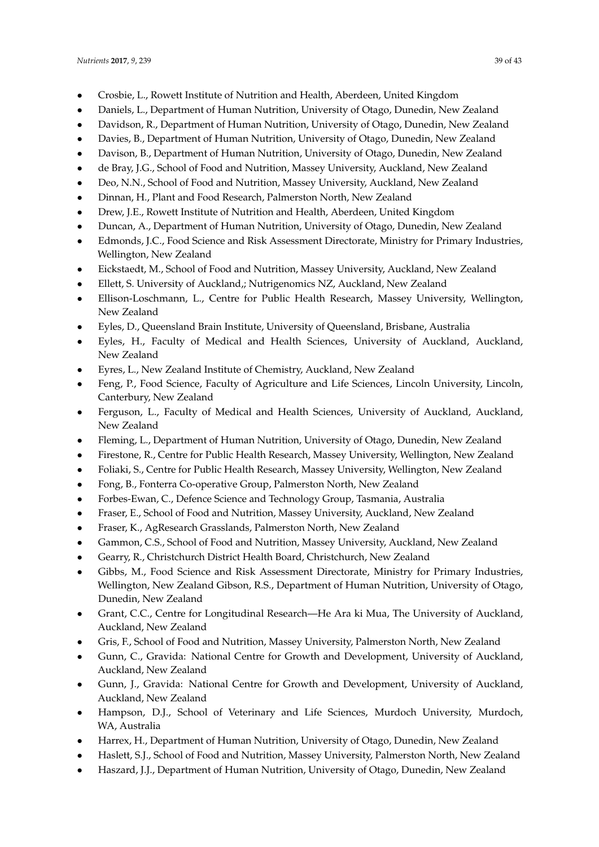- Crosbie, L., Rowett Institute of Nutrition and Health, Aberdeen, United Kingdom
- Daniels, L., Department of Human Nutrition, University of Otago, Dunedin, New Zealand
- Davidson, R., Department of Human Nutrition, University of Otago, Dunedin, New Zealand
- Davies, B., Department of Human Nutrition, University of Otago, Dunedin, New Zealand
- Davison, B., Department of Human Nutrition, University of Otago, Dunedin, New Zealand
- de Bray, J.G., School of Food and Nutrition, Massey University, Auckland, New Zealand
- Deo, N.N., School of Food and Nutrition, Massey University, Auckland, New Zealand
- Dinnan, H., Plant and Food Research, Palmerston North, New Zealand
- Drew, J.E., Rowett Institute of Nutrition and Health, Aberdeen, United Kingdom
- Duncan, A., Department of Human Nutrition, University of Otago, Dunedin, New Zealand
- Edmonds, J.C., Food Science and Risk Assessment Directorate, Ministry for Primary Industries, Wellington, New Zealand
- Eickstaedt, M., School of Food and Nutrition, Massey University, Auckland, New Zealand
- Ellett, S. University of Auckland,; Nutrigenomics NZ, Auckland, New Zealand
- Ellison-Loschmann, L., Centre for Public Health Research, Massey University, Wellington, New Zealand
- Eyles, D., Queensland Brain Institute, University of Queensland, Brisbane, Australia
- Eyles, H., Faculty of Medical and Health Sciences, University of Auckland, Auckland, New Zealand
- Eyres, L., New Zealand Institute of Chemistry, Auckland, New Zealand
- Feng, P., Food Science, Faculty of Agriculture and Life Sciences, Lincoln University, Lincoln, Canterbury, New Zealand
- Ferguson, L., Faculty of Medical and Health Sciences, University of Auckland, Auckland, New Zealand
- Fleming, L., Department of Human Nutrition, University of Otago, Dunedin, New Zealand
- Firestone, R., Centre for Public Health Research, Massey University, Wellington, New Zealand
- Foliaki, S., Centre for Public Health Research, Massey University, Wellington, New Zealand
- Fong, B., Fonterra Co-operative Group, Palmerston North, New Zealand
- Forbes-Ewan, C., Defence Science and Technology Group, Tasmania, Australia
- Fraser, E., School of Food and Nutrition, Massey University, Auckland, New Zealand
- Fraser, K., AgResearch Grasslands, Palmerston North, New Zealand
- Gammon, C.S., School of Food and Nutrition, Massey University, Auckland, New Zealand
- Gearry, R., Christchurch District Health Board, Christchurch, New Zealand
- Gibbs, M., Food Science and Risk Assessment Directorate, Ministry for Primary Industries, Wellington, New Zealand Gibson, R.S., Department of Human Nutrition, University of Otago, Dunedin, New Zealand
- Grant, C.C., Centre for Longitudinal Research—He Ara ki Mua, The University of Auckland, Auckland, New Zealand
- Gris, F., School of Food and Nutrition, Massey University, Palmerston North, New Zealand
- Gunn, C., Gravida: National Centre for Growth and Development, University of Auckland, Auckland, New Zealand
- Gunn, J., Gravida: National Centre for Growth and Development, University of Auckland, Auckland, New Zealand
- Hampson, D.J., School of Veterinary and Life Sciences, Murdoch University, Murdoch, WA, Australia
- Harrex, H., Department of Human Nutrition, University of Otago, Dunedin, New Zealand
- Haslett, S.J., School of Food and Nutrition, Massey University, Palmerston North, New Zealand
- Haszard, J.J., Department of Human Nutrition, University of Otago, Dunedin, New Zealand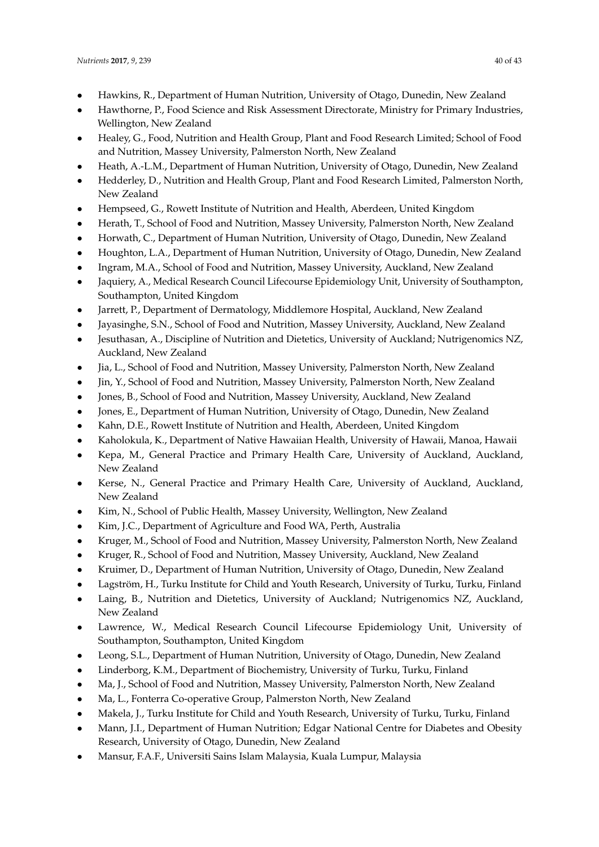- Hawkins, R., Department of Human Nutrition, University of Otago, Dunedin, New Zealand
- Hawthorne, P., Food Science and Risk Assessment Directorate, Ministry for Primary Industries, Wellington, New Zealand
- Healey, G., Food, Nutrition and Health Group, Plant and Food Research Limited; School of Food and Nutrition, Massey University, Palmerston North, New Zealand
- Heath, A.-L.M., Department of Human Nutrition, University of Otago, Dunedin, New Zealand
- Hedderley, D., Nutrition and Health Group, Plant and Food Research Limited, Palmerston North, New Zealand
- Hempseed, G., Rowett Institute of Nutrition and Health, Aberdeen, United Kingdom
- Herath, T., School of Food and Nutrition, Massey University, Palmerston North, New Zealand
- Horwath, C., Department of Human Nutrition, University of Otago, Dunedin, New Zealand
- Houghton, L.A., Department of Human Nutrition, University of Otago, Dunedin, New Zealand
- Ingram, M.A., School of Food and Nutrition, Massey University, Auckland, New Zealand
- Jaquiery, A., Medical Research Council Lifecourse Epidemiology Unit, University of Southampton, Southampton, United Kingdom
- Jarrett, P., Department of Dermatology, Middlemore Hospital, Auckland, New Zealand
- Jayasinghe, S.N., School of Food and Nutrition, Massey University, Auckland, New Zealand
- Jesuthasan, A., Discipline of Nutrition and Dietetics, University of Auckland; Nutrigenomics NZ, Auckland, New Zealand
- Jia, L., School of Food and Nutrition, Massey University, Palmerston North, New Zealand
- Jin, Y., School of Food and Nutrition, Massey University, Palmerston North, New Zealand
- Jones, B., School of Food and Nutrition, Massey University, Auckland, New Zealand
- Jones, E., Department of Human Nutrition, University of Otago, Dunedin, New Zealand
- Kahn, D.E., Rowett Institute of Nutrition and Health, Aberdeen, United Kingdom
- Kaholokula, K., Department of Native Hawaiian Health, University of Hawaii, Manoa, Hawaii
- Kepa, M., General Practice and Primary Health Care, University of Auckland, Auckland, New Zealand
- Kerse, N., General Practice and Primary Health Care, University of Auckland, Auckland, New Zealand
- Kim, N., School of Public Health, Massey University, Wellington, New Zealand
- Kim, J.C., Department of Agriculture and Food WA, Perth, Australia
- Kruger, M., School of Food and Nutrition, Massey University, Palmerston North, New Zealand
- Kruger, R., School of Food and Nutrition, Massey University, Auckland, New Zealand
- Kruimer, D., Department of Human Nutrition, University of Otago, Dunedin, New Zealand
- Lagström, H., Turku Institute for Child and Youth Research, University of Turku, Turku, Finland
- Laing, B., Nutrition and Dietetics, University of Auckland; Nutrigenomics NZ, Auckland, New Zealand
- Lawrence, W., Medical Research Council Lifecourse Epidemiology Unit, University of Southampton, Southampton, United Kingdom
- Leong, S.L., Department of Human Nutrition, University of Otago, Dunedin, New Zealand
- Linderborg, K.M., Department of Biochemistry, University of Turku, Turku, Finland
- Ma, J., School of Food and Nutrition, Massey University, Palmerston North, New Zealand
- Ma, L., Fonterra Co-operative Group, Palmerston North, New Zealand
- Makela, J., Turku Institute for Child and Youth Research, University of Turku, Turku, Finland
- Mann, J.I., Department of Human Nutrition; Edgar National Centre for Diabetes and Obesity Research, University of Otago, Dunedin, New Zealand
- Mansur, F.A.F., Universiti Sains Islam Malaysia, Kuala Lumpur, Malaysia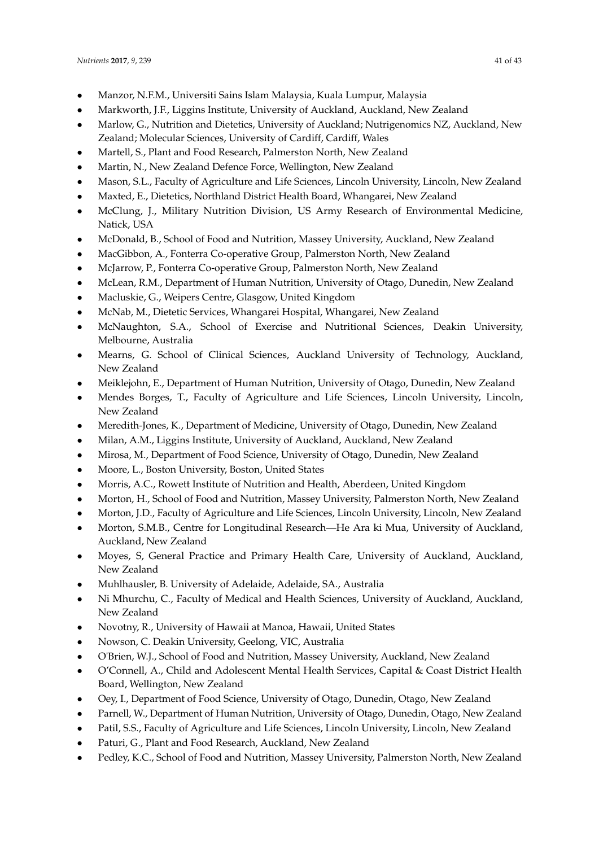- Manzor, N.F.M., Universiti Sains Islam Malaysia, Kuala Lumpur, Malaysia
- Markworth, J.F., Liggins Institute, University of Auckland, Auckland, New Zealand
- Marlow, G., Nutrition and Dietetics, University of Auckland; Nutrigenomics NZ, Auckland, New Zealand; Molecular Sciences, University of Cardiff, Cardiff, Wales
- Martell, S., Plant and Food Research, Palmerston North, New Zealand
- Martin, N., New Zealand Defence Force, Wellington, New Zealand
- Mason, S.L., Faculty of Agriculture and Life Sciences, Lincoln University, Lincoln, New Zealand
- Maxted, E., Dietetics, Northland District Health Board, Whangarei, New Zealand
- McClung, J., Military Nutrition Division, US Army Research of Environmental Medicine, Natick, USA
- McDonald, B., School of Food and Nutrition, Massey University, Auckland, New Zealand
- MacGibbon, A., Fonterra Co-operative Group, Palmerston North, New Zealand
- McJarrow, P., Fonterra Co-operative Group, Palmerston North, New Zealand
- McLean, R.M., Department of Human Nutrition, University of Otago, Dunedin, New Zealand
- Macluskie, G., Weipers Centre, Glasgow, United Kingdom
- McNab, M., Dietetic Services, Whangarei Hospital, Whangarei, New Zealand
- McNaughton, S.A., School of Exercise and Nutritional Sciences, Deakin University, Melbourne, Australia
- Mearns, G. School of Clinical Sciences, Auckland University of Technology, Auckland, New Zealand
- Meiklejohn, E., Department of Human Nutrition, University of Otago, Dunedin, New Zealand
- Mendes Borges, T., Faculty of Agriculture and Life Sciences, Lincoln University, Lincoln, New Zealand
- Meredith-Jones, K., Department of Medicine, University of Otago, Dunedin, New Zealand
- Milan, A.M., Liggins Institute, University of Auckland, Auckland, New Zealand
- Mirosa, M., Department of Food Science, University of Otago, Dunedin, New Zealand
- Moore, L., Boston University, Boston, United States
- Morris, A.C., Rowett Institute of Nutrition and Health, Aberdeen, United Kingdom
- Morton, H., School of Food and Nutrition, Massey University, Palmerston North, New Zealand
- Morton, J.D., Faculty of Agriculture and Life Sciences, Lincoln University, Lincoln, New Zealand
- Morton, S.M.B., Centre for Longitudinal Research—He Ara ki Mua, University of Auckland, Auckland, New Zealand
- Moyes, S, General Practice and Primary Health Care, University of Auckland, Auckland, New Zealand
- Muhlhausler, B. University of Adelaide, Adelaide, SA., Australia
- Ni Mhurchu, C., Faculty of Medical and Health Sciences, University of Auckland, Auckland, New Zealand
- Novotny, R., University of Hawaii at Manoa, Hawaii, United States
- Nowson, C. Deakin University, Geelong, VIC, Australia
- O'Brien, W.J., School of Food and Nutrition, Massey University, Auckland, New Zealand
- O'Connell, A., Child and Adolescent Mental Health Services, Capital & Coast District Health Board, Wellington, New Zealand
- Oey, I., Department of Food Science, University of Otago, Dunedin, Otago, New Zealand
- Parnell, W., Department of Human Nutrition, University of Otago, Dunedin, Otago, New Zealand
- Patil, S.S., Faculty of Agriculture and Life Sciences, Lincoln University, Lincoln, New Zealand
- Paturi, G., Plant and Food Research, Auckland, New Zealand
- Pedley, K.C., School of Food and Nutrition, Massey University, Palmerston North, New Zealand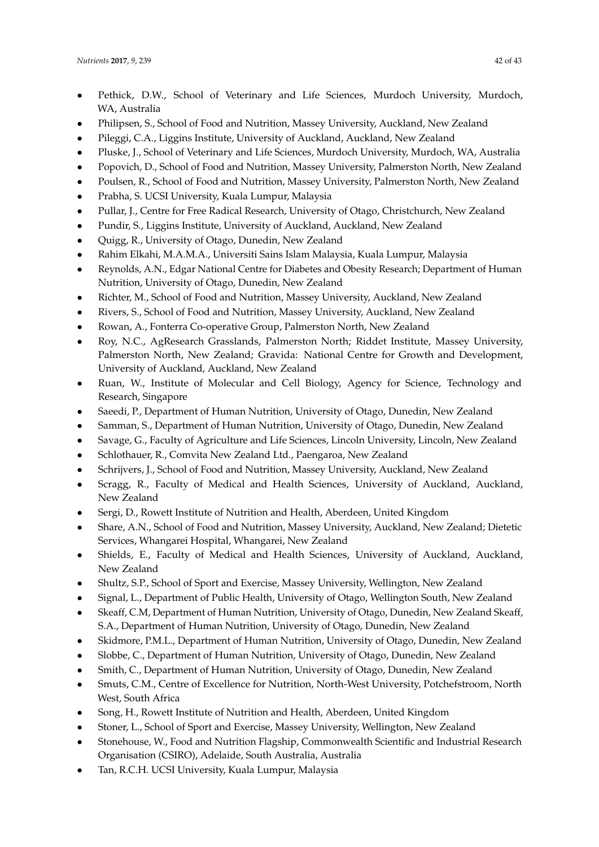- Pethick, D.W., School of Veterinary and Life Sciences, Murdoch University, Murdoch, WA, Australia
- Philipsen, S., School of Food and Nutrition, Massey University, Auckland, New Zealand
- Pileggi, C.A., Liggins Institute, University of Auckland, Auckland, New Zealand
- Pluske, J., School of Veterinary and Life Sciences, Murdoch University, Murdoch, WA, Australia
- Popovich, D., School of Food and Nutrition, Massey University, Palmerston North, New Zealand
- Poulsen, R., School of Food and Nutrition, Massey University, Palmerston North, New Zealand
- Prabha, S. UCSI University, Kuala Lumpur, Malaysia
- Pullar, J., Centre for Free Radical Research, University of Otago, Christchurch, New Zealand
- Pundir, S., Liggins Institute, University of Auckland, Auckland, New Zealand
- Quigg, R., University of Otago, Dunedin, New Zealand
- Rahim Elkahi, M.A.M.A., Universiti Sains Islam Malaysia, Kuala Lumpur, Malaysia
- Reynolds, A.N., Edgar National Centre for Diabetes and Obesity Research; Department of Human Nutrition, University of Otago, Dunedin, New Zealand
- Richter, M., School of Food and Nutrition, Massey University, Auckland, New Zealand
- Rivers, S., School of Food and Nutrition, Massey University, Auckland, New Zealand
- Rowan, A., Fonterra Co-operative Group, Palmerston North, New Zealand
- Roy, N.C., AgResearch Grasslands, Palmerston North; Riddet Institute, Massey University, Palmerston North, New Zealand; Gravida: National Centre for Growth and Development, University of Auckland, Auckland, New Zealand
- Ruan, W., Institute of Molecular and Cell Biology, Agency for Science, Technology and Research, Singapore
- Saeedi, P., Department of Human Nutrition, University of Otago, Dunedin, New Zealand
- Samman, S., Department of Human Nutrition, University of Otago, Dunedin, New Zealand
- Savage, G., Faculty of Agriculture and Life Sciences, Lincoln University, Lincoln, New Zealand
- Schlothauer, R., Comvita New Zealand Ltd., Paengaroa, New Zealand
- Schrijvers, J., School of Food and Nutrition, Massey University, Auckland, New Zealand
- Scragg, R., Faculty of Medical and Health Sciences, University of Auckland, Auckland, New Zealand
- Sergi, D., Rowett Institute of Nutrition and Health, Aberdeen, United Kingdom
- Share, A.N., School of Food and Nutrition, Massey University, Auckland, New Zealand; Dietetic Services, Whangarei Hospital, Whangarei, New Zealand
- Shields, E., Faculty of Medical and Health Sciences, University of Auckland, Auckland, New Zealand
- Shultz, S.P., School of Sport and Exercise, Massey University, Wellington, New Zealand
- Signal, L., Department of Public Health, University of Otago, Wellington South, New Zealand
- Skeaff, C.M, Department of Human Nutrition, University of Otago, Dunedin, New Zealand Skeaff, S.A., Department of Human Nutrition, University of Otago, Dunedin, New Zealand
- Skidmore, P.M.L., Department of Human Nutrition, University of Otago, Dunedin, New Zealand
- Slobbe, C., Department of Human Nutrition, University of Otago, Dunedin, New Zealand
- Smith, C., Department of Human Nutrition, University of Otago, Dunedin, New Zealand
- Smuts, C.M., Centre of Excellence for Nutrition, North-West University, Potchefstroom, North West, South Africa
- Song, H., Rowett Institute of Nutrition and Health, Aberdeen, United Kingdom
- Stoner, L., School of Sport and Exercise, Massey University, Wellington, New Zealand
- Stonehouse, W., Food and Nutrition Flagship, Commonwealth Scientific and Industrial Research Organisation (CSIRO), Adelaide, South Australia, Australia
- Tan, R.C.H. UCSI University, Kuala Lumpur, Malaysia